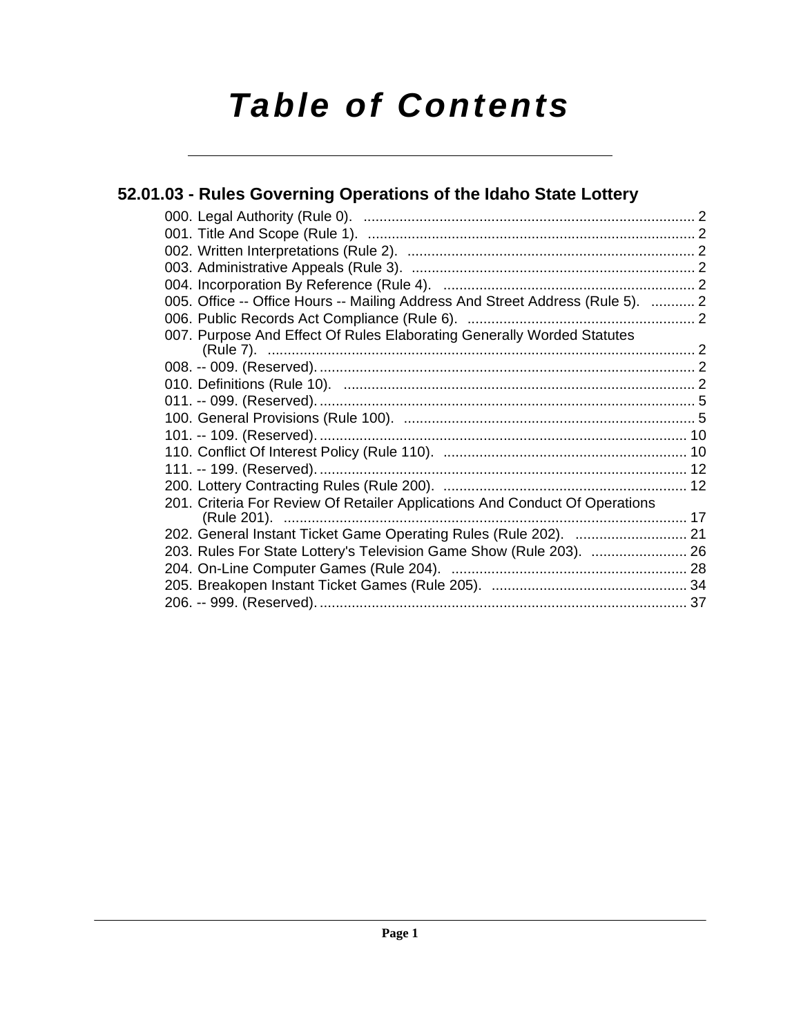# *Table of Contents*

## **[52.01.03 - Rules Governing Operations of the Idaho State Lottery](#page-1-0)**

| 005. Office -- Office Hours -- Mailing Address And Street Address (Rule 5).  2 |  |
|--------------------------------------------------------------------------------|--|
|                                                                                |  |
| 007. Purpose And Effect Of Rules Elaborating Generally Worded Statutes         |  |
|                                                                                |  |
|                                                                                |  |
|                                                                                |  |
|                                                                                |  |
|                                                                                |  |
|                                                                                |  |
|                                                                                |  |
|                                                                                |  |
|                                                                                |  |
| 201. Criteria For Review Of Retailer Applications And Conduct Of Operations    |  |
|                                                                                |  |
| 202. General Instant Ticket Game Operating Rules (Rule 202).  21               |  |
| 203. Rules For State Lottery's Television Game Show (Rule 203).  26            |  |
|                                                                                |  |
|                                                                                |  |
|                                                                                |  |
|                                                                                |  |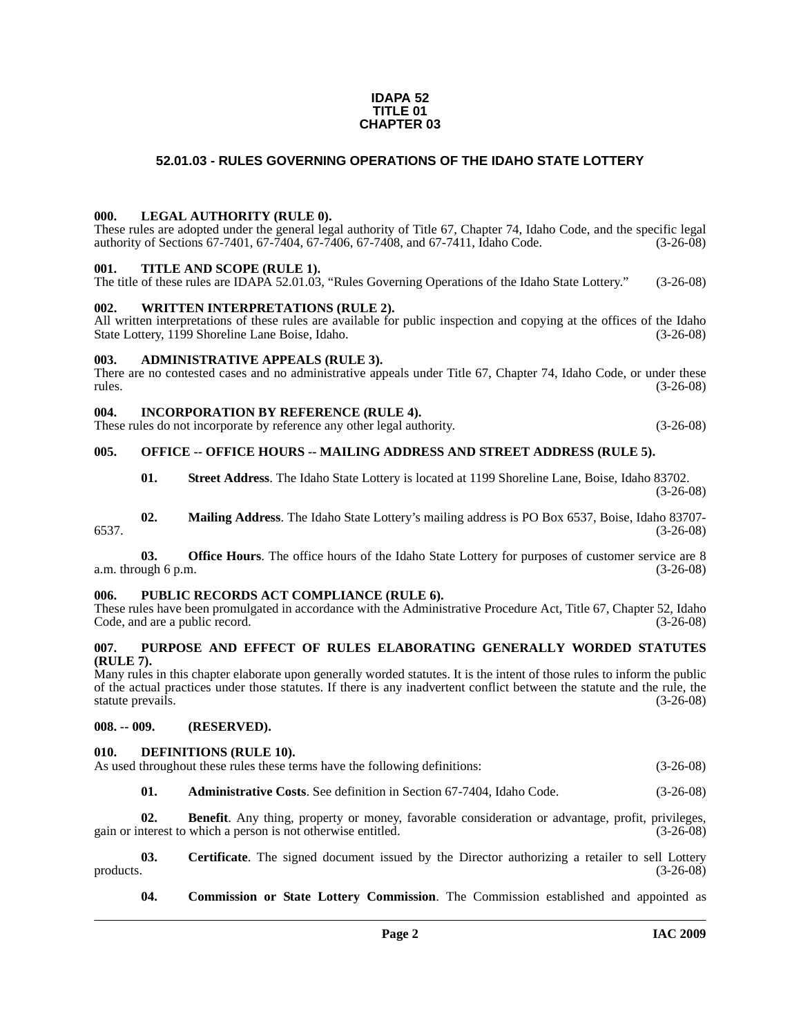#### **IDAPA 52 TITLE 01 CHAPTER 03**

#### **52.01.03 - RULES GOVERNING OPERATIONS OF THE IDAHO STATE LOTTERY**

#### <span id="page-1-1"></span><span id="page-1-0"></span>**000. LEGAL AUTHORITY (RULE 0).**

These rules are adopted under the general legal authority of Title 67, Chapter 74, Idaho Code, and the specific legal authority of Sections 67-7401, 67-7404, 67-7406, 67-7408, and 67-7411, Idaho Code. (3-26-08)

#### <span id="page-1-2"></span>**001. TITLE AND SCOPE (RULE 1).**

The title of these rules are IDAPA 52.01.03, "Rules Governing Operations of the Idaho State Lottery." (3-26-08)

#### <span id="page-1-3"></span>**002. WRITTEN INTERPRETATIONS (RULE 2).**

All written interpretations of these rules are available for public inspection and copying at the offices of the Idaho State Lottery, 1199 Shoreline Lane Boise, Idaho. (3-26-08)

#### <span id="page-1-4"></span>**003. ADMINISTRATIVE APPEALS (RULE 3).**

There are no contested cases and no administrative appeals under Title 67, Chapter 74, Idaho Code, or under these rules. (3-26-08)  $r = (3-26-08)$ 

#### <span id="page-1-5"></span>**004. INCORPORATION BY REFERENCE (RULE 4).**

These rules do not incorporate by reference any other legal authority. (3-26-08)

#### <span id="page-1-6"></span>**005. OFFICE -- OFFICE HOURS -- MAILING ADDRESS AND STREET ADDRESS (RULE 5).**

**01. Street Address**. The Idaho State Lottery is located at 1199 Shoreline Lane, Boise, Idaho 83702. (3-26-08)

**02. Mailing Address**. The Idaho State Lottery's mailing address is PO Box 6537, Boise, Idaho 83707- 6537. (3-26-08)

**03. Office Hours**. The office hours of the Idaho State Lottery for purposes of customer service are 8 a.m. through 6 p.m. (3-26-08)

#### <span id="page-1-7"></span>**006. PUBLIC RECORDS ACT COMPLIANCE (RULE 6).**

These rules have been promulgated in accordance with the Administrative Procedure Act, Title 67, Chapter 52, Idaho Code, and are a public record. (3-26-08)

#### <span id="page-1-16"></span><span id="page-1-8"></span>**007. PURPOSE AND EFFECT OF RULES ELABORATING GENERALLY WORDED STATUTES (RULE 7).**

Many rules in this chapter elaborate upon generally worded statutes. It is the intent of those rules to inform the public of the actual practices under those statutes. If there is any inadvertent conflict between the statute and the rule, the statute prevails. (3-26-08)

#### <span id="page-1-9"></span>**008. -- 009. (RESERVED).**

#### <span id="page-1-15"></span><span id="page-1-10"></span>**010. DEFINITIONS (RULE 10).**

As used throughout these rules these terms have the following definitions: (3-26-08)

<span id="page-1-12"></span><span id="page-1-11"></span>**01. Administrative Costs**. See definition in Section 67-7404, Idaho Code. (3-26-08)

**02. Benefit**. Any thing, property or money, favorable consideration or advantage, profit, privileges, gain or interest to which a person is not otherwise entitled. (3-26-08)

**03.** Certificate. The signed document issued by the Director authorizing a retailer to sell Lottery products. (3-26-08) products.  $(3-26-08)$ 

<span id="page-1-14"></span><span id="page-1-13"></span>**04. Commission or State Lottery Commission**. The Commission established and appointed as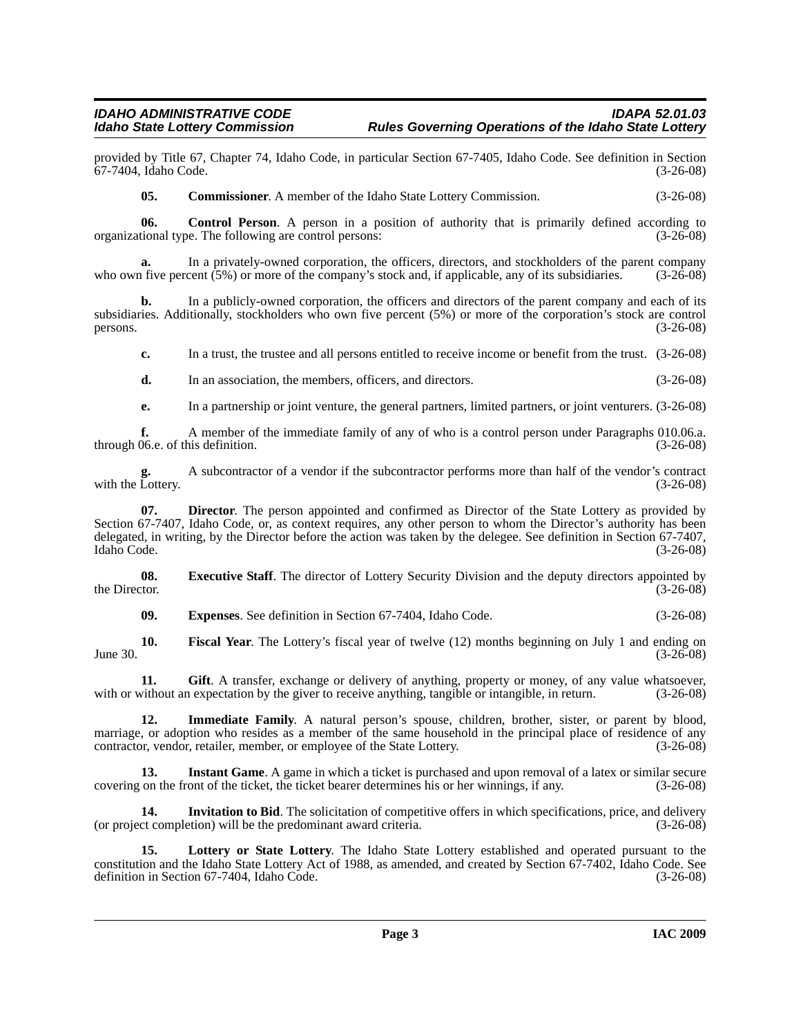provided by Title 67, Chapter 74, Idaho Code, in particular Section 67-7405, Idaho Code. See definition in Section 67-7404, Idaho Code.

<span id="page-2-1"></span><span id="page-2-0"></span>**05. Commissioner**. A member of the Idaho State Lottery Commission. (3-26-08)

**06.** Control Person. A person in a position of authority that is primarily defined according to tional type. The following are control persons: (3-26-08) organizational type. The following are control persons:

**a.** In a privately-owned corporation, the officers, directors, and stockholders of the parent company is for the company's stock and, if applicable, any of its subsidiaries. (3-26-08) who own five percent  $(5\%)$  or more of the company's stock and, if applicable, any of its subsidiaries.

**b.** In a publicly-owned corporation, the officers and directors of the parent company and each of its subsidiaries. Additionally, stockholders who own five percent (5%) or more of the corporation's stock are control persons.  $(3-26-08)$ 

**c.** In a trust, the trustee and all persons entitled to receive income or benefit from the trust.  $(3-26-08)$ 

- **d.** In an association, the members, officers, and directors. (3-26-08)
- **e.** In a partnership or joint venture, the general partners, limited partners, or joint venturers. (3-26-08)

**f.** A member of the immediate family of any of who is a control person under Paragraphs 010.06.a. 06.e. of this definition. (3-26-08) through 06.e. of this definition.

**g.** A subcontractor of a vendor if the subcontractor performs more than half of the vendor's contract with the Lottery.

**07. Director**. The person appointed and confirmed as Director of the State Lottery as provided by Section 67-7407, Idaho Code, or, as context requires, any other person to whom the Director's authority has been delegated, in writing, by the Director before the action was taken by the delegee. See definition in Section 67-7407, Idaho Code. (3-26-08)

**08.** Executive Staff. The director of Lottery Security Division and the deputy directors appointed by the Director.  $(3-26-08)$ the Director.  $(3-26-08)$ 

<span id="page-2-5"></span><span id="page-2-4"></span><span id="page-2-3"></span><span id="page-2-2"></span>**09. Expenses**. See definition in Section 67-7404, Idaho Code. (3-26-08)

**10. Fiscal Year**. The Lottery's fiscal year of twelve (12) months beginning on July 1 and ending on  $\mu$  June 30. (3-26-08)

**11. Gift**. A transfer, exchange or delivery of anything, property or money, of any value whatsoever, with or without an expectation by the giver to receive anything, tangible or intangible, in return.  $(3-26-08)$ 

<span id="page-2-6"></span>**12. Immediate Family**. A natural person's spouse, children, brother, sister, or parent by blood, marriage, or adoption who resides as a member of the same household in the principal place of residence of any<br>contractor, vendor, retailer, member, or employee of the State Lottery. (3-26-08) contractor, vendor, retailer, member, or employee of the State Lottery.

<span id="page-2-7"></span>**13. Instant Game**. A game in which a ticket is purchased and upon removal of a latex or similar secure covering on the front of the ticket, the ticket bearer determines his or her winnings, if any. (3-26-08)

<span id="page-2-8"></span>**14. Invitation to Bid**. The solicitation of competitive offers in which specifications, price, and delivery (or project completion) will be the predominant award criteria. (3-26-08)

<span id="page-2-9"></span>**15. Lottery or State Lottery**. The Idaho State Lottery established and operated pursuant to the constitution and the Idaho State Lottery Act of 1988, as amended, and created by Section 67-7402, Idaho Code. See definition in Section 67-7404, Idaho Code.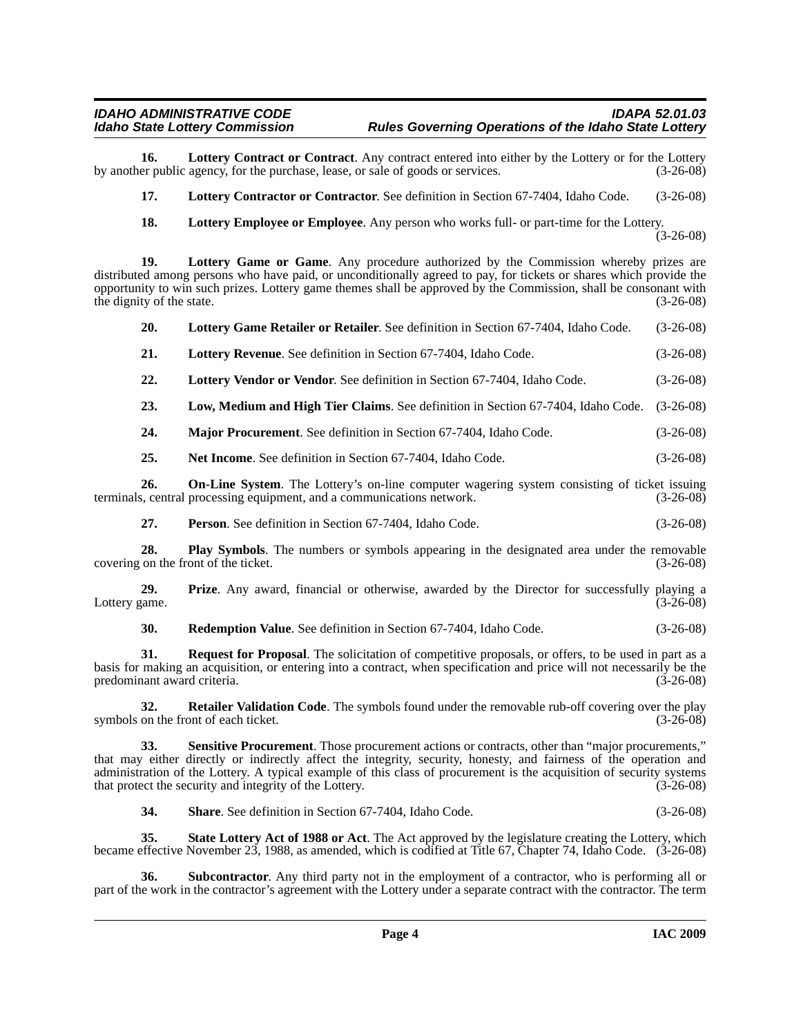**16.** Lottery Contract or Contract. Any contract entered into either by the Lottery or for the Lottery er public agency, for the purchase, lease, or sale of goods or services. (3-26-08) by another public agency, for the purchase, lease, or sale of goods or services.

<span id="page-3-1"></span><span id="page-3-0"></span>**17. Lottery Contractor or Contractor**. See definition in Section 67-7404, Idaho Code. (3-26-08)

<span id="page-3-3"></span><span id="page-3-2"></span>**18. Lottery Employee or Employee**. Any person who works full- or part-time for the Lottery.

 $(3-26-08)$ 

**19. Lottery Game or Game**. Any procedure authorized by the Commission whereby prizes are distributed among persons who have paid, or unconditionally agreed to pay, for tickets or shares which provide the opportunity to win such prizes. Lottery game themes shall be approved by the Commission, shall be consonant with the dignity of the state. (3-26-08)

<span id="page-3-4"></span>

| Lottery Game Retailer or Retailer. See definition in Section 67-7404, Idaho Code.<br>20. | $(3-26-08)$ |
|------------------------------------------------------------------------------------------|-------------|
|------------------------------------------------------------------------------------------|-------------|

<span id="page-3-5"></span>

| 21. | Lottery Revenue. See definition in Section 67-7404, Idaho Code. | $(3-26-08)$ |
|-----|-----------------------------------------------------------------|-------------|
|-----|-----------------------------------------------------------------|-------------|

<span id="page-3-6"></span>**22. Lottery Vendor or Vendor**. See definition in Section 67-7404, Idaho Code. (3-26-08)

<span id="page-3-7"></span>**23. Low, Medium and High Tier Claims**. See definition in Section 67-7404, Idaho Code. (3-26-08)

<span id="page-3-8"></span>**24. Major Procurement**. See definition in Section 67-7404, Idaho Code. (3-26-08)

<span id="page-3-10"></span><span id="page-3-9"></span>**25. Net Income**. See definition in Section 67-7404, Idaho Code. (3-26-08)

**26. On-Line System**. The Lottery's on-line computer wagering system consisting of ticket issuing terminals, central processing equipment, and a communications network. (3-26-08)

<span id="page-3-11"></span>**27. Person**. See definition in Section 67-7404, Idaho Code. (3-26-08)

**28. Play Symbols**. The numbers or symbols appearing in the designated area under the removable on the front of the ticket. (3-26-08) covering on the front of the ticket.

**29. Prize**. Any award, financial or otherwise, awarded by the Director for successfully playing a came.  $(3-26-08)$ Lottery game.

<span id="page-3-15"></span><span id="page-3-14"></span><span id="page-3-13"></span><span id="page-3-12"></span>**30. Redemption Value**. See definition in Section 67-7404, Idaho Code. (3-26-08)

**31. Request for Proposal**. The solicitation of competitive proposals, or offers, to be used in part as a basis for making an acquisition, or entering into a contract, when specification and price will not necessarily be the predominant award criteria. (3-26-08)

**32. Retailer Validation Code**. The symbols found under the removable rub-off covering over the play on the front of each ticket. (3-26-08) symbols on the front of each ticket.

**33. Sensitive Procurement**. Those procurement actions or contracts, other than "major procurements," that may either directly or indirectly affect the integrity, security, honesty, and fairness of the operation and administration of the Lottery. A typical example of this class of procurement is the acquisition of security systems that protect the security and integrity of the Lottery. (3-26-08)

<span id="page-3-19"></span><span id="page-3-18"></span><span id="page-3-17"></span><span id="page-3-16"></span>**34. Share**. See definition in Section 67-7404, Idaho Code. (3-26-08)

**35. State Lottery Act of 1988 or Act**. The Act approved by the legislature creating the Lottery, which became effective November 23, 1988, as amended, which is codified at Title 67, Chapter 74, Idaho Code. (3-26-08)

**Subcontractor**. Any third party not in the employment of a contractor, who is performing all or part of the work in the contractor's agreement with the Lottery under a separate contract with the contractor. The term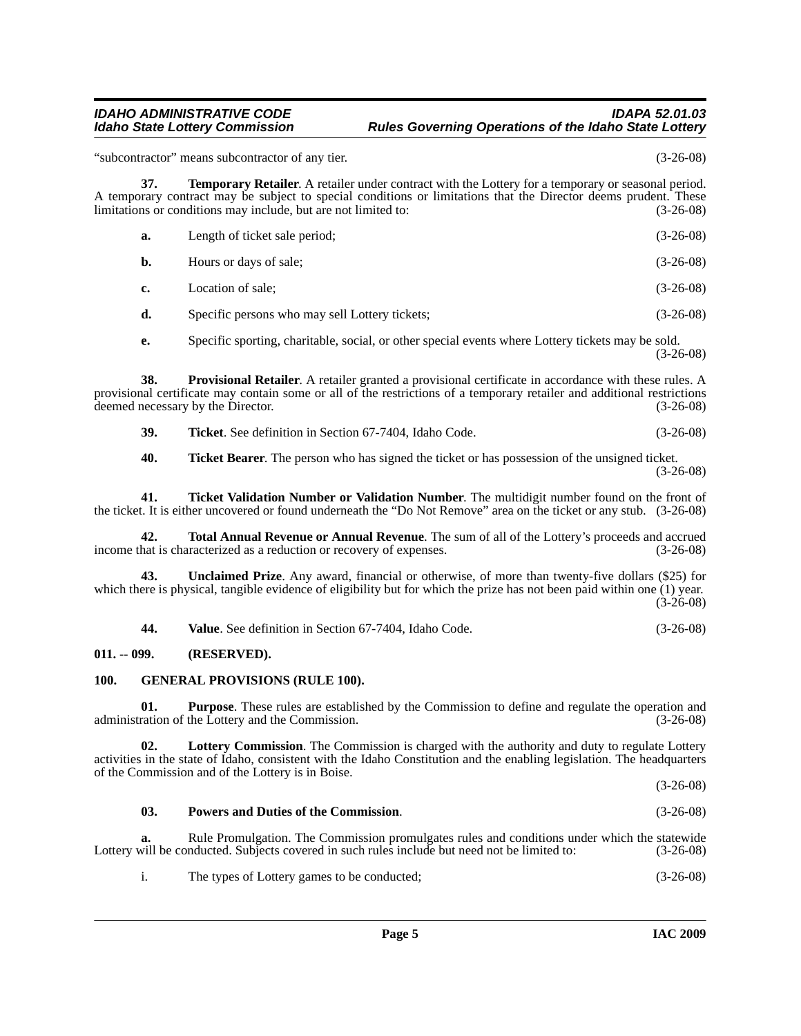"subcontractor" means subcontractor of any tier. (3-26-08)

**37. Temporary Retailer**. A retailer under contract with the Lottery for a temporary or seasonal period. A temporary contract may be subject to special conditions or limitations that the Director deems prudent. These limitations or conditions may include, but are not limited to: (3-26-08)  $I$ ength of ticket sale period; (3-26-08)

<span id="page-4-7"></span>

| a.        | Length of ticket sale perfout. | $U$ -20-00  |
|-----------|--------------------------------|-------------|
| <b>b.</b> | Hours or days of sale;         | $(3-26-08)$ |

**c.** Location of sale; (3-26-08)

**d.** Specific persons who may sell Lottery tickets; (3-26-08)

<span id="page-4-5"></span>**e.** Specific sporting, charitable, social, or other special events where Lottery tickets may be sold. (3-26-08)

**38. Provisional Retailer**. A retailer granted a provisional certificate in accordance with these rules. A provisional certificate may contain some or all of the restrictions of a temporary retailer and additional restrictions deemed necessary by the Director. (3-26-08)

<span id="page-4-8"></span>**39. Ticket**. See definition in Section 67-7404, Idaho Code. (3-26-08)

<span id="page-4-11"></span><span id="page-4-10"></span><span id="page-4-9"></span>**40. Ticket Bearer**. The person who has signed the ticket or has possession of the unsigned ticket. (3-26-08)

**41. Ticket Validation Number or Validation Number**. The multidigit number found on the front of the ticket. It is either uncovered or found underneath the "Do Not Remove" area on the ticket or any stub. (3-26-08)

**42. Total Annual Revenue or Annual Revenue**. The sum of all of the Lottery's proceeds and accrued income that is characterized as a reduction or recovery of expenses. (3-26-08)

**43. Unclaimed Prize**. Any award, financial or otherwise, of more than twenty-five dollars (\$25) for which there is physical, tangible evidence of eligibility but for which the prize has not been paid within one (1) year. (3-26-08)

<span id="page-4-13"></span><span id="page-4-12"></span><span id="page-4-6"></span><span id="page-4-2"></span>**44. Value**. See definition in Section 67-7404, Idaho Code. (3-26-08)

#### <span id="page-4-0"></span>**011. -- 099. (RESERVED).**

#### <span id="page-4-1"></span>**100. GENERAL PROVISIONS (RULE 100).**

**01. Purpose**. These rules are established by the Commission to define and regulate the operation and ration of the Lottery and the Commission. (3-26-08) administration of the Lottery and the Commission.

**02. Lottery Commission**. The Commission is charged with the authority and duty to regulate Lottery activities in the state of Idaho, consistent with the Idaho Constitution and the enabling legislation. The headquarters of the Commission and of the Lottery is in Boise. (3-26-08)

### <span id="page-4-4"></span><span id="page-4-3"></span>**03. Powers and Duties of the Commission**. (3-26-08)

**a.** Rule Promulgation. The Commission promulgates rules and conditions under which the statewide Lottery will be conducted. Subjects covered in such rules include but need not be limited to: (3-26-08)

i. The types of Lottery games to be conducted; (3-26-08)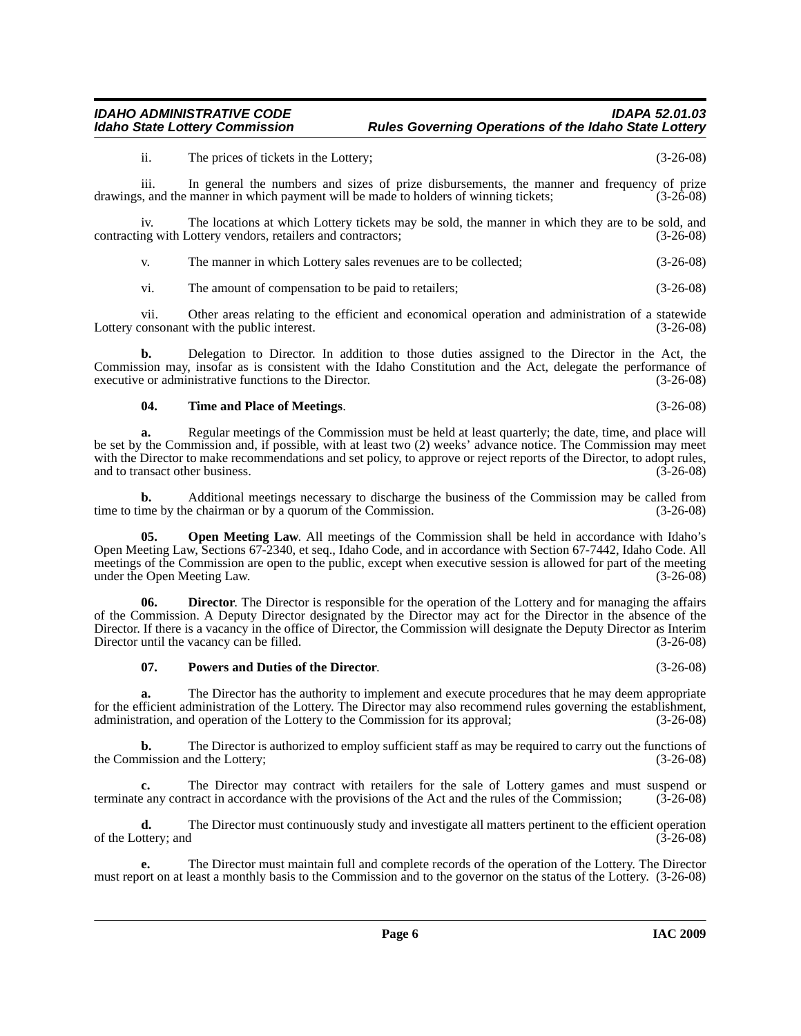ii. The prices of tickets in the Lottery; (3-26-08)

iii. In general the numbers and sizes of prize disbursements, the manner and frequency of prize<br>s. and the manner in which payment will be made to holders of winning tickets: (3-26-08) drawings, and the manner in which payment will be made to holders of winning tickets;

iv. The locations at which Lottery tickets may be sold, the manner in which they are to be sold, and ng with Lottery vendors, retailers and contractors; (3-26-08) contracting with Lottery vendors, retailers and contractors;

v. The manner in which Lottery sales revenues are to be collected; (3-26-08)

vi. The amount of compensation to be paid to retailers; (3-26-08)

vii. Other areas relating to the efficient and economical operation and administration of a statewide Lottery consonant with the public interest. (3-26-08)

**b.** Delegation to Director. In addition to those duties assigned to the Director in the Act, the Commission may, insofar as is consistent with the Idaho Constitution and the Act, delegate the performance of executive or administrative functions to the Director. (3-26-08)

#### <span id="page-5-2"></span>**04. Time and Place of Meetings**. (3-26-08)

**a.** Regular meetings of the Commission must be held at least quarterly; the date, time, and place will be set by the Commission and, if possible, with at least two (2) weeks' advance notice. The Commission may meet with the Director to make recommendations and set policy, to approve or reject reports of the Director, to adopt rules, and to transact other business. (3-26-08)

**b.** Additional meetings necessary to discharge the business of the Commission may be called from ime by the chairman or by a quorum of the Commission. (3-26-08) time to time by the chairman or by a quorum of the Commission.

<span id="page-5-0"></span>**05.** Open Meeting Law. All meetings of the Commission shall be held in accordance with Idaho's Open Meeting Law, Sections 67-2340, et seq., Idaho Code, and in accordance with Section 67-7442, Idaho Code. All meetings of the Commission are open to the public, except when executive session is allowed for part of the meeting under the Open Meeting Law. (3-26-08)

**06. Director**. The Director is responsible for the operation of the Lottery and for managing the affairs of the Commission. A Deputy Director designated by the Director may act for the Director in the absence of the Director. If there is a vacancy in the office of Director, the Commission will designate the Deputy Director as Interim Director until the vacancy can be filled. (3-26-08)

#### <span id="page-5-1"></span>**07. Powers and Duties of the Director**. (3-26-08)

**a.** The Director has the authority to implement and execute procedures that he may deem appropriate for the efficient administration of the Lottery. The Director may also recommend rules governing the establishment, administration, and operation of the Lottery to the Commission for its approval; (3-26-08) administration, and operation of the Lottery to the Commission for its approval;

**b.** The Director is authorized to employ sufficient staff as may be required to carry out the functions of the Commission and the Lottery; (3-26-08)

**c.** The Director may contract with retailers for the sale of Lottery games and must suspend or any contract in accordance with the provisions of the Act and the rules of the Commission; (3-26-08) terminate any contract in accordance with the provisions of the Act and the rules of the Commission;

**d.** The Director must continuously study and investigate all matters pertinent to the efficient operation of the Lottery; and  $(3-26-08)$ 

**e.** The Director must maintain full and complete records of the operation of the Lottery. The Director must report on at least a monthly basis to the Commission and to the governor on the status of the Lottery. (3-26-08)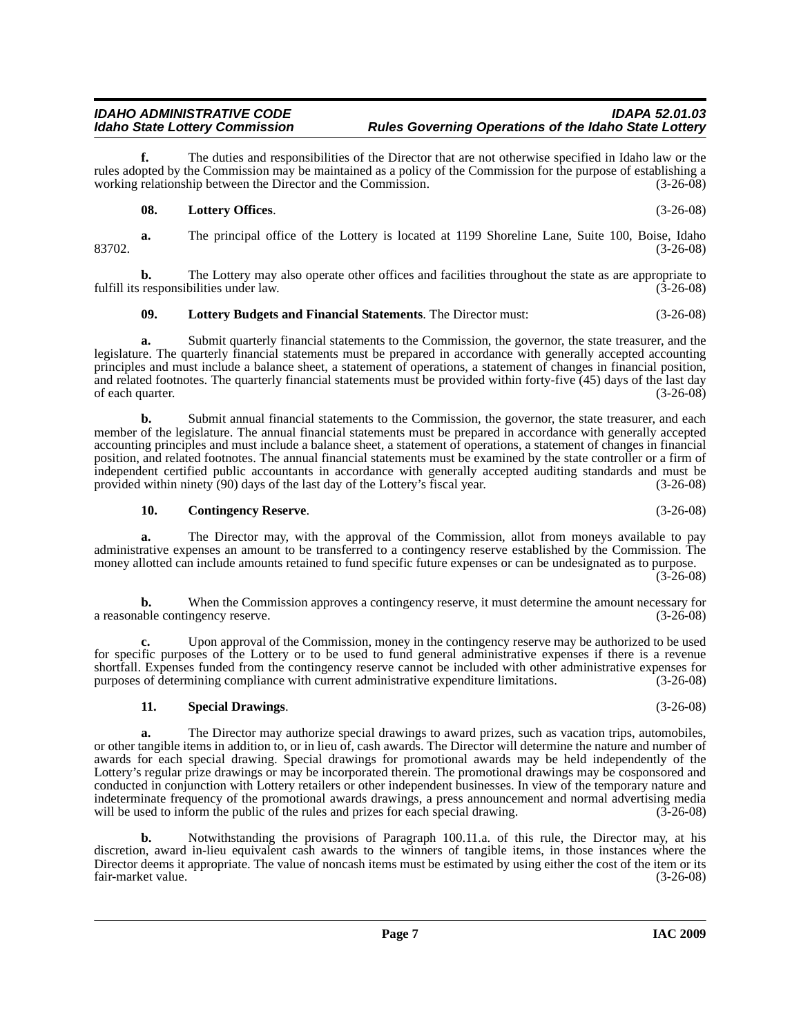**f.** The duties and responsibilities of the Director that are not otherwise specified in Idaho law or the rules adopted by the Commission may be maintained as a policy of the Commission for the purpose of establishing a working relationship between the Director and the Commission. (3-26-08)

#### <span id="page-6-2"></span>**08. Lottery Offices**. (3-26-08)

**a.** The principal office of the Lottery is located at 1199 Shoreline Lane, Suite 100, Boise, Idaho 83702. (3-26-08)

**b.** The Lottery may also operate other offices and facilities throughout the state as are appropriate to responsibilities under law.  $(3-26-08)$ fulfill its responsibilities under law.

#### <span id="page-6-1"></span>**09. Lottery Budgets and Financial Statements**. The Director must: (3-26-08)

**a.** Submit quarterly financial statements to the Commission, the governor, the state treasurer, and the legislature. The quarterly financial statements must be prepared in accordance with generally accepted accounting principles and must include a balance sheet, a statement of operations, a statement of changes in financial position, and related footnotes. The quarterly financial statements must be provided within forty-five (45) days of the last day of each quarter. (3-26-08)

**b.** Submit annual financial statements to the Commission, the governor, the state treasurer, and each member of the legislature. The annual financial statements must be prepared in accordance with generally accepted accounting principles and must include a balance sheet, a statement of operations, a statement of changes in financial position, and related footnotes. The annual financial statements must be examined by the state controller or a firm of independent certified public accountants in accordance with generally accepted auditing standards and must be provided within ninety  $(90)$  days of the last day of the Lottery's fiscal year.

#### <span id="page-6-0"></span>**10. Contingency Reserve**. (3-26-08)

**a.** The Director may, with the approval of the Commission, allot from moneys available to pay administrative expenses an amount to be transferred to a contingency reserve established by the Commission. The money allotted can include amounts retained to fund specific future expenses or can be undesignated as to purpose. (3-26-08)

**b.** When the Commission approves a contingency reserve, it must determine the amount necessary for a reasonable contingency reserve. (3-26-08)

**c.** Upon approval of the Commission, money in the contingency reserve may be authorized to be used for specific purposes of the Lottery or to be used to fund general administrative expenses if there is a revenue shortfall. Expenses funded from the contingency reserve cannot be included with other administrative expenses for purposes of determining compliance with current administrative expenditure limitations. (3-26-08)

#### <span id="page-6-3"></span>**11. Special Drawings**. (3-26-08)

**a.** The Director may authorize special drawings to award prizes, such as vacation trips, automobiles, or other tangible items in addition to, or in lieu of, cash awards. The Director will determine the nature and number of awards for each special drawing. Special drawings for promotional awards may be held independently of the Lottery's regular prize drawings or may be incorporated therein. The promotional drawings may be cosponsored and conducted in conjunction with Lottery retailers or other independent businesses. In view of the temporary nature and indeterminate frequency of the promotional awards drawings, a press announcement and normal advertising media will be used to inform the public of the rules and prizes for each special drawing. (3-26-08)

**b.** Notwithstanding the provisions of Paragraph 100.11.a. of this rule, the Director may, at his discretion, award in-lieu equivalent cash awards to the winners of tangible items, in those instances where the Director deems it appropriate. The value of noncash items must be estimated by using either the cost of the item or its fair-market value. (3-26-08) fair-market value.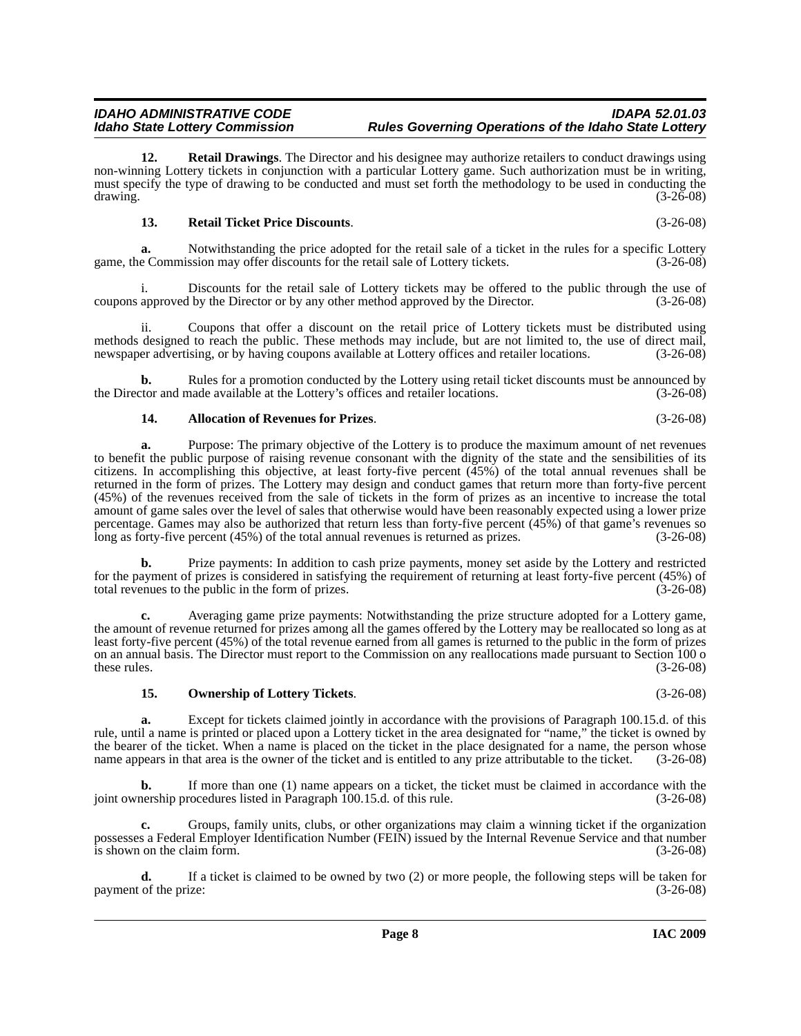**12. Retail Drawings**. The Director and his designee may authorize retailers to conduct drawings using non-winning Lottery tickets in conjunction with a particular Lottery game. Such authorization must be in writing, must specify the type of drawing to be conducted and must set forth the methodology to be used in conducting the drawing. (3-26-08)  $d$ rawing.  $(3-26-08)$ 

#### <span id="page-7-3"></span><span id="page-7-2"></span>**13. Retail Ticket Price Discounts**. (3-26-08)

**a.** Notwithstanding the price adopted for the retail sale of a ticket in the rules for a specific Lottery game, the Commission may offer discounts for the retail sale of Lottery tickets. (3-26-08)

i. Discounts for the retail sale of Lottery tickets may be offered to the public through the use of coupons approved by the Director or by any other method approved by the Director. (3-26-08)

Coupons that offer a discount on the retail price of Lottery tickets must be distributed using methods designed to reach the public. These methods may include, but are not limited to, the use of direct mail, newspaper advertising, or by having coupons available at Lottery offices and retailer locations. (3-26-08)

**b.** Rules for a promotion conducted by the Lottery using retail ticket discounts must be announced by the Director and made available at the Lottery's offices and retailer locations. (3-26-08)

#### <span id="page-7-0"></span>**14. Allocation of Revenues for Prizes**. (3-26-08)

**a.** Purpose: The primary objective of the Lottery is to produce the maximum amount of net revenues to benefit the public purpose of raising revenue consonant with the dignity of the state and the sensibilities of its citizens. In accomplishing this objective, at least forty-five percent (45%) of the total annual revenues shall be returned in the form of prizes. The Lottery may design and conduct games that return more than forty-five percent (45%) of the revenues received from the sale of tickets in the form of prizes as an incentive to increase the total amount of game sales over the level of sales that otherwise would have been reasonably expected using a lower prize percentage. Games may also be authorized that return less than forty-five percent (45%) of that game's revenues so long as forty-five percent (45%) of the total annual revenues is returned as prizes. (3-26-08)

**b.** Prize payments: In addition to cash prize payments, money set aside by the Lottery and restricted for the payment of prizes is considered in satisfying the requirement of returning at least forty-five percent (45%) of total revenues to the public in the form of prizes. (3-26-08)

**c.** Averaging game prize payments: Notwithstanding the prize structure adopted for a Lottery game, the amount of revenue returned for prizes among all the games offered by the Lottery may be reallocated so long as at least forty-five percent (45%) of the total revenue earned from all games is returned to the public in the form of prizes on an annual basis. The Director must report to the Commission on any reallocations made pursuant to Section 100 o these rules.  $(3-26-08)$ 

#### <span id="page-7-1"></span>**15. Ownership of Lottery Tickets**. (3-26-08)

**a.** Except for tickets claimed jointly in accordance with the provisions of Paragraph 100.15.d. of this rule, until a name is printed or placed upon a Lottery ticket in the area designated for "name," the ticket is owned by the bearer of the ticket. When a name is placed on the ticket in the place designated for a name, the person whose name appears in that area is the owner of the ticket and is entitled to any prize attributable to the ticket. (3-26-08)

**b.** If more than one (1) name appears on a ticket, the ticket must be claimed in accordance with the nership procedures listed in Paragraph 100.15.d. of this rule. (3-26-08) joint ownership procedures listed in Paragraph 100.15.d. of this rule.

**c.** Groups, family units, clubs, or other organizations may claim a winning ticket if the organization possesses a Federal Employer Identification Number (FEIN) issued by the Internal Revenue Service and that number is shown on the claim form. (3-26-08)

**d.** If a ticket is claimed to be owned by two (2) or more people, the following steps will be taken for payment of the prize: (3-26-08)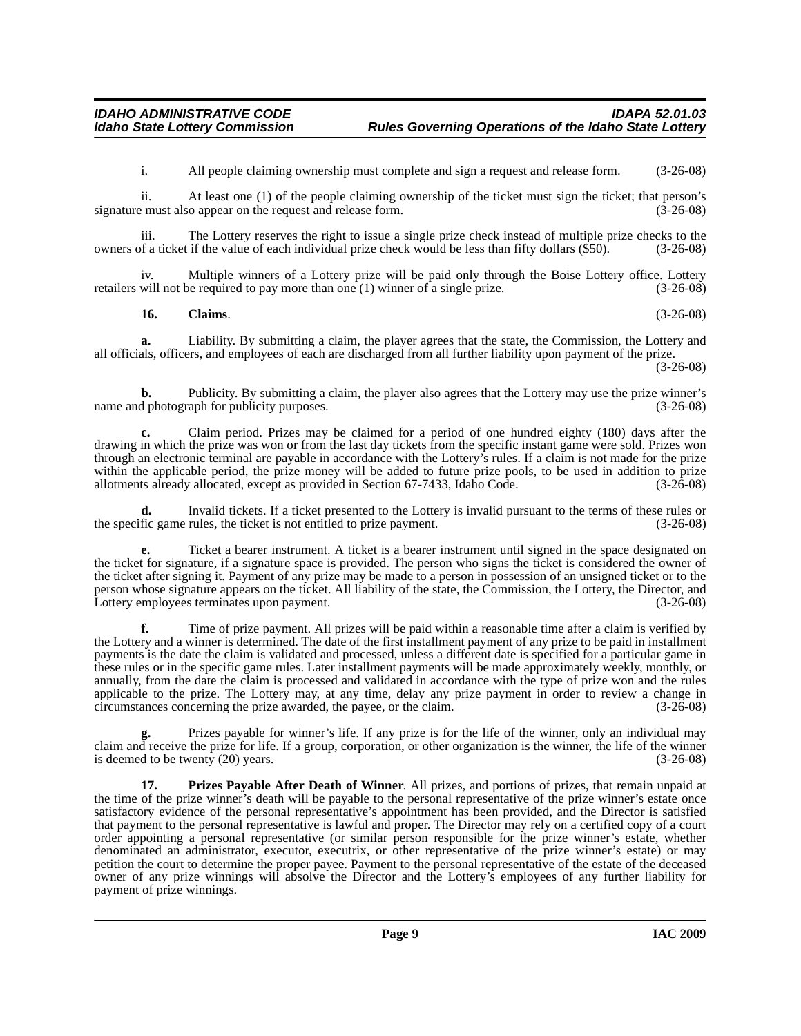i. All people claiming ownership must complete and sign a request and release form. (3-26-08)

ii. At least one (1) of the people claiming ownership of the ticket must sign the ticket; that person's signature must also appear on the request and release form.

iii. The Lottery reserves the right to issue a single prize check instead of multiple prize checks to the of a ticket if the value of each individual prize check would be less than fifty dollars (\$50). (3-26-08) owners of a ticket if the value of each individual prize check would be less than fifty dollars  $(\$50)$ .

Multiple winners of a Lottery prize will be paid only through the Boise Lottery office. Lottery be required to pay more than one (1) winner of a single prize. (3-26-08) retailers will not be required to pay more than one  $(1)$  winner of a single prize.

#### <span id="page-8-0"></span>**16. Claims**. (3-26-08)

**a.** Liability. By submitting a claim, the player agrees that the state, the Commission, the Lottery and all officials, officers, and employees of each are discharged from all further liability upon payment of the prize. (3-26-08)

**b.** Publicity. By submitting a claim, the player also agrees that the Lottery may use the prize winner's d photograph for publicity purposes.  $(3-26-08)$ name and photograph for publicity purposes.

**c.** Claim period. Prizes may be claimed for a period of one hundred eighty (180) days after the drawing in which the prize was won or from the last day tickets from the specific instant game were sold. Prizes won through an electronic terminal are payable in accordance with the Lottery's rules. If a claim is not made for the prize within the applicable period, the prize money will be added to future prize pools, to be used in addition to prize allotments already allocated, except as provided in Section 67-7433, Idaho Code. (3-26-08) allotments already allocated, except as provided in Section 67-7433, Idaho Code.

**d.** Invalid tickets. If a ticket presented to the Lottery is invalid pursuant to the terms of these rules or fic game rules, the ticket is not entitled to prize payment. (3-26-08) the specific game rules, the ticket is not entitled to prize payment.

**e.** Ticket a bearer instrument. A ticket is a bearer instrument until signed in the space designated on the ticket for signature, if a signature space is provided. The person who signs the ticket is considered the owner of the ticket after signing it. Payment of any prize may be made to a person in possession of an unsigned ticket or to the person whose signature appears on the ticket. All liability of the state, the Commission, the Lottery, the Director, and Lottery employees terminates upon payment. Lottery employees terminates upon payment.

**f.** Time of prize payment. All prizes will be paid within a reasonable time after a claim is verified by the Lottery and a winner is determined. The date of the first installment payment of any prize to be paid in installment payments is the date the claim is validated and processed, unless a different date is specified for a particular game in these rules or in the specific game rules. Later installment payments will be made approximately weekly, monthly, or annually, from the date the claim is processed and validated in accordance with the type of prize won and the rules applicable to the prize. The Lottery may, at any time, delay any prize payment in order to review a change in circumstances concerning the prize awarded, the payee, or the claim. (3-26-08)

Prizes payable for winner's life. If any prize is for the life of the winner, only an individual may claim and receive the prize for life. If a group, corporation, or other organization is the winner, the life of the winner is deemed to be twenty (20) years. (3-26-08)

<span id="page-8-1"></span>**17. Prizes Payable After Death of Winner**. All prizes, and portions of prizes, that remain unpaid at the time of the prize winner's death will be payable to the personal representative of the prize winner's estate once satisfactory evidence of the personal representative's appointment has been provided, and the Director is satisfied that payment to the personal representative is lawful and proper. The Director may rely on a certified copy of a court order appointing a personal representative (or similar person responsible for the prize winner's estate, whether denominated an administrator, executor, executrix, or other representative of the prize winner's estate) or may petition the court to determine the proper payee. Payment to the personal representative of the estate of the deceased owner of any prize winnings will absolve the Director and the Lottery's employees of any further liability for payment of prize winnings.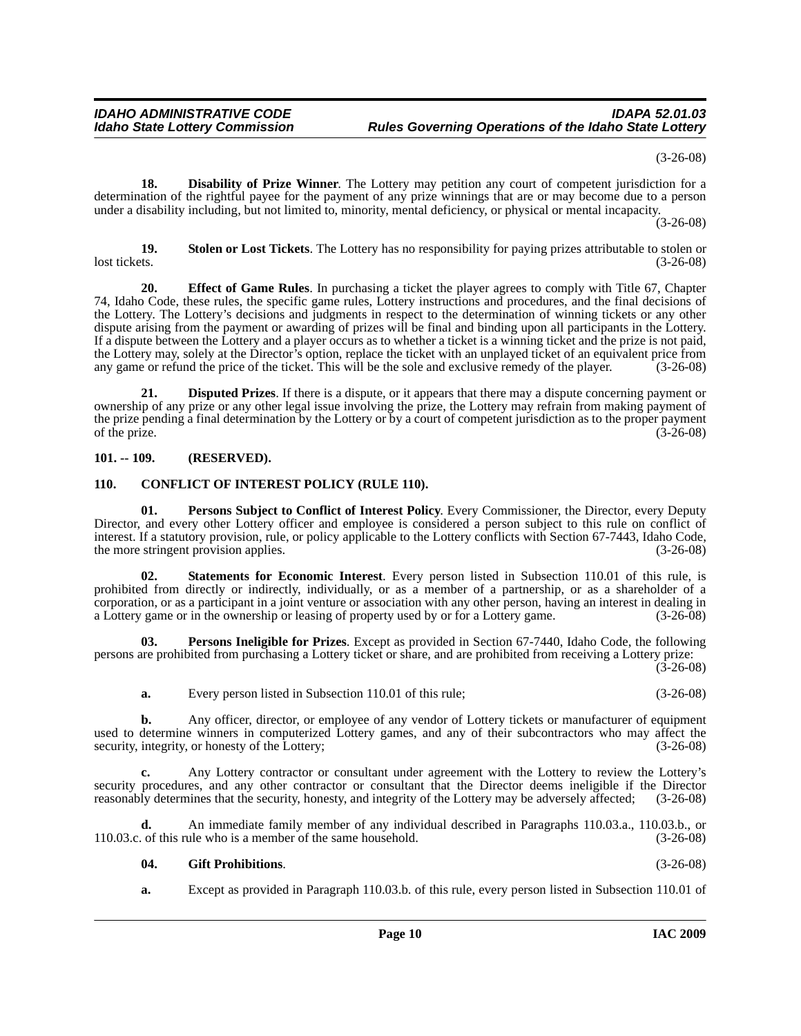(3-26-08)

<span id="page-9-3"></span>**18. Disability of Prize Winner**. The Lottery may petition any court of competent jurisdiction for a determination of the rightful payee for the payment of any prize winnings that are or may become due to a person under a disability including, but not limited to, minority, mental deficiency, or physical or mental incapacity.

(3-26-08)

<span id="page-9-10"></span>**19. Stolen or Lost Tickets**. The Lottery has no responsibility for paying prizes attributable to stolen or lost tickets. (3-26-08)

<span id="page-9-5"></span>**20. Effect of Game Rules**. In purchasing a ticket the player agrees to comply with Title 67, Chapter 74, Idaho Code, these rules, the specific game rules, Lottery instructions and procedures, and the final decisions of the Lottery. The Lottery's decisions and judgments in respect to the determination of winning tickets or any other dispute arising from the payment or awarding of prizes will be final and binding upon all participants in the Lottery. If a dispute between the Lottery and a player occurs as to whether a ticket is a winning ticket and the prize is not paid, the Lottery may, solely at the Director's option, replace the ticket with an unplayed ticket of an equivalent price from any game or refund the price of the ticket. This will be the sole and exclusive remedy of the player. any game or refund the price of the ticket. This will be the sole and exclusive remedy of the player.

<span id="page-9-4"></span>**21. Disputed Prizes**. If there is a dispute, or it appears that there may a dispute concerning payment or ownership of any prize or any other legal issue involving the prize, the Lottery may refrain from making payment of the prize pending a final determination by the Lottery or by a court of competent jurisdiction as to the proper payment<br>
(3-26-08) of the prize.  $(3-26-08)$ 

#### <span id="page-9-0"></span>**101. -- 109. (RESERVED).**

#### <span id="page-9-2"></span><span id="page-9-1"></span>**110. CONFLICT OF INTEREST POLICY (RULE 110).**

<span id="page-9-8"></span>**01. Persons Subject to Conflict of Interest Policy**. Every Commissioner, the Director, every Deputy Director, and every other Lottery officer and employee is considered a person subject to this rule on conflict of interest. If a statutory provision, rule, or policy applicable to the Lottery conflicts with Section 67-7443, Idaho Code, the more stringent provision applies. (3-26-08) the more stringent provision applies.

<span id="page-9-9"></span>**02. Statements for Economic Interest**. Every person listed in Subsection 110.01 of this rule, is prohibited from directly or indirectly, individually, or as a member of a partnership, or as a shareholder of a corporation, or as a participant in a joint venture or association with any other person, having an interest in dealing in a Lottery game or in the ownership or leasing of property used by or for a Lottery game. (3-26-08)

**03. Persons Ineligible for Prizes**. Except as provided in Section 67-7440, Idaho Code, the following persons are prohibited from purchasing a Lottery ticket or share, and are prohibited from receiving a Lottery prize:  $(3 - 26 - 08)$ 

<span id="page-9-7"></span>**a.** Every person listed in Subsection 110.01 of this rule; (3-26-08)

**b.** Any officer, director, or employee of any vendor of Lottery tickets or manufacturer of equipment used to determine winners in computerized Lottery games, and any of their subcontractors who may affect the security, integrity, or honesty of the Lottery; (3-26-08) security, integrity, or honesty of the Lottery;

**c.** Any Lottery contractor or consultant under agreement with the Lottery to review the Lottery's security procedures, and any other contractor or consultant that the Director deems ineligible if the Director reasonably determines that the security, honesty, and integrity of the Lottery may be adversely affected; (3-26 reasonably determines that the security, honesty, and integrity of the Lottery may be adversely affected;

**d.** An immediate family member of any individual described in Paragraphs 110.03.a., 110.03.b., or 110.03.c. of this rule who is a member of the same household. (3-26-08)

### <span id="page-9-6"></span>**04. Gift Prohibitions**. (3-26-08)

**a.** Except as provided in Paragraph 110.03.b. of this rule, every person listed in Subsection 110.01 of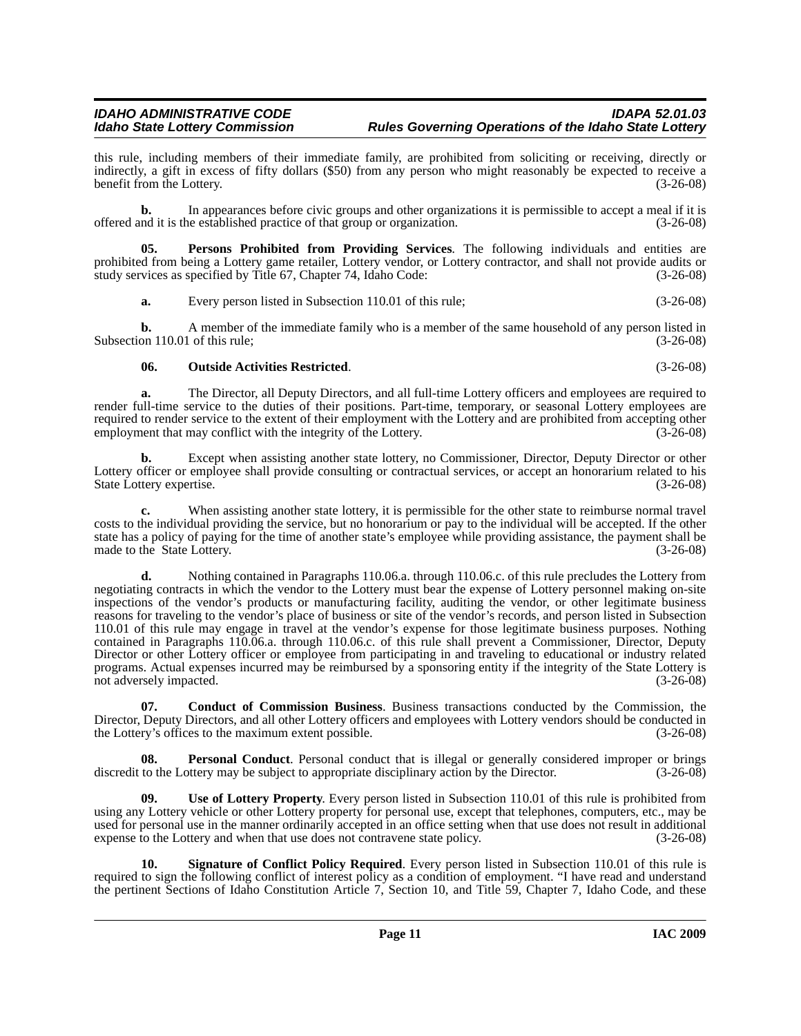this rule, including members of their immediate family, are prohibited from soliciting or receiving, directly or indirectly, a gift in excess of fifty dollars (\$50) from any person who might reasonably be expected to receive a benefit from the Lottery. (3-26-08)

**b.** In appearances before civic groups and other organizations it is permissible to accept a meal if it is offered and it is the established practice of that group or organization. (3-26-08)

**05. Persons Prohibited from Providing Services**. The following individuals and entities are prohibited from being a Lottery game retailer, Lottery vendor, or Lottery contractor, and shall not provide audits or study services as specified by Title 67, Chapter 74, Idaho Code: (3-26-08)

<span id="page-10-3"></span>**a.** Every person listed in Subsection 110.01 of this rule; (3-26-08)

**b.** A member of the immediate family who is a member of the same household of any person listed in Subsection 110.01 of this rule; (3-26-08)

#### <span id="page-10-1"></span>**06. Outside Activities Restricted**. (3-26-08)

**a.** The Director, all Deputy Directors, and all full-time Lottery officers and employees are required to render full-time service to the duties of their positions. Part-time, temporary, or seasonal Lottery employees are required to render service to the extent of their employment with the Lottery and are prohibited from accepting other<br>(3-26-08) (3-26-08) employment that may conflict with the integrity of the Lottery.

**b.** Except when assisting another state lottery, no Commissioner, Director, Deputy Director or other Lottery officer or employee shall provide consulting or contractual services, or accept an honorarium related to his<br>
State Lottery expertise. (3-26-08) State Lottery expertise.

**c.** When assisting another state lottery, it is permissible for the other state to reimburse normal travel costs to the individual providing the service, but no honorarium or pay to the individual will be accepted. If the other state has a policy of paying for the time of another state's employee while providing assistance, the payment shall be made to the State Lottery. (3-26-08) made to the State Lottery.

Nothing contained in Paragraphs 110.06.a. through 110.06.c. of this rule precludes the Lottery from negotiating contracts in which the vendor to the Lottery must bear the expense of Lottery personnel making on-site inspections of the vendor's products or manufacturing facility, auditing the vendor, or other legitimate business reasons for traveling to the vendor's place of business or site of the vendor's records, and person listed in Subsection 110.01 of this rule may engage in travel at the vendor's expense for those legitimate business purposes. Nothing contained in Paragraphs 110.06.a. through 110.06.c. of this rule shall prevent a Commissioner, Director, Deputy Director or other Lottery officer or employee from participating in and traveling to educational or industry related programs. Actual expenses incurred may be reimbursed by a sponsoring entity if the integrity of the State Lottery is not adversely impacted. (3-26-08)

<span id="page-10-0"></span>**07. Conduct of Commission Business**. Business transactions conducted by the Commission, the Director, Deputy Directors, and all other Lottery officers and employees with Lottery vendors should be conducted in the Lottery's offices to the maximum extent possible. (3-26-08)

<span id="page-10-2"></span>**08. Personal Conduct**. Personal conduct that is illegal or generally considered improper or brings discredit to the Lottery may be subject to appropriate disciplinary action by the Director. (3-26-08)

<span id="page-10-5"></span>**09. Use of Lottery Property**. Every person listed in Subsection 110.01 of this rule is prohibited from using any Lottery vehicle or other Lottery property for personal use, except that telephones, computers, etc., may be used for personal use in the manner ordinarily accepted in an office setting when that use does not result in additional expense to the Lottery and when that use does not contravene state policy. (3-26-08)

<span id="page-10-4"></span>**10. Signature of Conflict Policy Required**. Every person listed in Subsection 110.01 of this rule is required to sign the following conflict of interest policy as a condition of employment. "I have read and understand the pertinent Sections of Idaho Constitution Article 7, Section 10, and Title 59, Chapter 7, Idaho Code, and these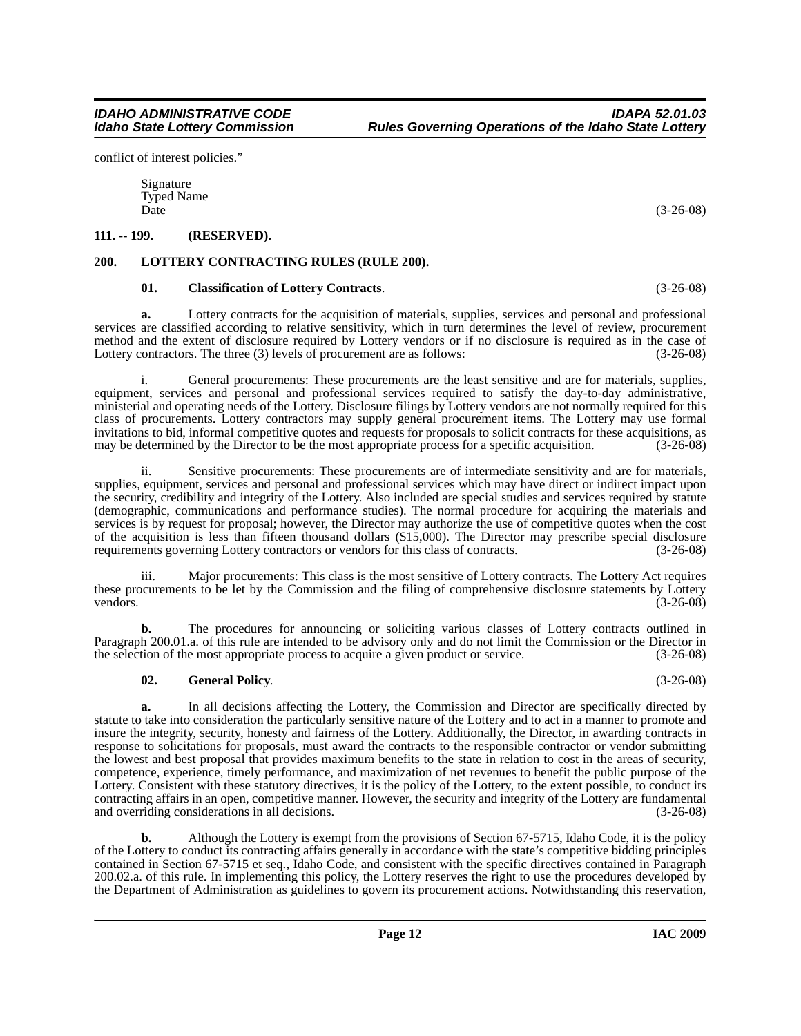conflict of interest policies."

Signature Typed Name  $\Box$  Date (3-26-08)

### <span id="page-11-0"></span>**111. -- 199. (RESERVED).**

### <span id="page-11-1"></span>**200. LOTTERY CONTRACTING RULES (RULE 200).**

### <span id="page-11-4"></span><span id="page-11-2"></span>**01. Classification of Lottery Contracts**. (3-26-08)

**a.** Lottery contracts for the acquisition of materials, supplies, services and personal and professional services are classified according to relative sensitivity, which in turn determines the level of review, procurement method and the extent of disclosure required by Lottery vendors or if no disclosure is required as in the case of Lottery contractors. The three (3) levels of procurement are as follows: (3-26-08)

i. General procurements: These procurements are the least sensitive and are for materials, supplies, equipment, services and personal and professional services required to satisfy the day-to-day administrative, ministerial and operating needs of the Lottery. Disclosure filings by Lottery vendors are not normally required for this class of procurements. Lottery contractors may supply general procurement items. The Lottery may use formal invitations to bid, informal competitive quotes and requests for proposals to solicit contracts for these acquisitions, as may be determined by the Director to be the most appropriate process for a specific acquisition. (3 may be determined by the Director to be the most appropriate process for a specific acquisition.

ii. Sensitive procurements: These procurements are of intermediate sensitivity and are for materials, supplies, equipment, services and personal and professional services which may have direct or indirect impact upon the security, credibility and integrity of the Lottery. Also included are special studies and services required by statute (demographic, communications and performance studies). The normal procedure for acquiring the materials and services is by request for proposal; however, the Director may authorize the use of competitive quotes when the cost of the acquisition is less than fifteen thousand dollars (\$15,000). The Director may prescribe special disclosure requirements governing Lottery contractors or vendors for this class of contracts. (3-26-08) requirements governing Lottery contractors or vendors for this class of contracts.

iii. Major procurements: This class is the most sensitive of Lottery contracts. The Lottery Act requires these procurements to be let by the Commission and the filing of comprehensive disclosure statements by Lottery<br>(3-26-08) vendors. (3-26-08)

**b.** The procedures for announcing or soliciting various classes of Lottery contracts outlined in Paragraph 200.01.a. of this rule are intended to be advisory only and do not limit the Commission or the Director in the selection of the most appropriate process to acquire a given product or service. (3-26-08)

### <span id="page-11-3"></span>**02. General Policy**. (3-26-08)

**a.** In all decisions affecting the Lottery, the Commission and Director are specifically directed by statute to take into consideration the particularly sensitive nature of the Lottery and to act in a manner to promote and insure the integrity, security, honesty and fairness of the Lottery. Additionally, the Director, in awarding contracts in response to solicitations for proposals, must award the contracts to the responsible contractor or vendor submitting the lowest and best proposal that provides maximum benefits to the state in relation to cost in the areas of security, competence, experience, timely performance, and maximization of net revenues to benefit the public purpose of the Lottery. Consistent with these statutory directives, it is the policy of the Lottery, to the extent possible, to conduct its contracting affairs in an open, competitive manner. However, the security and integrity of the Lottery are fundamental and overriding considerations in all decisions. (3-26-08) (3-26-08)

**b.** Although the Lottery is exempt from the provisions of Section 67-5715, Idaho Code, it is the policy of the Lottery to conduct its contracting affairs generally in accordance with the state's competitive bidding principles contained in Section 67-5715 et seq., Idaho Code, and consistent with the specific directives contained in Paragraph 200.02.a. of this rule. In implementing this policy, the Lottery reserves the right to use the procedures developed by the Department of Administration as guidelines to govern its procurement actions. Notwithstanding this reservation,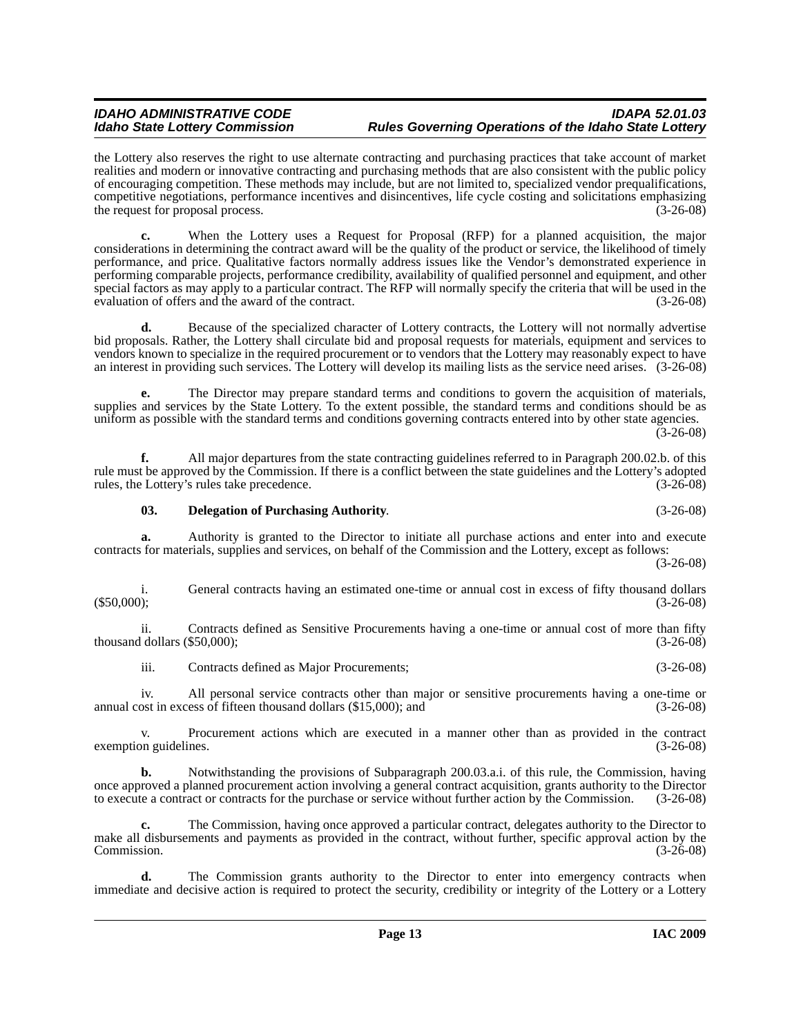the Lottery also reserves the right to use alternate contracting and purchasing practices that take account of market realities and modern or innovative contracting and purchasing methods that are also consistent with the public policy of encouraging competition. These methods may include, but are not limited to, specialized vendor prequalifications, competitive negotiations, performance incentives and disincentives, life cycle costing and solicitations emphasizing the request for proposal process. (3-26-08)

**c.** When the Lottery uses a Request for Proposal (RFP) for a planned acquisition, the major considerations in determining the contract award will be the quality of the product or service, the likelihood of timely performance, and price. Qualitative factors normally address issues like the Vendor's demonstrated experience in performing comparable projects, performance credibility, availability of qualified personnel and equipment, and other special factors as may apply to a particular contract. The RFP will normally specify the criteria that will be used in the evaluation of offers and the award of the contract. (3-26-08)

**d.** Because of the specialized character of Lottery contracts, the Lottery will not normally advertise bid proposals. Rather, the Lottery shall circulate bid and proposal requests for materials, equipment and services to vendors known to specialize in the required procurement or to vendors that the Lottery may reasonably expect to have an interest in providing such services. The Lottery will develop its mailing lists as the service need arises. (3-26-08)

**e.** The Director may prepare standard terms and conditions to govern the acquisition of materials, supplies and services by the State Lottery. To the extent possible, the standard terms and conditions should be as uniform as possible with the standard terms and conditions governing contracts entered into by other state agencies.  $(3-26-08)$ 

**f.** All major departures from the state contracting guidelines referred to in Paragraph 200.02.b. of this rule must be approved by the Commission. If there is a conflict between the state guidelines and the Lottery's adopted rules, the Lottery's rules take precedence. (3-26-08) rules, the Lottery's rules take precedence.

#### <span id="page-12-0"></span>**03. Delegation of Purchasing Authority**. (3-26-08)

**a.** Authority is granted to the Director to initiate all purchase actions and enter into and execute contracts for materials, supplies and services, on behalf of the Commission and the Lottery, except as follows: (3-26-08)

i. General contracts having an estimated one-time or annual cost in excess of fifty thousand dollars (\$50,000);<br>(3-26-08)  $(3-26-08)$ 

ii. Contracts defined as Sensitive Procurements having a one-time or annual cost of more than fifty thousand dollars  $(\$50,000)$ ; (3-26-08)

iii. Contracts defined as Major Procurements; (3-26-08)

iv. All personal service contracts other than major or sensitive procurements having a one-time or annual cost in excess of fifteen thousand dollars (\$15,000); and (3-26-08)

v. Procurement actions which are executed in a manner other than as provided in the contract exemption guidelines.

**b.** Notwithstanding the provisions of Subparagraph 200.03.a.i. of this rule, the Commission, having once approved a planned procurement action involving a general contract acquisition, grants authority to the Director to execute a contract or contracts for the purchase or service without further action by the Commission. to execute a contract or contracts for the purchase or service without further action by the Commission.

**c.** The Commission, having once approved a particular contract, delegates authority to the Director to make all disbursements and payments as provided in the contract, without further, specific approval action by the Commission. (3-26-08)

**d.** The Commission grants authority to the Director to enter into emergency contracts when immediate and decisive action is required to protect the security, credibility or integrity of the Lottery or a Lottery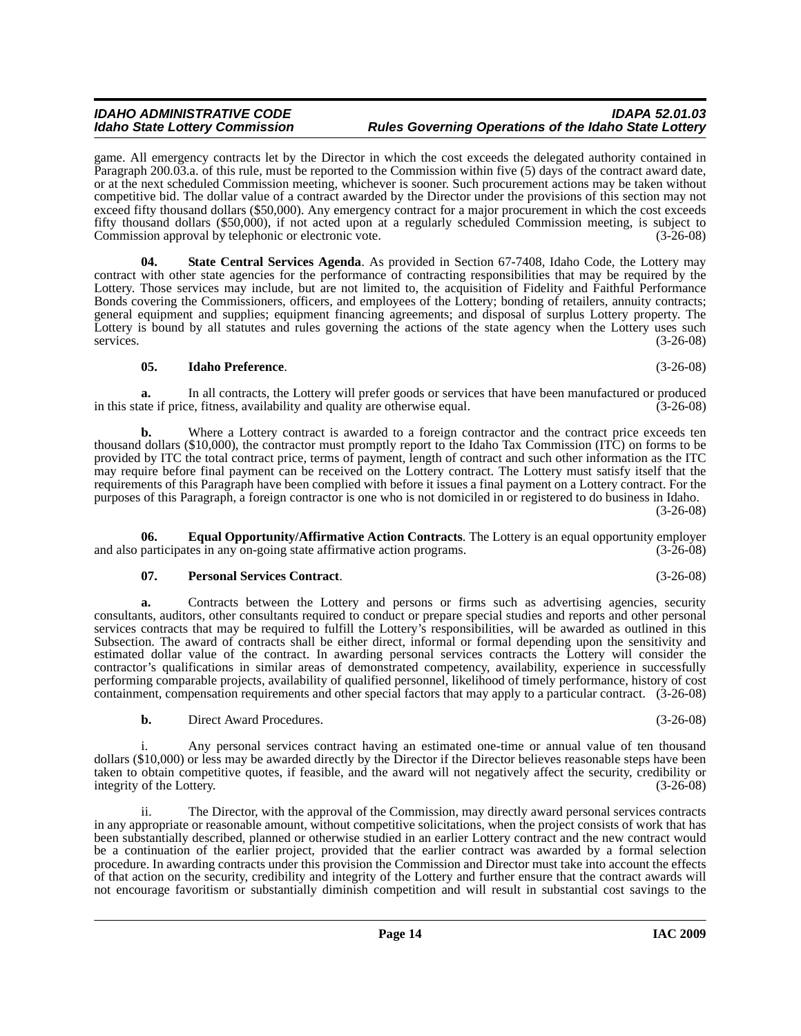## *IDAHO ADMINISTRATIVE CODE IDAPA 52.01.03*

game. All emergency contracts let by the Director in which the cost exceeds the delegated authority contained in Paragraph 200.03.a. of this rule, must be reported to the Commission within five (5) days of the contract award date, or at the next scheduled Commission meeting, whichever is sooner. Such procurement actions may be taken without competitive bid. The dollar value of a contract awarded by the Director under the provisions of this section may not exceed fifty thousand dollars (\$50,000). Any emergency contract for a major procurement in which the cost exceeds fifty thousand dollars (\$50,000), if not acted upon at a regularly scheduled Commission meeting, is subject to Commission approval by telephonic or electronic vote.

*Idaho State Lottery Commission Rules Governing Operations of the Idaho State Lottery*

<span id="page-13-3"></span>**04. State Central Services Agenda**. As provided in Section 67-7408, Idaho Code, the Lottery may contract with other state agencies for the performance of contracting responsibilities that may be required by the Lottery. Those services may include, but are not limited to, the acquisition of Fidelity and Faithful Performance Bonds covering the Commissioners, officers, and employees of the Lottery; bonding of retailers, annuity contracts; general equipment and supplies; equipment financing agreements; and disposal of surplus Lottery property. The Lottery is bound by all statutes and rules governing the actions of the state agency when the Lottery uses such services. (3-26-08)

#### <span id="page-13-1"></span>**05. Idaho Preference**. (3-26-08)

**a.** In all contracts, the Lottery will prefer goods or services that have been manufactured or produced ate if price, fitness, availability and quality are otherwise equal.  $(3-26-08)$ in this state if price, fitness, availability and quality are otherwise equal.

**b.** Where a Lottery contract is awarded to a foreign contractor and the contract price exceeds ten thousand dollars (\$10,000), the contractor must promptly report to the Idaho Tax Commission (ITC) on forms to be provided by ITC the total contract price, terms of payment, length of contract and such other information as the ITC may require before final payment can be received on the Lottery contract. The Lottery must satisfy itself that the requirements of this Paragraph have been complied with before it issues a final payment on a Lottery contract. For the purposes of this Paragraph, a foreign contractor is one who is not domiciled in or registered to do business in Idaho. (3-26-08)

**06. Equal Opportunity/Affirmative Action Contracts**. The Lottery is an equal opportunity employer participates in any on-going state affirmative action programs. (3-26-08) and also participates in any on-going state affirmative action programs.

#### <span id="page-13-2"></span><span id="page-13-0"></span>**07. Personal Services Contract**. (3-26-08)

**a.** Contracts between the Lottery and persons or firms such as advertising agencies, security consultants, auditors, other consultants required to conduct or prepare special studies and reports and other personal services contracts that may be required to fulfill the Lottery's responsibilities, will be awarded as outlined in this Subsection. The award of contracts shall be either direct, informal or formal depending upon the sensitivity and estimated dollar value of the contract. In awarding personal services contracts the Lottery will consider the contractor's qualifications in similar areas of demonstrated competency, availability, experience in successfully performing comparable projects, availability of qualified personnel, likelihood of timely performance, history of cost containment, compensation requirements and other special factors that may apply to a particular contract. (3-26-08)

**b.** Direct Award Procedures. (3-26-08)

i. Any personal services contract having an estimated one-time or annual value of ten thousand dollars (\$10,000) or less may be awarded directly by the Director if the Director believes reasonable steps have been taken to obtain competitive quotes, if feasible, and the award will not negatively affect the security, credibility or integrity of the Lottery.

ii. The Director, with the approval of the Commission, may directly award personal services contracts in any appropriate or reasonable amount, without competitive solicitations, when the project consists of work that has been substantially described, planned or otherwise studied in an earlier Lottery contract and the new contract would be a continuation of the earlier project, provided that the earlier contract was awarded by a formal selection procedure. In awarding contracts under this provision the Commission and Director must take into account the effects of that action on the security, credibility and integrity of the Lottery and further ensure that the contract awards will not encourage favoritism or substantially diminish competition and will result in substantial cost savings to the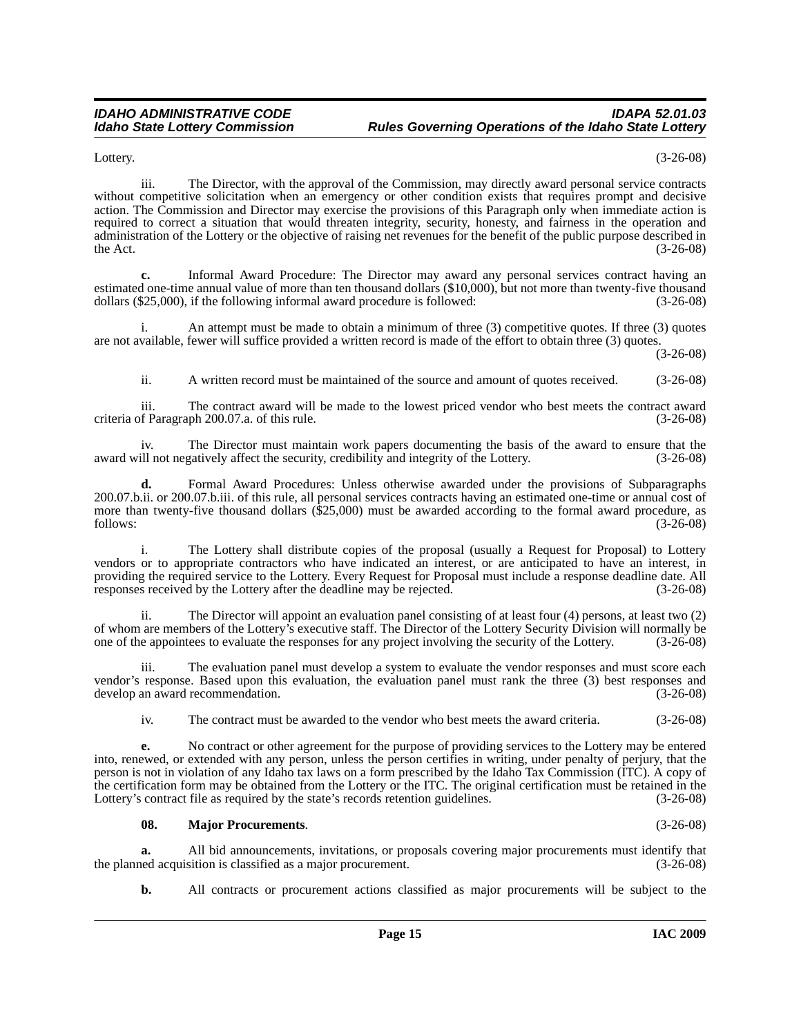Lottery. (3-26-08)

iii. The Director, with the approval of the Commission, may directly award personal service contracts without competitive solicitation when an emergency or other condition exists that requires prompt and decisive action. The Commission and Director may exercise the provisions of this Paragraph only when immediate action is required to correct a situation that would threaten integrity, security, honesty, and fairness in the operation and administration of the Lottery or the objective of raising net revenues for the benefit of the public purpose described in the Act.  $(3-26-08)$ 

**c.** Informal Award Procedure: The Director may award any personal services contract having an estimated one-time annual value of more than ten thousand dollars (\$10,000), but not more than twenty-five thousand dollars (\$25,000), if the following informal award procedure is followed: (3-26-08)

An attempt must be made to obtain a minimum of three  $(3)$  competitive quotes. If three  $(3)$  quotes are not available, fewer will suffice provided a written record is made of the effort to obtain three (3) quotes.

(3-26-08)

ii. A written record must be maintained of the source and amount of quotes received. (3-26-08)

iii. The contract award will be made to the lowest priced vendor who best meets the contract award criteria of Paragraph 200.07.a. of this rule. (3-26-08)

iv. The Director must maintain work papers documenting the basis of the award to ensure that the award will not negatively affect the security, credibility and integrity of the Lottery. (3-26-08)

**d.** Formal Award Procedures: Unless otherwise awarded under the provisions of Subparagraphs 200.07.b.ii. or 200.07.b.iii. of this rule, all personal services contracts having an estimated one-time or annual cost of more than twenty-five thousand dollars (\$25,000) must be awarded according to the formal award procedure, as follows: (3-26-08) follows: (3-26-08)

i. The Lottery shall distribute copies of the proposal (usually a Request for Proposal) to Lottery vendors or to appropriate contractors who have indicated an interest, or are anticipated to have an interest, in providing the required service to the Lottery. Every Request for Proposal must include a response deadline date. All responses received by the Lottery after the deadline may be rejected. (3-26-08)

ii. The Director will appoint an evaluation panel consisting of at least four (4) persons, at least two (2) of whom are members of the Lottery's executive staff. The Director of the Lottery Security Division will normally be one of the appointees to evaluate the responses for any project involving the security of the Lottery. (3-26-08)

iii. The evaluation panel must develop a system to evaluate the vendor responses and must score each vendor's response. Based upon this evaluation, the evaluation panel must rank the three (3) best responses and develop an award recommendation. (3-26-08)

iv. The contract must be awarded to the vendor who best meets the award criteria. (3-26-08)

**e.** No contract or other agreement for the purpose of providing services to the Lottery may be entered into, renewed, or extended with any person, unless the person certifies in writing, under penalty of perjury, that the person is not in violation of any Idaho tax laws on a form prescribed by the Idaho Tax Commission (ITC). A copy of the certification form may be obtained from the Lottery or the ITC. The original certification must be retained in the Lottery's contract file as required by the state's records retention guidelines. (3-26-08) Lottery's contract file as required by the state's records retention guidelines.

#### <span id="page-14-0"></span>**08. Major Procurements**. (3-26-08)

**a.** All bid announcements, invitations, or proposals covering major procurements must identify that ed acquisition is classified as a major procurement. (3-26-08) the planned acquisition is classified as a major procurement.

**b.** All contracts or procurement actions classified as major procurements will be subject to the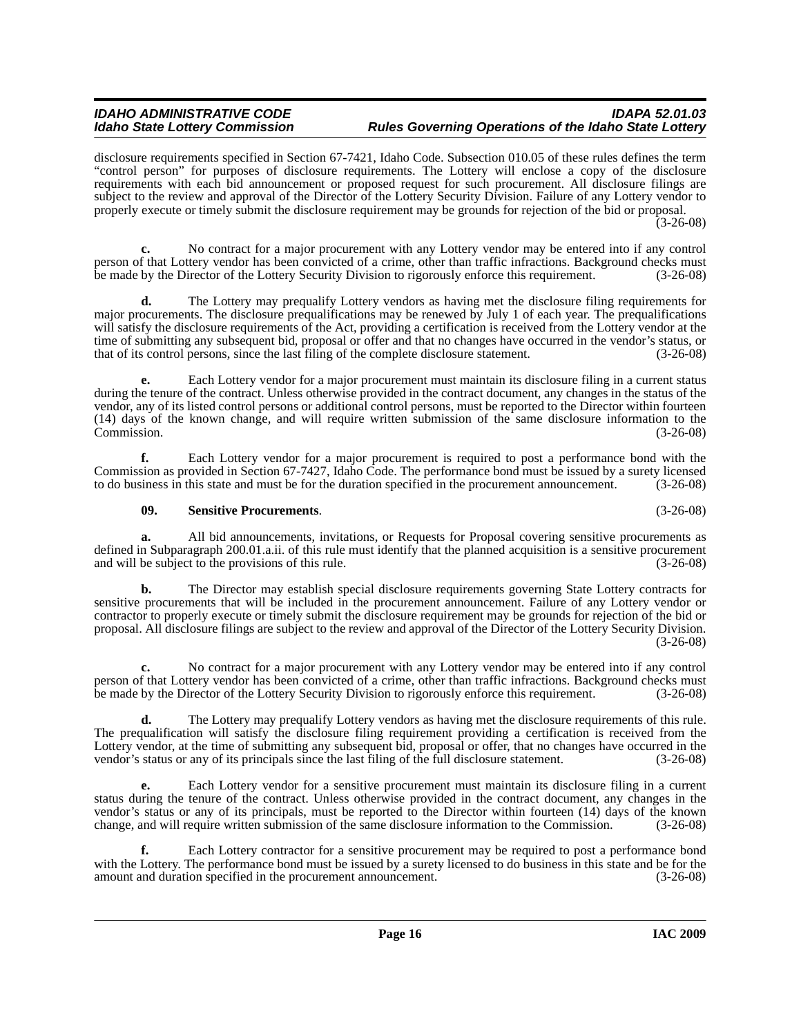disclosure requirements specified in Section 67-7421, Idaho Code. Subsection 010.05 of these rules defines the term "control person" for purposes of disclosure requirements. The Lottery will enclose a copy of the disclosure requirements with each bid announcement or proposed request for such procurement. All disclosure filings are subject to the review and approval of the Director of the Lottery Security Division. Failure of any Lottery vendor to properly execute or timely submit the disclosure requirement may be grounds for rejection of the bid or proposal.

(3-26-08)

**c.** No contract for a major procurement with any Lottery vendor may be entered into if any control person of that Lottery vendor has been convicted of a crime, other than traffic infractions. Background checks must be made by the Director of the Lottery Security Division to rigorously enforce this requirement. (3-26-08)

**d.** The Lottery may prequalify Lottery vendors as having met the disclosure filing requirements for major procurements. The disclosure prequalifications may be renewed by July 1 of each year. The prequalifications will satisfy the disclosure requirements of the Act, providing a certification is received from the Lottery vendor at the time of submitting any subsequent bid, proposal or offer and that no changes have occurred in the vendor's status, or that of its control persons, since the last filing of the complete disclosure statement. (3-26-08) that of its control persons, since the last filing of the complete disclosure statement.

**e.** Each Lottery vendor for a major procurement must maintain its disclosure filing in a current status during the tenure of the contract. Unless otherwise provided in the contract document, any changes in the status of the vendor, any of its listed control persons or additional control persons, must be reported to the Director within fourteen (14) days of the known change, and will require written submission of the same disclosure information to the Commission. (3-26-08)

**f.** Each Lottery vendor for a major procurement is required to post a performance bond with the Commission as provided in Section 67-7427, Idaho Code. The performance bond must be issued by a surety licensed to do business in this state and must be for the duration specified in the procurement announcement. (3-26-08) to do business in this state and must be for the duration specified in the procurement announcement.

#### <span id="page-15-0"></span>**09. Sensitive Procurements**. (3-26-08)

**a.** All bid announcements, invitations, or Requests for Proposal covering sensitive procurements as defined in Subparagraph 200.01.a.ii. of this rule must identify that the planned acquisition is a sensitive procurement and will be subject to the provisions of this rule. (3-26-08)

**b.** The Director may establish special disclosure requirements governing State Lottery contracts for sensitive procurements that will be included in the procurement announcement. Failure of any Lottery vendor or contractor to properly execute or timely submit the disclosure requirement may be grounds for rejection of the bid or proposal. All disclosure filings are subject to the review and approval of the Director of the Lottery Security Division. (3-26-08)

**c.** No contract for a major procurement with any Lottery vendor may be entered into if any control person of that Lottery vendor has been convicted of a crime, other than traffic infractions. Background checks must be made by the Director of the Lottery Security Division to rigorously enforce this requirement. (3-26-08)

**d.** The Lottery may prequalify Lottery vendors as having met the disclosure requirements of this rule. The prequalification will satisfy the disclosure filing requirement providing a certification is received from the Lottery vendor, at the time of submitting any subsequent bid, proposal or offer, that no changes have occurred in the vendor's status or any of its principals since the last filing of the full disclosure statement. (3-26-08)

**e.** Each Lottery vendor for a sensitive procurement must maintain its disclosure filing in a current status during the tenure of the contract. Unless otherwise provided in the contract document, any changes in the vendor's status or any of its principals, must be reported to the Director within fourteen (14) days of the known change, and will require written submission of the same disclosure information to the Commission. (3-26-08)

**f.** Each Lottery contractor for a sensitive procurement may be required to post a performance bond with the Lottery. The performance bond must be issued by a surety licensed to do business in this state and be for the amount and duration specified in the procurement announcement. (3-26-08) amount and duration specified in the procurement announcement.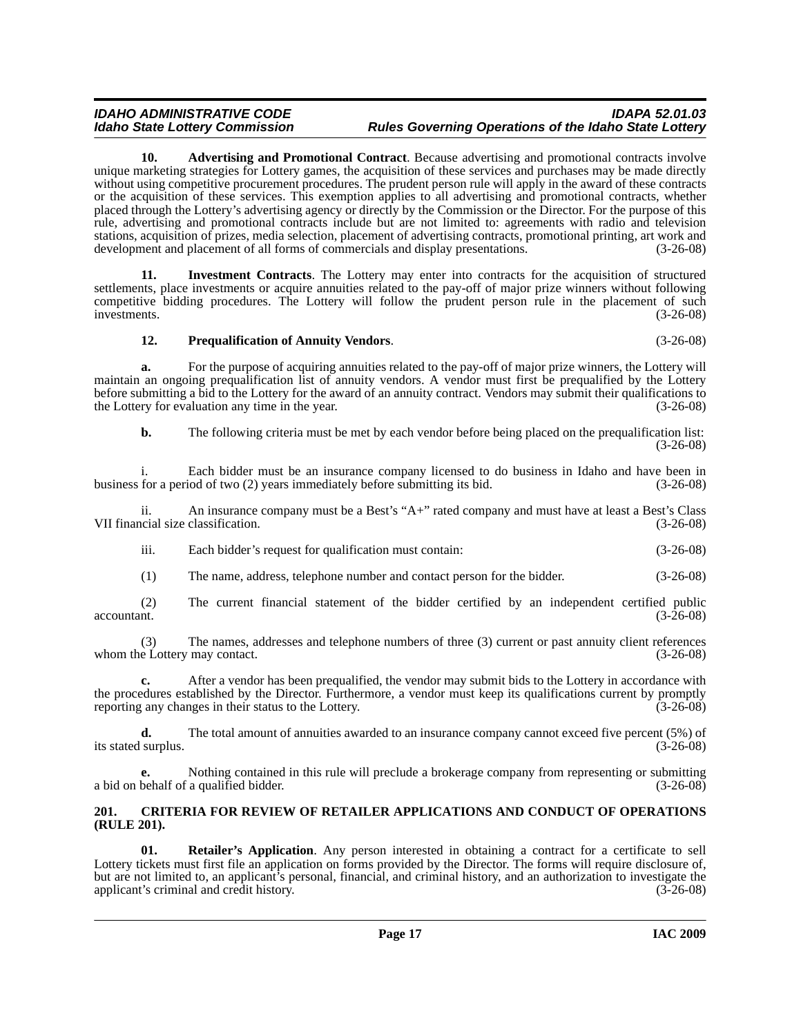<span id="page-16-1"></span>**10. Advertising and Promotional Contract**. Because advertising and promotional contracts involve unique marketing strategies for Lottery games, the acquisition of these services and purchases may be made directly without using competitive procurement procedures. The prudent person rule will apply in the award of these contracts or the acquisition of these services. This exemption applies to all advertising and promotional contracts, whether placed through the Lottery's advertising agency or directly by the Commission or the Director. For the purpose of this rule, advertising and promotional contracts include but are not limited to: agreements with radio and television stations, acquisition of prizes, media selection, placement of advertising contracts, promotional printing, art work and development and placement of all forms of commercials and display presentations. (3-26-08)

**11. Investment Contracts**. The Lottery may enter into contracts for the acquisition of structured settlements, place investments or acquire annuities related to the pay-off of major prize winners without following competitive bidding procedures. The Lottery will follow the prudent person rule in the placement of such investments. (3-26-08) investments. (3-26-08)

### <span id="page-16-4"></span><span id="page-16-3"></span>**12. Prequalification of Annuity Vendors**. (3-26-08)

**a.** For the purpose of acquiring annuities related to the pay-off of major prize winners, the Lottery will maintain an ongoing prequalification list of annuity vendors. A vendor must first be prequalified by the Lottery before submitting a bid to the Lottery for the award of an annuity contract. Vendors may submit their qualifications to the Lottery for evaluation any time in the year. (3-26-08)

**b.** The following criteria must be met by each vendor before being placed on the prequalification list: (3-26-08)

i. Each bidder must be an insurance company licensed to do business in Idaho and have been in for a period of two (2) years immediately before submitting its bid. (3-26-08) business for a period of two  $(2)$  years immediately before submitting its bid.

ii. An insurance company must be a Best's "A+" rated company and must have at least a Best's Class VII financial size classification.

iii. Each bidder's request for qualification must contain: (3-26-08)

(1) The name, address, telephone number and contact person for the bidder. (3-26-08)

(2) The current financial statement of the bidder certified by an independent certified public  $\alpha$ countant. (3-26-08)

(3) The names, addresses and telephone numbers of three (3) current or past annuity client references whom the Lottery may contact. (3-26-08)

**c.** After a vendor has been prequalified, the vendor may submit bids to the Lottery in accordance with the procedures established by the Director. Furthermore, a vendor must keep its qualifications current by promptly reporting any changes in their status to the Lottery. (3-26-08)

**d.** The total amount of annuities awarded to an insurance company cannot exceed five percent (5%) of surplus. (3-26-08) its stated surplus.

**e.** Nothing contained in this rule will preclude a brokerage company from representing or submitting a bid on behalf of a qualified bidder. (3-26-08)

#### <span id="page-16-2"></span><span id="page-16-0"></span>**201. CRITERIA FOR REVIEW OF RETAILER APPLICATIONS AND CONDUCT OF OPERATIONS (RULE 201).**

<span id="page-16-5"></span>**01. Retailer's Application**. Any person interested in obtaining a contract for a certificate to sell Lottery tickets must first file an application on forms provided by the Director. The forms will require disclosure of, but are not limited to, an applicant's personal, financial, and criminal history, and an authorization to investigate the applicant's criminal and credit history. (3-26-08)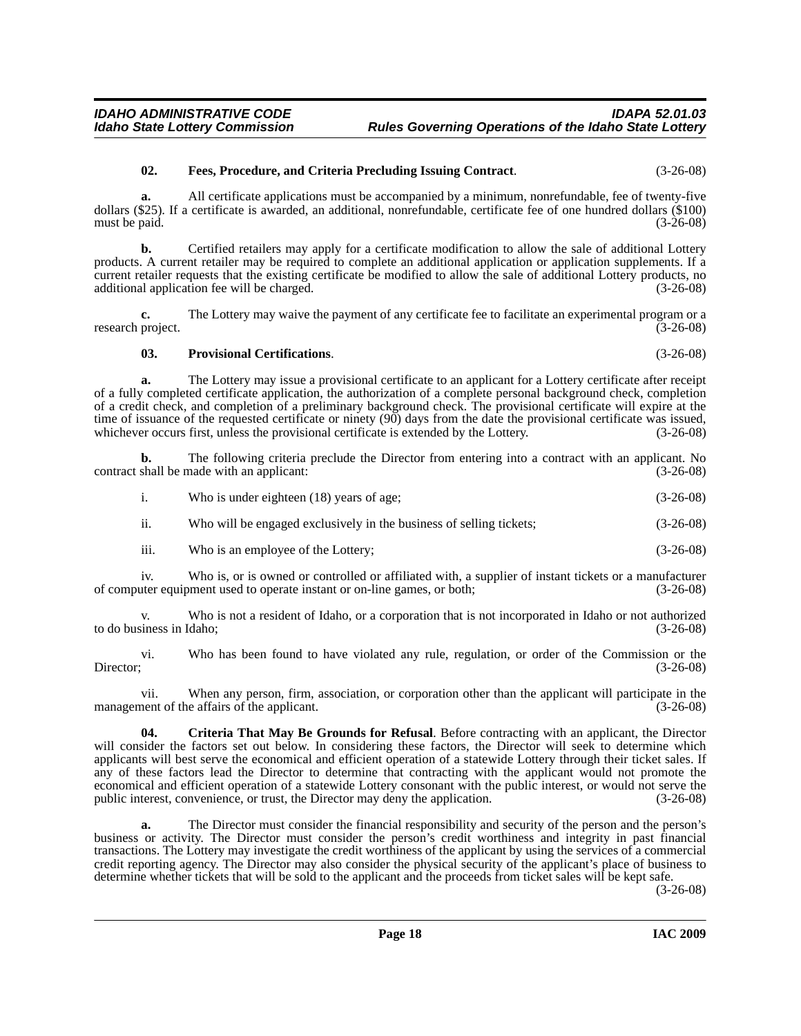#### <span id="page-17-1"></span>**02. Fees, Procedure, and Criteria Precluding Issuing Contract**. (3-26-08)

**a.** All certificate applications must be accompanied by a minimum, nonrefundable, fee of twenty-five dollars (\$25). If a certificate is awarded, an additional, nonrefundable, certificate fee of one hundred dollars (\$100) must be paid. (3-26-08)

**b.** Certified retailers may apply for a certificate modification to allow the sale of additional Lottery products. A current retailer may be required to complete an additional application or application supplements. If a current retailer requests that the existing certificate be modified to allow the sale of additional Lottery products, no additional application fee will be charged. (3-26-08)

**c.** The Lottery may waive the payment of any certificate fee to facilitate an experimental program or a research project. (3-26-08)

#### <span id="page-17-2"></span>**03. Provisional Certifications**. (3-26-08)

**a.** The Lottery may issue a provisional certificate to an applicant for a Lottery certificate after receipt of a fully completed certificate application, the authorization of a complete personal background check, completion of a credit check, and completion of a preliminary background check. The provisional certificate will expire at the time of issuance of the requested certificate or ninety (90) days from the date the provisional certificate was issued,<br>whichever occurs first, unless the provisional certificate is extended by the Lottery. (3-26-08) whichever occurs first, unless the provisional certificate is extended by the Lottery.

**b.** The following criteria preclude the Director from entering into a contract with an applicant. No contract shall be made with an applicant: (3-26-08)

|     | Who is under eighteen (18) years of age;                            | $(3-26-08)$ |
|-----|---------------------------------------------------------------------|-------------|
| 11. | Who will be engaged exclusively in the business of selling tickets; | $(3-26-08)$ |

iii. Who is an employee of the Lottery; (3-26-08)

iv. Who is, or is owned or controlled or affiliated with, a supplier of instant tickets or a manufacturer of computer equipment used to operate instant or on-line games, or both; (3-26-08)

v. Who is not a resident of Idaho, or a corporation that is not incorporated in Idaho or not authorized to do business in Idaho; (3-26-08)

vi. Who has been found to have violated any rule, regulation, or order of the Commission or the Director; (3-26-08) Director; (3-26-08)

vii. When any person, firm, association, or corporation other than the applicant will participate in the management of the affairs of the applicant. (3-26-08)

<span id="page-17-0"></span>**04. Criteria That May Be Grounds for Refusal**. Before contracting with an applicant, the Director will consider the factors set out below. In considering these factors, the Director will seek to determine which applicants will best serve the economical and efficient operation of a statewide Lottery through their ticket sales. If any of these factors lead the Director to determine that contracting with the applicant would not promote the economical and efficient operation of a statewide Lottery consonant with the public interest, or would not serve the public interest, convenience, or trust, the Director may deny the application. (3-26-08) public interest, convenience, or trust, the Director may deny the application.

**a.** The Director must consider the financial responsibility and security of the person and the person's business or activity. The Director must consider the person's credit worthiness and integrity in past financial transactions. The Lottery may investigate the credit worthiness of the applicant by using the services of a commercial credit reporting agency. The Director may also consider the physical security of the applicant's place of business to determine whether tickets that will be sold to the applicant and the proceeds from ticket sales will be kept safe.

(3-26-08)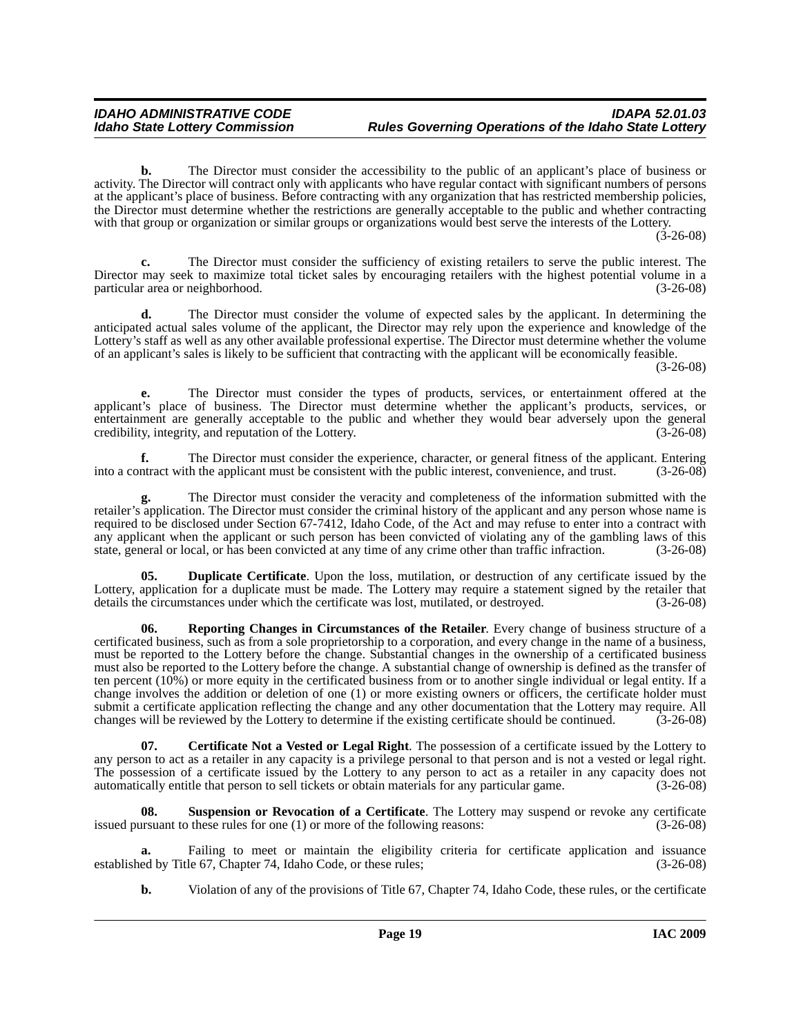**b.** The Director must consider the accessibility to the public of an applicant's place of business or activity. The Director will contract only with applicants who have regular contact with significant numbers of persons at the applicant's place of business. Before contracting with any organization that has restricted membership policies, the Director must determine whether the restrictions are generally acceptable to the public and whether contracting with that group or organization or similar groups or organizations would best serve the interests of the Lottery.

 $(3-26-08)$ 

**c.** The Director must consider the sufficiency of existing retailers to serve the public interest. The Director may seek to maximize total ticket sales by encouraging retailers with the highest potential volume in a particular area or neighborhood. (3-26-08)

**d.** The Director must consider the volume of expected sales by the applicant. In determining the anticipated actual sales volume of the applicant, the Director may rely upon the experience and knowledge of the Lottery's staff as well as any other available professional expertise. The Director must determine whether the volume of an applicant's sales is likely to be sufficient that contracting with the applicant will be economically feasible.

(3-26-08)

**e.** The Director must consider the types of products, services, or entertainment offered at the applicant's place of business. The Director must determine whether the applicant's products, services, or entertainment are generally acceptable to the public and whether they would bear adversely upon the general credibility, integrity, and reputation of the Lottery. (3-26-08) credibility, integrity, and reputation of the Lottery.

**f.** The Director must consider the experience, character, or general fitness of the applicant. Entering ntract with the applicant must be consistent with the public interest, convenience, and trust. (3-26-08) into a contract with the applicant must be consistent with the public interest, convenience, and trust.

**g.** The Director must consider the veracity and completeness of the information submitted with the retailer's application. The Director must consider the criminal history of the applicant and any person whose name is required to be disclosed under Section 67-7412, Idaho Code, of the Act and may refuse to enter into a contract with any applicant when the applicant or such person has been convicted of violating any of the gambling laws of this state, general or local, or has been convicted at any time of any crime other than traffic infraction. (3-26state, general or local, or has been convicted at any time of any crime other than traffic infraction.

<span id="page-18-1"></span>**Duplicate Certificate**. Upon the loss, mutilation, or destruction of any certificate issued by the Lottery, application for a duplicate must be made. The Lottery may require a statement signed by the retailer that details the circumstances under which the certificate was lost, mutilated, or destroyed. (3-26-08) details the circumstances under which the certificate was lost, mutilated, or destroyed.

<span id="page-18-2"></span>**Reporting Changes in Circumstances of the Retailer.** Every change of business structure of a certificated business, such as from a sole proprietorship to a corporation, and every change in the name of a business, must be reported to the Lottery before the change. Substantial changes in the ownership of a certificated business must also be reported to the Lottery before the change. A substantial change of ownership is defined as the transfer of ten percent (10%) or more equity in the certificated business from or to another single individual or legal entity. If a change involves the addition or deletion of one (1) or more existing owners or officers, the certificate holder must submit a certificate application reflecting the change and any other documentation that the Lottery may require. All changes will be reviewed by the Lottery to determine if the existing certificate should be continued. (3changes will be reviewed by the Lottery to determine if the existing certificate should be continued.

<span id="page-18-0"></span>**07. Certificate Not a Vested or Legal Right**. The possession of a certificate issued by the Lottery to any person to act as a retailer in any capacity is a privilege personal to that person and is not a vested or legal right. The possession of a certificate issued by the Lottery to any person to act as a retailer in any capacity does not automatically entitle that person to sell tickets or obtain materials for any particular game. (3-26-08) automatically entitle that person to sell tickets or obtain materials for any particular game.

<span id="page-18-3"></span>**08. Suspension or Revocation of a Certificate**. The Lottery may suspend or revoke any certificate issued pursuant to these rules for one (1) or more of the following reasons: (3-26-08)

Failing to meet or maintain the eligibility criteria for certificate application and issuance ile 67, Chapter 74, Idaho Code, or these rules; (3-26-08) established by Title 67, Chapter 74, Idaho Code, or these rules;

**b.** Violation of any of the provisions of Title 67, Chapter 74, Idaho Code, these rules, or the certificate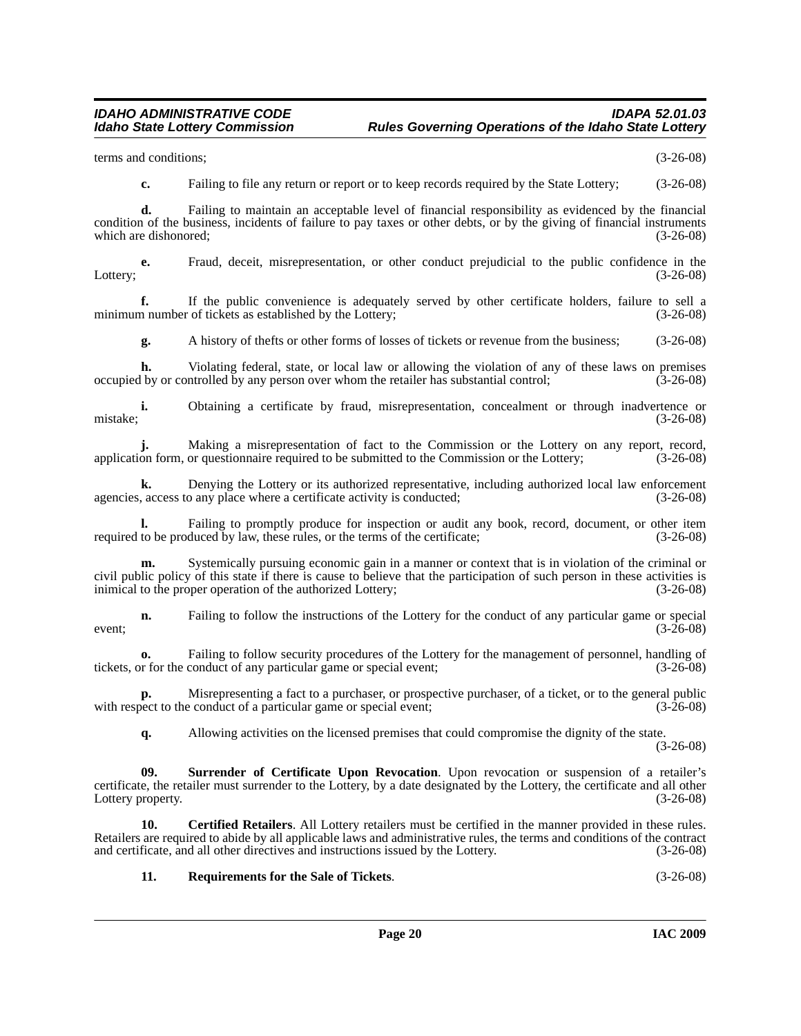terms and conditions; (3-26-08)

**c.** Failing to file any return or report or to keep records required by the State Lottery; (3-26-08)

**d.** Failing to maintain an acceptable level of financial responsibility as evidenced by the financial condition of the business, incidents of failure to pay taxes or other debts, or by the giving of financial instruments which are dishonored; (3-26-08) which are dishonored;

**e.** Fraud, deceit, misrepresentation, or other conduct prejudicial to the public confidence in the Lottery; (3-26-08)

**f.** If the public convenience is adequately served by other certificate holders, failure to sell a m number of tickets as established by the Lottery; (3-26-08) minimum number of tickets as established by the Lottery;

**g.** A history of thefts or other forms of losses of tickets or revenue from the business; (3-26-08)

**h.** Violating federal, state, or local law or allowing the violation of any of these laws on premises occupied by or controlled by any person over whom the retailer has substantial control; (3-26-08)

**i.** Obtaining a certificate by fraud, misrepresentation, concealment or through inadvertence or mistake; (3-26-08)

**j.** Making a misrepresentation of fact to the Commission or the Lottery on any report, record, application form, or questionnaire required to be submitted to the Commission or the Lottery; (3-26-08)

**k.** Denying the Lottery or its authorized representative, including authorized local law enforcement agencies, access to any place where a certificate activity is conducted; (3-26-08)

Failing to promptly produce for inspection or audit any book, record, document, or other item required to be produced by law, these rules, or the terms of the certificate; (3-26-08)

**m.** Systemically pursuing economic gain in a manner or context that is in violation of the criminal or civil public policy of this state if there is cause to believe that the participation of such person in these activities is inimical to the proper operation of the authorized Lottery; (3-26-08)

**n.** Failing to follow the instructions of the Lottery for the conduct of any particular game or special (3-26-08) event;  $(3-26-08)$ 

**o.** Failing to follow security procedures of the Lottery for the management of personnel, handling of or the conduct of any particular game or special event; (3-26-08) tickets, or for the conduct of any particular game or special event;

**p.** Misrepresenting a fact to a purchaser, or prospective purchaser, of a ticket, or to the general public with respect to the conduct of a particular game or special event; (3-26-08)

<span id="page-19-1"></span>**q.** Allowing activities on the licensed premises that could compromise the dignity of the state. (3-26-08)

**09. Surrender of Certificate Upon Revocation**. Upon revocation or suspension of a retailer's certificate, the retailer must surrender to the Lottery, by a date designated by the Lottery, the certificate and all other<br>(3-26-08) Lottery property.

**10. Certified Retailers**. All Lottery retailers must be certified in the manner provided in these rules. Retailers are required to abide by all applicable laws and administrative rules, the terms and conditions of the contract and certificate, and all other directives and instructions issued by the Lottery. (3-26-08)

<span id="page-19-0"></span>**11. Requirements for the Sale of Tickets**. (3-26-08)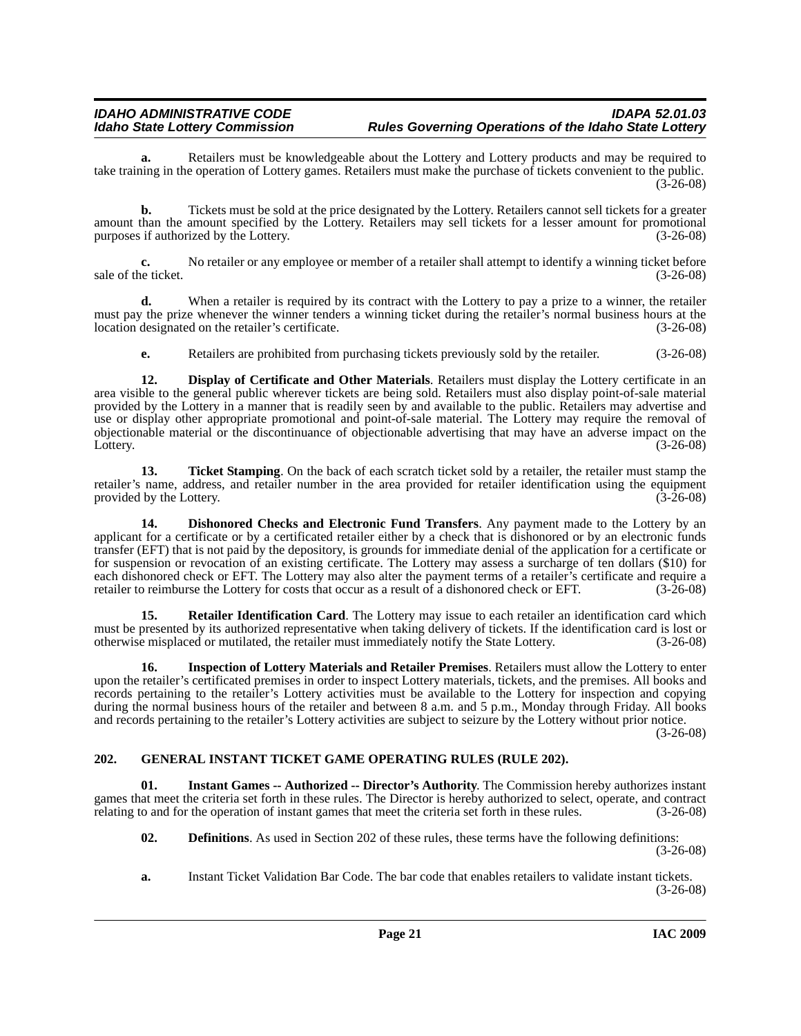**a.** Retailers must be knowledgeable about the Lottery and Lottery products and may be required to take training in the operation of Lottery games. Retailers must make the purchase of tickets convenient to the public.  $(3-26-08)$ 

**b.** Tickets must be sold at the price designated by the Lottery. Retailers cannot sell tickets for a greater amount than the amount specified by the Lottery. Retailers may sell tickets for a lesser amount for promotional purposes if authorized by the Lottery.

**c.** No retailer or any employee or member of a retailer shall attempt to identify a winning ticket before sale of the ticket. (3-26-08)

**d.** When a retailer is required by its contract with the Lottery to pay a prize to a winner, the retailer must pay the prize whenever the winner tenders a winning ticket during the retailer's normal business hours at the location designated on the retailer's certificate. (3-26-08)

<span id="page-20-3"></span>**e.** Retailers are prohibited from purchasing tickets previously sold by the retailer. (3-26-08)

**12. Display of Certificate and Other Materials**. Retailers must display the Lottery certificate in an area visible to the general public wherever tickets are being sold. Retailers must also display point-of-sale material provided by the Lottery in a manner that is readily seen by and available to the public. Retailers may advertise and use or display other appropriate promotional and point-of-sale material. The Lottery may require the removal of objectionable material or the discontinuance of objectionable advertising that may have an adverse impact on the Lottery. (3-26-08)

<span id="page-20-7"></span>**13. Ticket Stamping**. On the back of each scratch ticket sold by a retailer, the retailer must stamp the retailer's name, address, and retailer number in the area provided for retailer identification using the equipment provided by the Lottery. (3-26-08)

<span id="page-20-2"></span>**14. Dishonored Checks and Electronic Fund Transfers**. Any payment made to the Lottery by an applicant for a certificate or by a certificated retailer either by a check that is dishonored or by an electronic funds transfer (EFT) that is not paid by the depository, is grounds for immediate denial of the application for a certificate or for suspension or revocation of an existing certificate. The Lottery may assess a surcharge of ten dollars (\$10) for each dishonored check or EFT. The Lottery may also alter the payment terms of a retailer's certificate and require a retailer to reimburse the Lottery for costs that occur as a result of a dishonored check or EFT. (3-26-08)

<span id="page-20-6"></span>**15. Retailer Identification Card**. The Lottery may issue to each retailer an identification card which must be presented by its authorized representative when taking delivery of tickets. If the identification card is lost or otherwise misplaced or mutilated, the retailer must immediately notify the State Lottery. (3-26-08)

<span id="page-20-5"></span>**16. Inspection of Lottery Materials and Retailer Premises**. Retailers must allow the Lottery to enter upon the retailer's certificated premises in order to inspect Lottery materials, tickets, and the premises. All books and records pertaining to the retailer's Lottery activities must be available to the Lottery for inspection and copying during the normal business hours of the retailer and between 8 a.m. and 5 p.m., Monday through Friday. All books and records pertaining to the retailer's Lottery activities are subject to seizure by the Lottery without prior notice.

(3-26-08)

#### <span id="page-20-4"></span><span id="page-20-0"></span>**202. GENERAL INSTANT TICKET GAME OPERATING RULES (RULE 202).**

**01. Instant Games -- Authorized -- Director's Authority**. The Commission hereby authorizes instant games that meet the criteria set forth in these rules. The Director is hereby authorized to select, operate, and contract relating to and for the operation of instant games that meet the criteria set forth in these rules. (3-26-08)

<span id="page-20-1"></span>**02. Definitions**. As used in Section 202 of these rules, these terms have the following definitions:

(3-26-08)

**a.** Instant Ticket Validation Bar Code. The bar code that enables retailers to validate instant tickets. (3-26-08)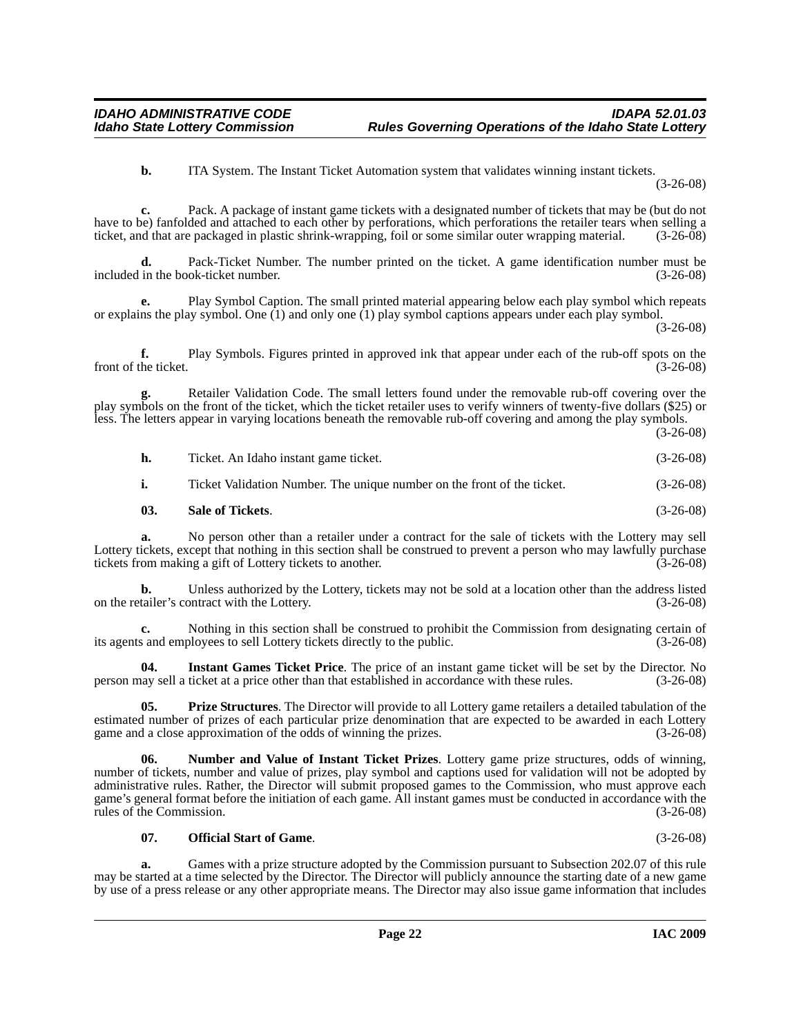**b.** ITA System. The Instant Ticket Automation system that validates winning instant tickets.

(3-26-08)

**c.** Pack. A package of instant game tickets with a designated number of tickets that may be (but do not have to be) fanfolded and attached to each other by perforations, which perforations the retailer tears when selling a ticket, and that are packaged in plastic shrink-wrapping, foil or some similar outer wrapping material. ticket, and that are packaged in plastic shrink-wrapping, foil or some similar outer wrapping material.

**d.** Pack-Ticket Number. The number printed on the ticket. A game identification number must be included in the book-ticket number. (3-26-08)

**e.** Play Symbol Caption. The small printed material appearing below each play symbol which repeats or explains the play symbol. One  $(1)$  and only one  $(1)$  play symbol captions appears under each play symbol.

(3-26-08)

**f.** Play Symbols. Figures printed in approved ink that appear under each of the rub-off spots on the ticket.  $(3-26-08)$ front of the ticket.

**g.** Retailer Validation Code. The small letters found under the removable rub-off covering over the play symbols on the front of the ticket, which the ticket retailer uses to verify winners of twenty-five dollars (\$25) or less. The letters appear in varying locations beneath the removable rub-off covering and among the play symbols.

(3-26-08)

| h. | Ticket. An Idaho instant game ticket.                                   | $(3-26-08)$ |
|----|-------------------------------------------------------------------------|-------------|
|    | Ticket Validation Number. The unique number on the front of the ticket. | $(3-26-08)$ |

### <span id="page-21-4"></span>**03. Sale of Tickets**. (3-26-08)

**a.** No person other than a retailer under a contract for the sale of tickets with the Lottery may sell Lottery tickets, except that nothing in this section shall be construed to prevent a person who may lawfully purchase tickets from making a gift of Lottery tickets to another. (3-26-08) tickets from making a gift of Lottery tickets to another.

**b.** Unless authorized by the Lottery, tickets may not be sold at a location other than the address listed tailer's contract with the Lottery. on the retailer's contract with the Lottery.

**c.** Nothing in this section shall be construed to prohibit the Commission from designating certain of its agents and employees to sell Lottery tickets directly to the public. (3-26-08)

<span id="page-21-0"></span>**04. Instant Games Ticket Price**. The price of an instant game ticket will be set by the Director. No person may sell a ticket at a price other than that established in accordance with these rules. (3-26-08)

<span id="page-21-3"></span>**05. Prize Structures**. The Director will provide to all Lottery game retailers a detailed tabulation of the estimated number of prizes of each particular prize denomination that are expected to be awarded in each Lottery game and a close approximation of the odds of winning the prizes. (3-26-08)

<span id="page-21-1"></span>**06. Number and Value of Instant Ticket Prizes**. Lottery game prize structures, odds of winning, number of tickets, number and value of prizes, play symbol and captions used for validation will not be adopted by administrative rules. Rather, the Director will submit proposed games to the Commission, who must approve each game's general format before the initiation of each game. All instant games must be conducted in accordance with the rules of the Commission. (3-26-08)

#### <span id="page-21-2"></span>**07. Official Start of Game**. (3-26-08)

**a.** Games with a prize structure adopted by the Commission pursuant to Subsection 202.07 of this rule may be started at a time selected by the Director. The Director will publicly announce the starting date of a new game by use of a press release or any other appropriate means. The Director may also issue game information that includes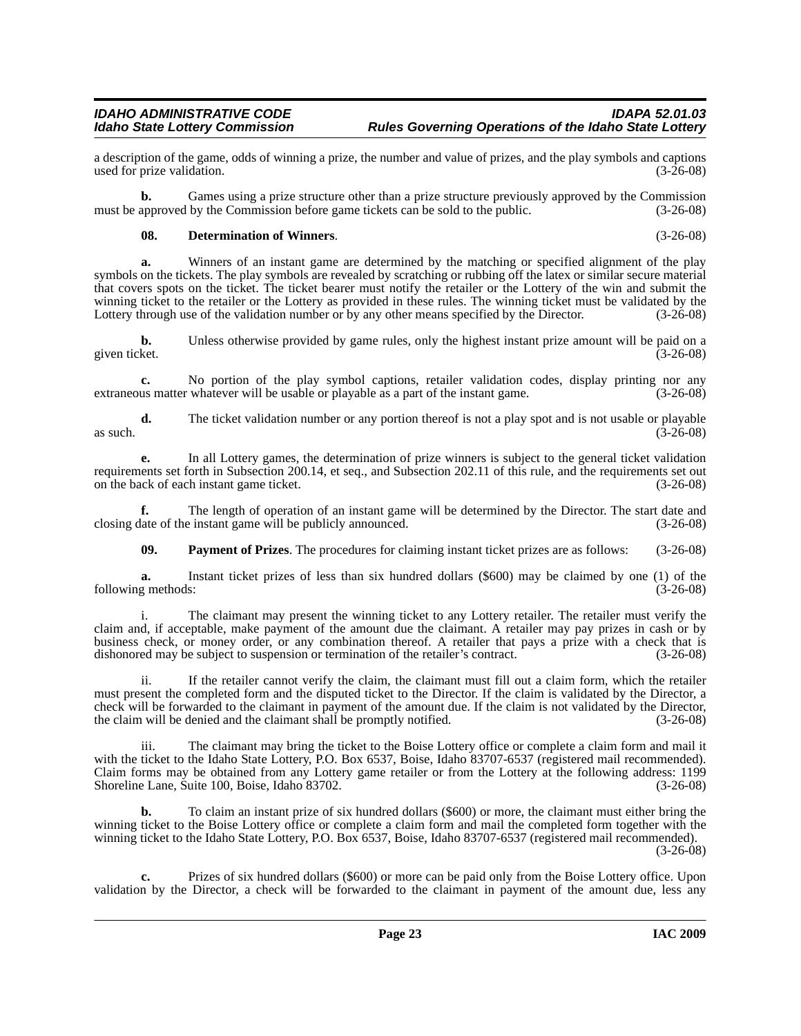a description of the game, odds of winning a prize, the number and value of prizes, and the play symbols and captions used for prize validation.

**b.** Games using a prize structure other than a prize structure previously approved by the Commission must be approved by the Commission before game tickets can be sold to the public. (3-26-08)

#### <span id="page-22-0"></span>**08. Determination of Winners**. (3-26-08)

**a.** Winners of an instant game are determined by the matching or specified alignment of the play symbols on the tickets. The play symbols are revealed by scratching or rubbing off the latex or similar secure material that covers spots on the ticket. The ticket bearer must notify the retailer or the Lottery of the win and submit the winning ticket to the retailer or the Lottery as provided in these rules. The winning ticket must be validated by the Lottery through use of the validation number or by any other means specified by the Director. (3-26-08) Lottery through use of the validation number or by any other means specified by the Director.

**b.** Unless otherwise provided by game rules, only the highest instant prize amount will be paid on a ket.  $(3-26-08)$ given ticket.

**c.** No portion of the play symbol captions, retailer validation codes, display printing nor any extraneous matter whatever will be usable or playable as a part of the instant game. (3-26-08)

**d.** The ticket validation number or any portion thereof is not a play spot and is not usable or playable (3-26-08) as such.  $(3-26-08)$ 

**e.** In all Lottery games, the determination of prize winners is subject to the general ticket validation requirements set forth in Subsection 200.14, et seq., and Subsection 202.11 of this rule, and the requirements set out on the back of each instant game ticket. (3-26-08) on the back of each instant game ticket.

**f.** The length of operation of an instant game will be determined by the Director. The start date and late of the instant game will be publicly announced. (3-26-08) closing date of the instant game will be publicly announced.

<span id="page-22-1"></span>**09. Payment of Prizes**. The procedures for claiming instant ticket prizes are as follows: (3-26-08)

**a.** Instant ticket prizes of less than six hundred dollars (\$600) may be claimed by one (1) of the following methods: (3-26-08)

i. The claimant may present the winning ticket to any Lottery retailer. The retailer must verify the claim and, if acceptable, make payment of the amount due the claimant. A retailer may pay prizes in cash or by business check, or money order, or any combination thereof. A retailer that pays a prize with a check that is dishonored may be subject to suspension or termination of the retailer's contract. (3-26-08)

ii. If the retailer cannot verify the claim, the claimant must fill out a claim form, which the retailer must present the completed form and the disputed ticket to the Director. If the claim is validated by the Director, a check will be forwarded to the claimant in payment of the amount due. If the claim is not validated by the Director, the claim will be denied and the claimant shall be promptly notified. (3-26-08)

iii. The claimant may bring the ticket to the Boise Lottery office or complete a claim form and mail it with the ticket to the Idaho State Lottery, P.O. Box 6537, Boise, Idaho 83707-6537 (registered mail recommended). Claim forms may be obtained from any Lottery game retailer or from the Lottery at the following address: 1199 Shoreline Lane, Suite 100, Boise, Idaho 83702.

**b.** To claim an instant prize of six hundred dollars (\$600) or more, the claimant must either bring the winning ticket to the Boise Lottery office or complete a claim form and mail the completed form together with the winning ticket to the Idaho State Lottery, P.O. Box 6537, Boise, Idaho 83707-6537 (registered mail recommended). (3-26-08)

**c.** Prizes of six hundred dollars (\$600) or more can be paid only from the Boise Lottery office. Upon validation by the Director, a check will be forwarded to the claimant in payment of the amount due, less any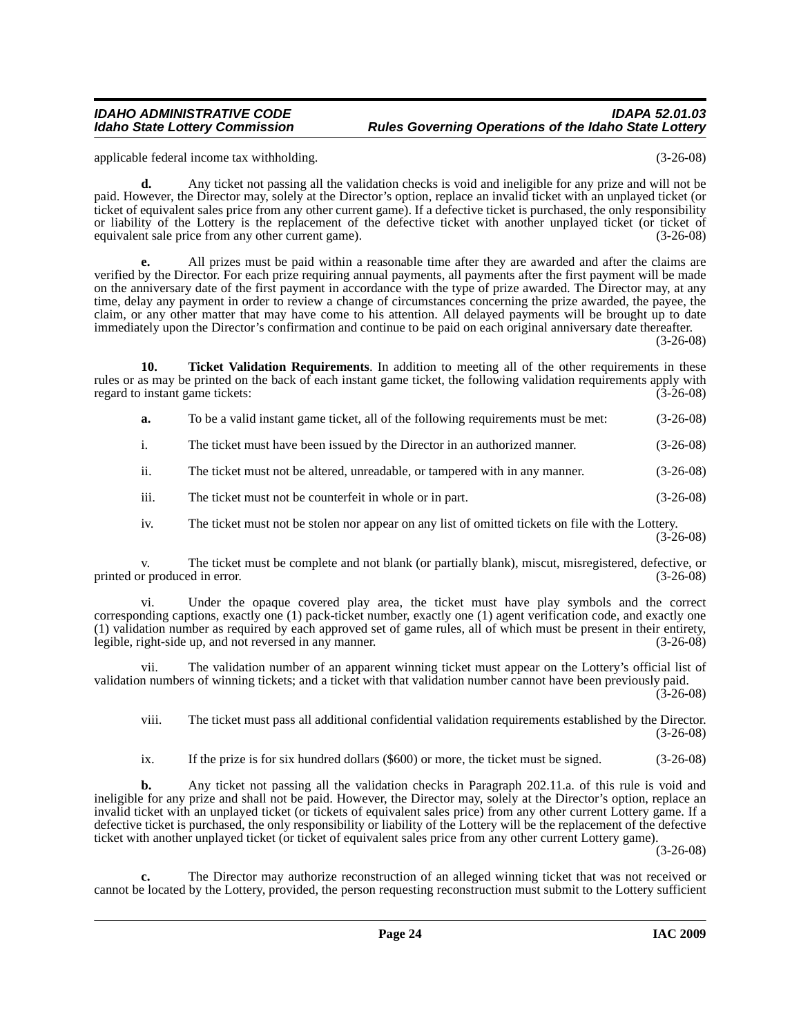applicable federal income tax withholding. (3-26-08)

**d.** Any ticket not passing all the validation checks is void and ineligible for any prize and will not be paid. However, the Director may, solely at the Director's option, replace an invalid ticket with an unplayed ticket (or ticket of equivalent sales price from any other current game). If a defective ticket is purchased, the only responsibility or liability of the Lottery is the replacement of the defective ticket with another unplayed ticket (or ticket of equivalent sale price from any other current game). (3-26-08) equivalent sale price from any other current game).

**e.** All prizes must be paid within a reasonable time after they are awarded and after the claims are verified by the Director. For each prize requiring annual payments, all payments after the first payment will be made on the anniversary date of the first payment in accordance with the type of prize awarded. The Director may, at any time, delay any payment in order to review a change of circumstances concerning the prize awarded, the payee, the claim, or any other matter that may have come to his attention. All delayed payments will be brought up to date immediately upon the Director's confirmation and continue to be paid on each original anniversary date thereafter. (3-26-08)

**10.** Ticket Validation Requirements. In addition to meeting all of the other requirements in these rules or as may be printed on the back of each instant game ticket, the following validation requirements apply with regard to instant game tickets: (3-26-08)

- <span id="page-23-0"></span>**a.** To be a valid instant game ticket, all of the following requirements must be met: (3-26-08)
- i. The ticket must have been issued by the Director in an authorized manner. (3-26-08)
- ii. The ticket must not be altered, unreadable, or tampered with in any manner. (3-26-08)
- iii. The ticket must not be counterfeit in whole or in part. (3-26-08)
- iv. The ticket must not be stolen nor appear on any list of omitted tickets on file with the Lottery. (3-26-08)

v. The ticket must be complete and not blank (or partially blank), miscut, misregistered, defective, or printed or produced in error. (3-26-08)

vi. Under the opaque covered play area, the ticket must have play symbols and the correct corresponding captions, exactly one (1) pack-ticket number, exactly one (1) agent verification code, and exactly one (1) validation number as required by each approved set of game rules, all of which must be present in their entirety, legible, right-side up, and not reversed in any manner. (3-26-08)

vii. The validation number of an apparent winning ticket must appear on the Lottery's official list of validation numbers of winning tickets; and a ticket with that validation number cannot have been previously paid.

(3-26-08)

viii. The ticket must pass all additional confidential validation requirements established by the Director. (3-26-08)

ix. If the prize is for six hundred dollars (\$600) or more, the ticket must be signed. (3-26-08)

**b.** Any ticket not passing all the validation checks in Paragraph 202.11.a. of this rule is void and ineligible for any prize and shall not be paid. However, the Director may, solely at the Director's option, replace an invalid ticket with an unplayed ticket (or tickets of equivalent sales price) from any other current Lottery game. If a defective ticket is purchased, the only responsibility or liability of the Lottery will be the replacement of the defective ticket with another unplayed ticket (or ticket of equivalent sales price from any other current Lottery game).

(3-26-08)

**c.** The Director may authorize reconstruction of an alleged winning ticket that was not received or cannot be located by the Lottery, provided, the person requesting reconstruction must submit to the Lottery sufficient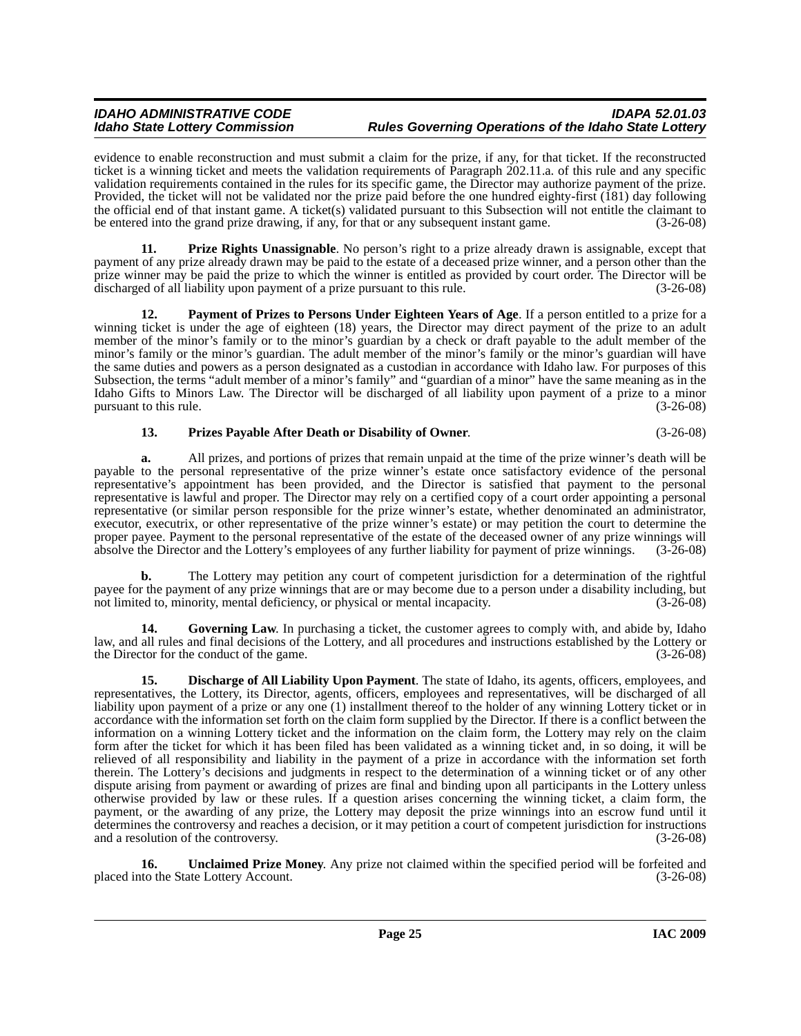evidence to enable reconstruction and must submit a claim for the prize, if any, for that ticket. If the reconstructed ticket is a winning ticket and meets the validation requirements of Paragraph 202.11.a. of this rule and any specific validation requirements contained in the rules for its specific game, the Director may authorize payment of the prize. Provided, the ticket will not be validated nor the prize paid before the one hundred eighty-first (181) day following the official end of that instant game. A ticket(s) validated pursuant to this Subsection will not entitle the claimant to be entered into the grand prize drawing, if any, for that or any subsequent instant game. (3-26-08)

<span id="page-24-3"></span>**11. Prize Rights Unassignable**. No person's right to a prize already drawn is assignable, except that payment of any prize already drawn may be paid to the estate of a deceased prize winner, and a person other than the prize winner may be paid the prize to which the winner is entitled as provided by court order. The Director will be discharged of all liability upon payment of a prize pursuant to this rule. (3-26-08)

<span id="page-24-2"></span>**12. Payment of Prizes to Persons Under Eighteen Years of Age**. If a person entitled to a prize for a winning ticket is under the age of eighteen (18) years, the Director may direct payment of the prize to an adult member of the minor's family or to the minor's guardian by a check or draft payable to the adult member of the minor's family or the minor's guardian. The adult member of the minor's family or the minor's guardian will have the same duties and powers as a person designated as a custodian in accordance with Idaho law. For purposes of this Subsection, the terms "adult member of a minor's family" and "guardian of a minor" have the same meaning as in the Idaho Gifts to Minors Law. The Director will be discharged of all liability upon payment of a prize to a minor pursuant to this rule. (3-26-08) pursuant to this rule.

#### <span id="page-24-4"></span>**13. Prizes Payable After Death or Disability of Owner**. (3-26-08)

**a.** All prizes, and portions of prizes that remain unpaid at the time of the prize winner's death will be payable to the personal representative of the prize winner's estate once satisfactory evidence of the personal representative's appointment has been provided, and the Director is satisfied that payment to the personal representative is lawful and proper. The Director may rely on a certified copy of a court order appointing a personal representative (or similar person responsible for the prize winner's estate, whether denominated an administrator, executor, executrix, or other representative of the prize winner's estate) or may petition the court to determine the proper payee. Payment to the personal representative of the estate of the deceased owner of any prize winnings will absolve the Director and the Lottery's employees of any further liability for payment of prize winnings. ( absolve the Director and the Lottery's employees of any further liability for payment of prize winnings.

**b.** The Lottery may petition any court of competent jurisdiction for a determination of the rightful payee for the payment of any prize winnings that are or may become due to a person under a disability including, but not limited to, minority, mental deficiency, or physical or mental incapacity.  $(3-26-08)$ not limited to, minority, mental deficiency, or physical or mental incapacity.

<span id="page-24-1"></span>**14.** Governing Law. In purchasing a ticket, the customer agrees to comply with, and abide by, Idaho law, and all rules and final decisions of the Lottery, and all procedures and instructions established by the Lottery or the Director for the conduct of the game. (3-26-08)

<span id="page-24-0"></span>**15. Discharge of All Liability Upon Payment**. The state of Idaho, its agents, officers, employees, and representatives, the Lottery, its Director, agents, officers, employees and representatives, will be discharged of all liability upon payment of a prize or any one (1) installment thereof to the holder of any winning Lottery ticket or in accordance with the information set forth on the claim form supplied by the Director. If there is a conflict between the information on a winning Lottery ticket and the information on the claim form, the Lottery may rely on the claim form after the ticket for which it has been filed has been validated as a winning ticket and, in so doing, it will be relieved of all responsibility and liability in the payment of a prize in accordance with the information set forth therein. The Lottery's decisions and judgments in respect to the determination of a winning ticket or of any other dispute arising from payment or awarding of prizes are final and binding upon all participants in the Lottery unless otherwise provided by law or these rules. If a question arises concerning the winning ticket, a claim form, the payment, or the awarding of any prize, the Lottery may deposit the prize winnings into an escrow fund until it determines the controversy and reaches a decision, or it may petition a court of competent jurisdiction for instructions and a resolution of the controversy. (3-26-08)

<span id="page-24-5"></span>**16.** Unclaimed Prize Money. Any prize not claimed within the specified period will be forfeited and to the State Lottery Account. (3-26-08) placed into the State Lottery Account.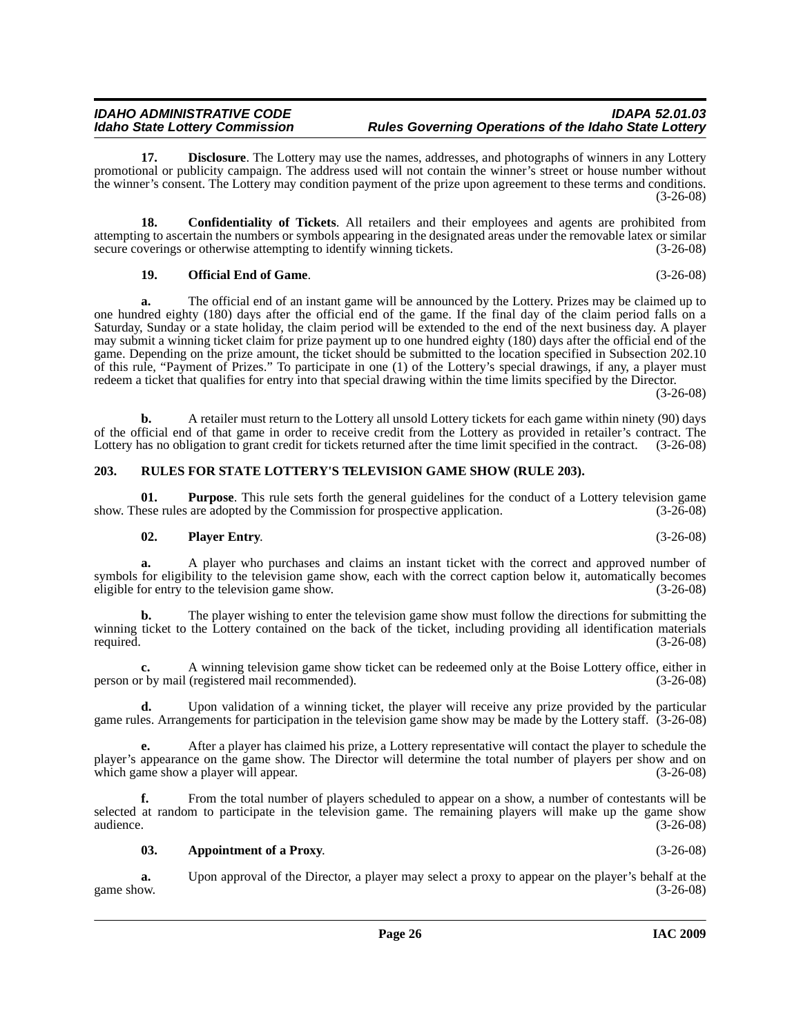<span id="page-25-3"></span>**17. Disclosure**. The Lottery may use the names, addresses, and photographs of winners in any Lottery promotional or publicity campaign. The address used will not contain the winner's street or house number without the winner's consent. The Lottery may condition payment of the prize upon agreement to these terms and conditions. (3-26-08)

**18. Confidentiality of Tickets**. All retailers and their employees and agents are prohibited from attempting to ascertain the numbers or symbols appearing in the designated areas under the removable latex or similar secure coverings or otherwise attempting to identify winning tickets. (3-26-08)

#### <span id="page-25-4"></span><span id="page-25-2"></span>**19. Official End of Game**. (3-26-08)

**a.** The official end of an instant game will be announced by the Lottery. Prizes may be claimed up to one hundred eighty (180) days after the official end of the game. If the final day of the claim period falls on a Saturday, Sunday or a state holiday, the claim period will be extended to the end of the next business day. A player may submit a winning ticket claim for prize payment up to one hundred eighty (180) days after the official end of the game. Depending on the prize amount, the ticket should be submitted to the location specified in Subsection 202.10 of this rule, "Payment of Prizes." To participate in one (1) of the Lottery's special drawings, if any, a player must redeem a ticket that qualifies for entry into that special drawing within the time limits specified by the Director.

(3-26-08)

**b.** A retailer must return to the Lottery all unsold Lottery tickets for each game within ninety (90) days of the official end of that game in order to receive credit from the Lottery as provided in retailer's contract. The Lottery has no obligation to grant credit for tickets returned after the time limit specified in the contract. (3-26-08)

#### <span id="page-25-7"></span><span id="page-25-0"></span>**203. RULES FOR STATE LOTTERY'S TELEVISION GAME SHOW (RULE 203).**

**01. Purpose**. This rule sets forth the general guidelines for the conduct of a Lottery television game nese rules are adopted by the Commission for prospective application. (3-26-08) show. These rules are adopted by the Commission for prospective application.

#### <span id="page-25-6"></span><span id="page-25-5"></span>**02. Player Entry**. (3-26-08)

**a.** A player who purchases and claims an instant ticket with the correct and approved number of symbols for eligibility to the television game show, each with the correct caption below it, automatically becomes eligible for entry to the television game show. eligible for entry to the television game show.

**b.** The player wishing to enter the television game show must follow the directions for submitting the winning ticket to the Lottery contained on the back of the ticket, including providing all identification materials required. (3-26-08)

**c.** A winning television game show ticket can be redeemed only at the Boise Lottery office, either in person or by mail (registered mail recommended). (3-26-08)

**d.** Upon validation of a winning ticket, the player will receive any prize provided by the particular game rules. Arrangements for participation in the television game show may be made by the Lottery staff. (3-26-08)

**e.** After a player has claimed his prize, a Lottery representative will contact the player to schedule the player's appearance on the game show. The Director will determine the total number of players per show and on which game show a player will appear. (3-26-08)

**f.** From the total number of players scheduled to appear on a show, a number of contestants will be selected at random to participate in the television game. The remaining players will make up the game show audience. (3-26-08)

#### <span id="page-25-1"></span>**03. Appointment of a Proxy**. (3-26-08)

**a.** Upon approval of the Director, a player may select a proxy to appear on the player's behalf at the game show.  $(3-26-08)$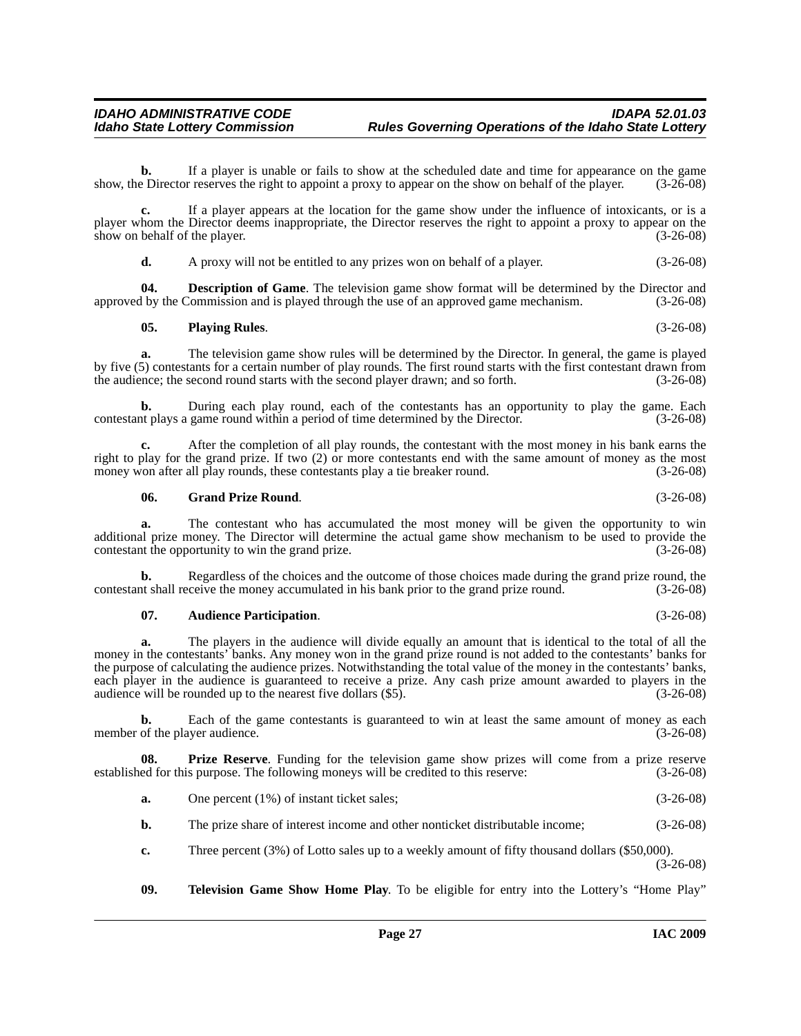**b.** If a player is unable or fails to show at the scheduled date and time for appearance on the game show, the Director reserves the right to appoint a proxy to appear on the show on behalf of the player. (3-26-08)

**c.** If a player appears at the location for the game show under the influence of intoxicants, or is a player whom the Director deems inappropriate, the Director reserves the right to appoint a proxy to appear on the show on behalf of the player. (3-26-08) show on behalf of the player.

<span id="page-26-1"></span>**d.** A proxy will not be entitled to any prizes won on behalf of a player. (3-26-08)

**04. Description of Game**. The television game show format will be determined by the Director and approved by the Commission and is played through the use of an approved game mechanism. (3-26-08)

#### <span id="page-26-3"></span>**05. Playing Rules**. (3-26-08)

**a.** The television game show rules will be determined by the Director. In general, the game is played by five (5) contestants for a certain number of play rounds. The first round starts with the first contestant drawn from the audience; the second round starts with the second player drawn; and so forth. (3-26-08)

**b.** During each play round, each of the contestants has an opportunity to play the game. Each contestant plays a game round within a period of time determined by the Director. (3-26-08)

**c.** After the completion of all play rounds, the contestant with the most money in his bank earns the right to play for the grand prize. If two (2) or more contestants end with the same amount of money as the most money won after all play rounds, these contestants play a tie breaker round. (3-26-08)

#### <span id="page-26-2"></span>**06. Grand Prize Round**. (3-26-08)

**a.** The contestant who has accumulated the most money will be given the opportunity to win additional prize money. The Director will determine the actual game show mechanism to be used to provide the contestant the opportunity to win the grand prize. (3-26-08) contestant the opportunity to win the grand prize.

**b.** Regardless of the choices and the outcome of those choices made during the grand prize round, the contestant shall receive the money accumulated in his bank prior to the grand prize round. (3-26-08)

#### <span id="page-26-0"></span>**07. Audience Participation**. (3-26-08)

**a.** The players in the audience will divide equally an amount that is identical to the total of all the money in the contestants' banks. Any money won in the grand prize round is not added to the contestants' banks for the purpose of calculating the audience prizes. Notwithstanding the total value of the money in the contestants' banks, each player in the audience is guaranteed to receive a prize. Any cash prize amount awarded to players in the audience will be rounded up to the nearest five dollars (\$5). (3-26-08)

**b.** Each of the game contestants is guaranteed to win at least the same amount of money as each member of the player audience. (3-26-08)

**08. Prize Reserve**. Funding for the television game show prizes will come from a prize reserve established for this purpose. The following moneys will be credited to this reserve: (3-26-08)

- <span id="page-26-4"></span>**a.** One percent (1%) of instant ticket sales; (3-26-08)
- **b.** The prize share of interest income and other nonticket distributable income; (3-26-08)
- **c.** Three percent (3%) of Lotto sales up to a weekly amount of fifty thousand dollars (\$50,000). (3-26-08)
- <span id="page-26-5"></span>**09. Television Game Show Home Play**. To be eligible for entry into the Lottery's "Home Play"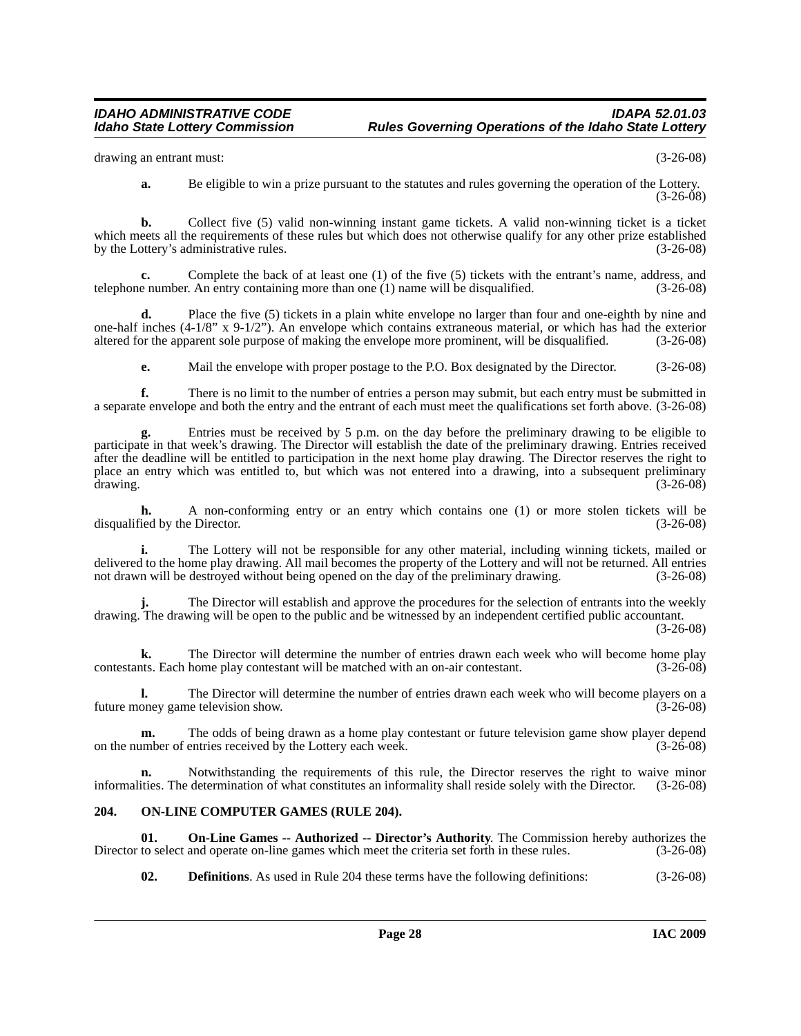drawing an entrant must: (3-26-08)

**a.** Be eligible to win a prize pursuant to the statutes and rules governing the operation of the Lottery. (3-26-08)

**b.** Collect five (5) valid non-winning instant game tickets. A valid non-winning ticket is a ticket which meets all the requirements of these rules but which does not otherwise qualify for any other prize established by the Lottery's administrative rules. (3-26-08)

**c.** Complete the back of at least one (1) of the five (5) tickets with the entrant's name, address, and telephone number. An entry containing more than one (1) name will be disqualified. (3-26-08)

**d.** Place the five (5) tickets in a plain white envelope no larger than four and one-eighth by nine and one-half inches (4-1/8" x 9-1/2"). An envelope which contains extraneous material, or which has had the exterior altered for the apparent sole purpose of making the envelope more prominent, will be disqualified. (3-26-08)

**e.** Mail the envelope with proper postage to the P.O. Box designated by the Director. (3-26-08)

**f.** There is no limit to the number of entries a person may submit, but each entry must be submitted in a separate envelope and both the entry and the entrant of each must meet the qualifications set forth above. (3-26-08)

Entries must be received by 5 p.m. on the day before the preliminary drawing to be eligible to participate in that week's drawing. The Director will establish the date of the preliminary drawing. Entries received after the deadline will be entitled to participation in the next home play drawing. The Director reserves the right to place an entry which was entitled to, but which was not entered into a drawing, into a subsequent preliminary drawing. (3-26-08)

**h.** A non-conforming entry or an entry which contains one (1) or more stolen tickets will be disqualified by the Director. (3-26-08)

**i.** The Lottery will not be responsible for any other material, including winning tickets, mailed or delivered to the home play drawing. All mail becomes the property of the Lottery and will not be returned. All entries not drawn will be destroyed without being opened on the day of the preliminary drawing. (3-26-08)

**j.** The Director will establish and approve the procedures for the selection of entrants into the weekly drawing. The drawing will be open to the public and be witnessed by an independent certified public accountant.

(3-26-08)

**k.** The Director will determine the number of entries drawn each week who will become home play that the matched with an on-air contestant. (3-26-08) contestants. Each home play contestant will be matched with an on-air contestant.

**l.** The Director will determine the number of entries drawn each week who will become players on a future money game television show. (3-26-08)

**m.** The odds of being drawn as a home play contestant or future television game show player depend<br>umber of entries received by the Lottery each week. (3-26-08) on the number of entries received by the Lottery each week.

**n.** Notwithstanding the requirements of this rule, the Director reserves the right to waive minor informalities. The determination of what constitutes an informality shall reside solely with the Director. (3-26-08)

#### <span id="page-27-2"></span><span id="page-27-0"></span>**204. ON-LINE COMPUTER GAMES (RULE 204).**

**01. On-Line Games -- Authorized -- Director's Authority**. The Commission hereby authorizes the Director to select and operate on-line games which meet the criteria set forth in these rules. (3-26-08)

<span id="page-27-3"></span><span id="page-27-1"></span>**02. Definitions**. As used in Rule 204 these terms have the following definitions: (3-26-08)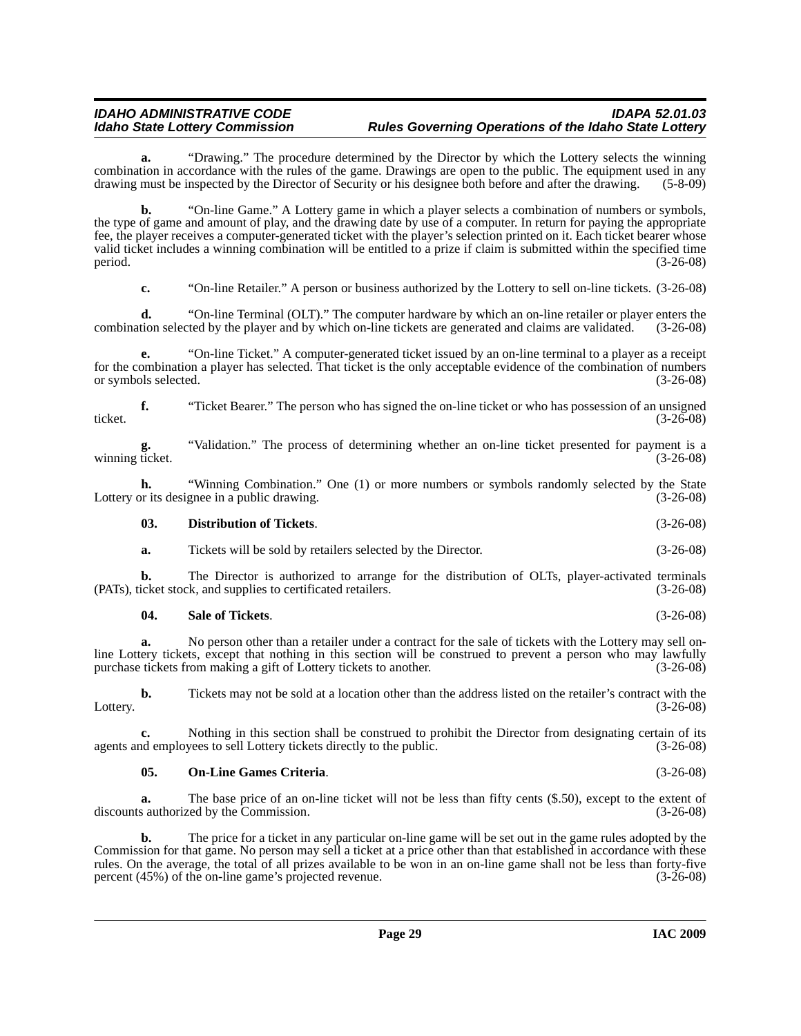**a.** "Drawing." The procedure determined by the Director by which the Lottery selects the winning combination in accordance with the rules of the game. Drawings are open to the public. The equipment used in any drawing must be inspected by the Director of Security or his designee both before and after the drawing. (5-8-09)

**b.** "On-line Game." A Lottery game in which a player selects a combination of numbers or symbols, the type of game and amount of play, and the drawing date by use of a computer. In return for paying the appropriate fee, the player receives a computer-generated ticket with the player's selection printed on it. Each ticket bearer whose valid ticket includes a winning combination will be entitled to a prize if claim is submitted within the specified time  $\frac{3-26-08}{2}$ 

**c.** "On-line Retailer." A person or business authorized by the Lottery to sell on-line tickets. (3-26-08)

**d.** "On-line Terminal (OLT)." The computer hardware by which an on-line retailer or player enters the combination selected by the player and by which on-line tickets are generated and claims are validated. (3-26-08)

**e.** "On-line Ticket." A computer-generated ticket issued by an on-line terminal to a player as a receipt for the combination a player has selected. That ticket is the only acceptable evidence of the combination of numbers or symbols selected. (3-26-08)

**f.** "Ticket Bearer." The person who has signed the on-line ticket or who has possession of an unsigned ticket. (3-26-08)

**g.** "Validation." The process of determining whether an on-line ticket presented for payment is a winning ticket. (3-26-08)

**h.** "Winning Combination." One (1) or more numbers or symbols randomly selected by the State Lottery or its designee in a public drawing. (3-26-08)

#### <span id="page-28-0"></span>**03. Distribution of Tickets**. (3-26-08)

**a.** Tickets will be sold by retailers selected by the Director. (3-26-08)

**b.** The Director is authorized to arrange for the distribution of OLTs, player-activated terminals icket stock, and supplies to certificated retailers. (3-26-08) (PATs), ticket stock, and supplies to certificated retailers.

#### <span id="page-28-2"></span>**04. Sale of Tickets**. (3-26-08)

**a.** No person other than a retailer under a contract for the sale of tickets with the Lottery may sell online Lottery tickets, except that nothing in this section will be construed to prevent a person who may lawfully purchase tickets from making a gift of Lottery tickets to another. (3-26-08) purchase tickets from making a gift of Lottery tickets to another.

**b.** Tickets may not be sold at a location other than the address listed on the retailer's contract with the Lottery. (3-26-08)

**c.** Nothing in this section shall be construed to prohibit the Director from designating certain of its nd employees to sell Lottery tickets directly to the public. (3-26-08) agents and employees to sell Lottery tickets directly to the public.

#### <span id="page-28-1"></span>**05. On-Line Games Criteria**. (3-26-08)

**a.** The base price of an on-line ticket will not be less than fifty cents (\$.50), except to the extent of discounts authorized by the Commission. (3-26-08)

**b.** The price for a ticket in any particular on-line game will be set out in the game rules adopted by the Commission for that game. No person may sell a ticket at a price other than that established in accordance with these rules. On the average, the total of all prizes available to be won in an on-line game shall not be less than forty-five percent (45%) of the on-line game's projected revenue. (3-26-08) percent  $(45%)$  of the on-line game's projected revenue.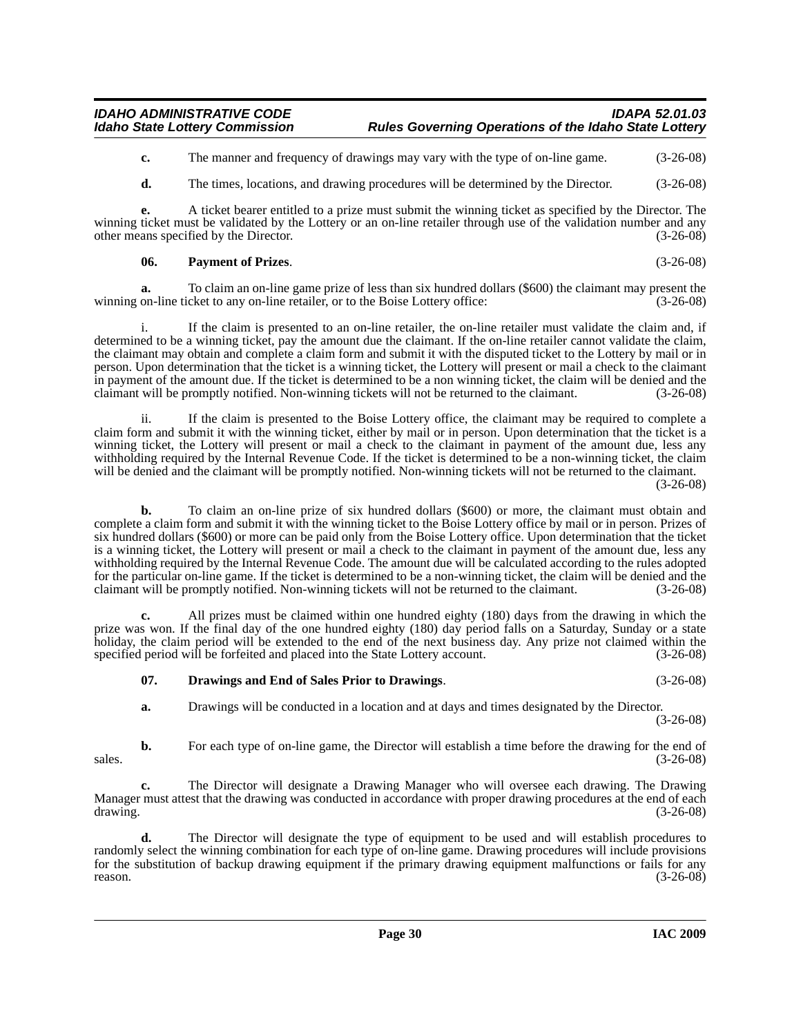**c.** The manner and frequency of drawings may vary with the type of on-line game.  $(3-26-08)$ 

**d.** The times, locations, and drawing procedures will be determined by the Director. (3-26-08)

**e.** A ticket bearer entitled to a prize must submit the winning ticket as specified by the Director. The winning ticket must be validated by the Lottery or an on-line retailer through use of the validation number and any other means specified by the Director. (3-26-08) other means specified by the Director.

#### <span id="page-29-1"></span>**06. Payment of Prizes**. (3-26-08)

**a.** To claim an on-line game prize of less than six hundred dollars (\$600) the claimant may present the winning on-line ticket to any on-line retailer, or to the Boise Lottery office: (3-26-08)

If the claim is presented to an on-line retailer, the on-line retailer must validate the claim and, if determined to be a winning ticket, pay the amount due the claimant. If the on-line retailer cannot validate the claim, the claimant may obtain and complete a claim form and submit it with the disputed ticket to the Lottery by mail or in person. Upon determination that the ticket is a winning ticket, the Lottery will present or mail a check to the claimant in payment of the amount due. If the ticket is determined to be a non winning ticket, the claim will be denied and the claimant will be promptly notified. Non-winning tickets will not be returned to the claimant. (3-26-08)

ii. If the claim is presented to the Boise Lottery office, the claimant may be required to complete a claim form and submit it with the winning ticket, either by mail or in person. Upon determination that the ticket is a winning ticket, the Lottery will present or mail a check to the claimant in payment of the amount due, less any withholding required by the Internal Revenue Code. If the ticket is determined to be a non-winning ticket, the claim will be denied and the claimant will be promptly notified. Non-winning tickets will not be returned to the claimant. (3-26-08)

**b.** To claim an on-line prize of six hundred dollars (\$600) or more, the claimant must obtain and complete a claim form and submit it with the winning ticket to the Boise Lottery office by mail or in person. Prizes of six hundred dollars (\$600) or more can be paid only from the Boise Lottery office. Upon determination that the ticket is a winning ticket, the Lottery will present or mail a check to the claimant in payment of the amount due, less any withholding required by the Internal Revenue Code. The amount due will be calculated according to the rules adopted for the particular on-line game. If the ticket is determined to be a non-winning ticket, the claim will be denied and the claimant will be promptly notified. Non-winning tickets will not be returned to the claimant. (3-26-08)

**c.** All prizes must be claimed within one hundred eighty (180) days from the drawing in which the prize was won. If the final day of the one hundred eighty (180) day period falls on a Saturday, Sunday or a state holiday, the claim period will be extended to the end of the next business day. Any prize not claimed within the specified period will be forfeited and placed into the State Lottery account. (3-26-08)

#### <span id="page-29-0"></span>**07. Drawings and End of Sales Prior to Drawings**. (3-26-08)

**a.** Drawings will be conducted in a location and at days and times designated by the Director.

(3-26-08)

**b.** For each type of on-line game, the Director will establish a time before the drawing for the end of  $s$ ales.  $(3-26-08)$ 

**c.** The Director will designate a Drawing Manager who will oversee each drawing. The Drawing Manager must attest that the drawing was conducted in accordance with proper drawing procedures at the end of each drawing. (3-26-08)

**d.** The Director will designate the type of equipment to be used and will establish procedures to randomly select the winning combination for each type of on-line game. Drawing procedures will include provisions for the substitution of backup drawing equipment if the primary drawing equipment malfunctions or fails for any reason.  $(3-26-08)$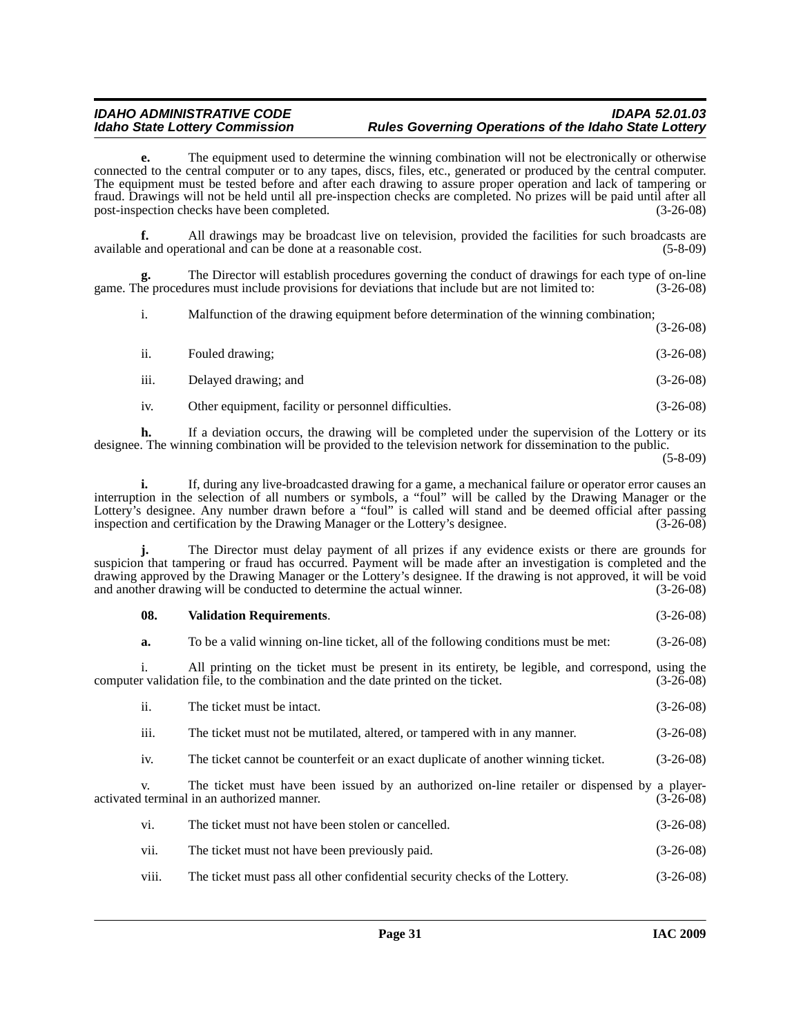**e.** The equipment used to determine the winning combination will not be electronically or otherwise connected to the central computer or to any tapes, discs, files, etc., generated or produced by the central computer. The equipment must be tested before and after each drawing to assure proper operation and lack of tampering or fraud. Drawings will not be held until all pre-inspection checks are completed. No prizes will be paid until after all post-inspection checks have been completed. (3-26-08)

**f.** All drawings may be broadcast live on television, provided the facilities for such broadcasts are available and operational and can be done at a reasonable cost. (5-8-09)

The Director will establish procedures governing the conduct of drawings for each type of on-line lures must include provisions for deviations that include but are not limited to:  $(3-26-08)$ game. The procedures must include provisions for deviations that include but are not limited to:

i. Malfunction of the drawing equipment before determination of the winning combination; (3-26-08)

| ii.  | Fouled drawing;      | $(3-26-08)$ |
|------|----------------------|-------------|
| iii. | Delayed drawing; and | $(3-26-08)$ |

iv. Other equipment, facility or personnel difficulties. (3-26-08)

**h.** If a deviation occurs, the drawing will be completed under the supervision of the Lottery or its designee. The winning combination will be provided to the television network for dissemination to the public.

**i.** If, during any live-broadcasted drawing for a game, a mechanical failure or operator error causes an interruption in the selection of all numbers or symbols, a "foul" will be called by the Drawing Manager or the Lottery's designee. Any number drawn before a "foul" is called will stand and be deemed official after passing inspection and certification by the Drawing Manager or the Lottery's designee. (3-26-08)

**j.** The Director must delay payment of all prizes if any evidence exists or there are grounds for suspicion that tampering or fraud has occurred. Payment will be made after an investigation is completed and the drawing approved by the Drawing Manager or the Lottery's designee. If the drawing is not approved, it will be void and another drawing will be conducted to determine the actual winner. (3-26-08)

<span id="page-30-0"></span>

| 08.       | <b>Validation Requirements.</b>                                                                                                                                                       | $(3-26-08)$ |
|-----------|---------------------------------------------------------------------------------------------------------------------------------------------------------------------------------------|-------------|
| a.        | To be a valid winning on-line ticket, all of the following conditions must be met:                                                                                                    | $(3-26-08)$ |
|           | All printing on the ticket must be present in its entirety, be legible, and correspond, using the<br>computer validation file, to the combination and the date printed on the ticket. | (3-26-08)   |
| ii.       | The ticket must be intact.                                                                                                                                                            | $(3-26-08)$ |
| .<br>111. | The ticket must not be mutilated, altered, or tampered with in any manner.                                                                                                            | $(3-26-08)$ |
| iv.       | The ticket cannot be counterfeit or an exact duplicate of another winning ticket.                                                                                                     | $(3-26-08)$ |
| V.        | The ticket must have been issued by an authorized on-line retailer or dispensed by a player-<br>activated terminal in an authorized manner.                                           | (3-26-08)   |
| vi.       | The ticket must not have been stolen or cancelled.                                                                                                                                    | $(3-26-08)$ |
| vii.      | The ticket must not have been previously paid.                                                                                                                                        | $(3-26-08)$ |
| V111.     | The ticket must pass all other confidential security checks of the Lottery.                                                                                                           | $(3-26-08)$ |

<sup>(5-8-09)</sup>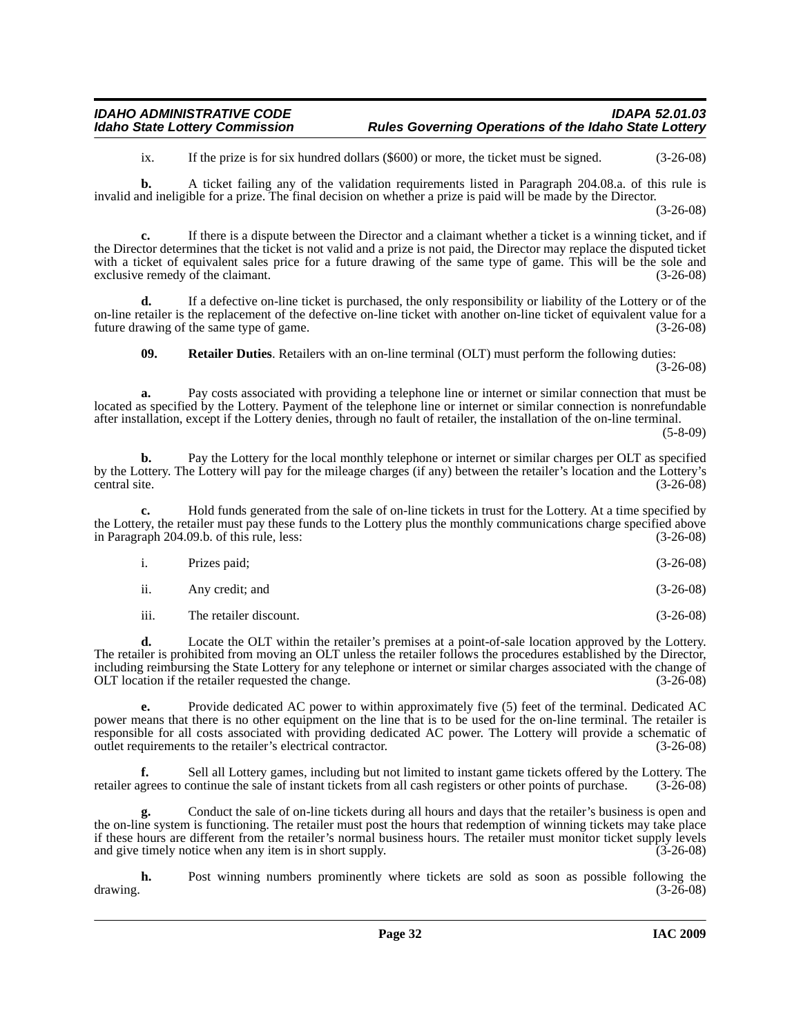| <b>IDAHO ADMINISTRATIVE CODE</b>      | <b>IDAPA 52.01.03</b>                                        |
|---------------------------------------|--------------------------------------------------------------|
| <b>Idaho State Lottery Commission</b> | <b>Rules Governing Operations of the Idaho State Lottery</b> |

ix. If the prize is for six hundred dollars (\$600) or more, the ticket must be signed. (3-26-08)

**b.** A ticket failing any of the validation requirements listed in Paragraph 204.08.a. of this rule is invalid and ineligible for a prize. The final decision on whether a prize is paid will be made by the Director.

(3-26-08)

**c.** If there is a dispute between the Director and a claimant whether a ticket is a winning ticket, and if the Director determines that the ticket is not valid and a prize is not paid, the Director may replace the disputed ticket with a ticket of equivalent sales price for a future drawing of the same type of game. This will be the sole and exclusive remedy of the claimant. (3-26-08)

**d.** If a defective on-line ticket is purchased, the only responsibility or liability of the Lottery or of the on-line retailer is the replacement of the defective on-line ticket with another on-line ticket of equivalent value for a future drawing of the same type of game. (3-26-08)

<span id="page-31-0"></span>**09. Retailer Duties**. Retailers with an on-line terminal (OLT) must perform the following duties: (3-26-08)

**a.** Pay costs associated with providing a telephone line or internet or similar connection that must be located as specified by the Lottery. Payment of the telephone line or internet or similar connection is nonrefundable after installation, except if the Lottery denies, through no fault of retailer, the installation of the on-line terminal.

(5-8-09)

**b.** Pay the Lottery for the local monthly telephone or internet or similar charges per OLT as specified by the Lottery. The Lottery will pay for the mileage charges (if any) between the retailer's location and the Lottery's central site. (3-26-08)

**c.** Hold funds generated from the sale of on-line tickets in trust for the Lottery. At a time specified by the Lottery, the retailer must pay these funds to the Lottery plus the monthly communications charge specified above in Paragraph 204.09.b. of this rule, less: (3-26-08)

| $\mathbf{i}$ . | Prizes paid; | $(3-26-08)$ |
|----------------|--------------|-------------|
|                |              |             |

ii. Any credit; and (3-26-08)

iii. The retailer discount. (3-26-08)

**d.** Locate the OLT within the retailer's premises at a point-of-sale location approved by the Lottery. The retailer is prohibited from moving an OLT unless the retailer follows the procedures established by the Director, including reimbursing the State Lottery for any telephone or internet or similar charges associated with the change of OLT location if the retailer requested the change. (3-26-08)

**e.** Provide dedicated AC power to within approximately five (5) feet of the terminal. Dedicated AC power means that there is no other equipment on the line that is to be used for the on-line terminal. The retailer is responsible for all costs associated with providing dedicated AC power. The Lottery will provide a schematic of outlet requirements to the retailer's electrical contractor. (3-26-08) outlet requirements to the retailer's electrical contractor.

**f.** Sell all Lottery games, including but not limited to instant game tickets offered by the Lottery. The retailer agrees to continue the sale of instant tickets from all cash registers or other points of purchase. (3-26-08)

**g.** Conduct the sale of on-line tickets during all hours and days that the retailer's business is open and the on-line system is functioning. The retailer must post the hours that redemption of winning tickets may take place if these hours are different from the retailer's normal business hours. The retailer must monitor ticket supply levels and give timely notice when any item is in short supply. (3-26-08)

**h.** Post winning numbers prominently where tickets are sold as soon as possible following the  $d$ rawing.  $(3-26-08)$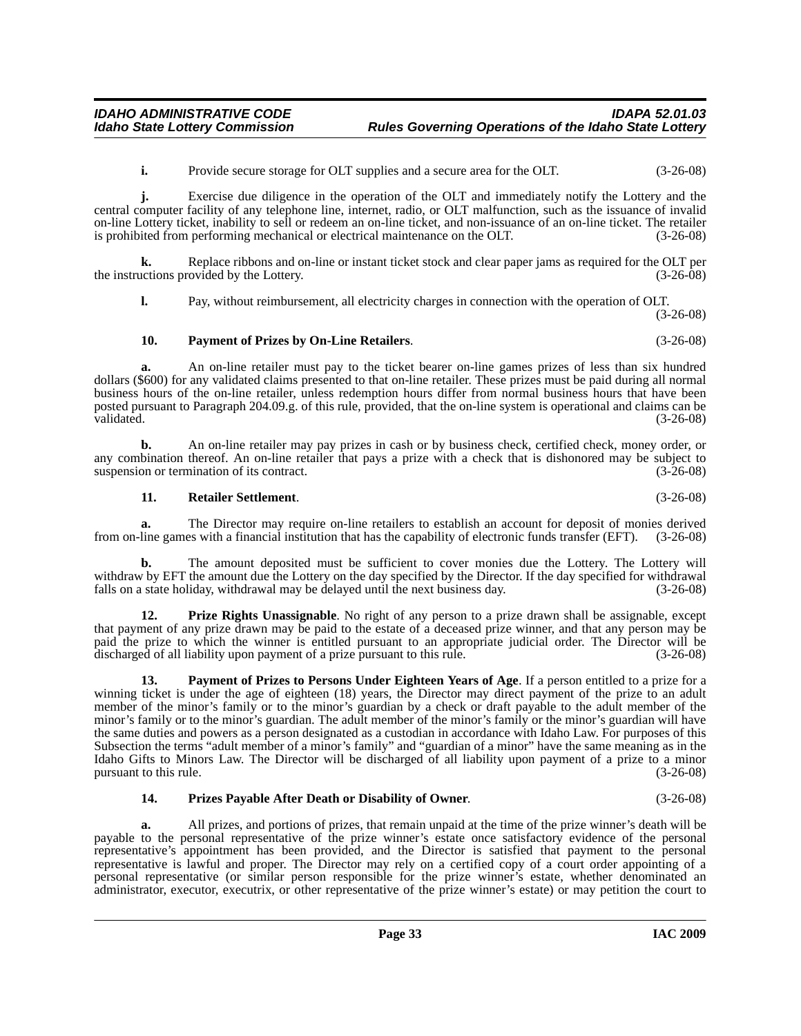**i.** Provide secure storage for OLT supplies and a secure area for the OLT. (3-26-08)

**j.** Exercise due diligence in the operation of the OLT and immediately notify the Lottery and the central computer facility of any telephone line, internet, radio, or OLT malfunction, such as the issuance of invalid on-line Lottery ticket, inability to sell or redeem an on-line ticket, and non-issuance of an on-line ticket. The retailer is prohibited from performing mechanical or electrical maintenance on the OLT. (3-26-08) is prohibited from performing mechanical or electrical maintenance on the OLT.

**k.** Replace ribbons and on-line or instant ticket stock and clear paper jams as required for the OLT per the instructions provided by the Lottery. (3-26-08)

**l.** Pay, without reimbursement, all electricity charges in connection with the operation of OLT. (3-26-08)

#### <span id="page-32-0"></span>**10. Payment of Prizes by On-Line Retailers**. (3-26-08)

**a.** An on-line retailer must pay to the ticket bearer on-line games prizes of less than six hundred dollars (\$600) for any validated claims presented to that on-line retailer. These prizes must be paid during all normal business hours of the on-line retailer, unless redemption hours differ from normal business hours that have been posted pursuant to Paragraph 204.09.g. of this rule, provided, that the on-line system is operational and claims can be validated. (3-26-08)

**b.** An on-line retailer may pay prizes in cash or by business check, certified check, money order, or any combination thereof. An on-line retailer that pays a prize with a check that is dishonored may be subject to suspension or termination of its contract. (3-26-08)

#### <span id="page-32-4"></span>**11. Retailer Settlement**. (3-26-08)

**a.** The Director may require on-line retailers to establish an account for deposit of monies derived from on-line games with a financial institution that has the capability of electronic funds transfer (EFT). (3-26-08)

**b.** The amount deposited must be sufficient to cover monies due the Lottery. The Lottery will withdraw by EFT the amount due the Lottery on the day specified by the Director. If the day specified for withdrawal falls on a state holiday, withdrawal may be delayed until the next business day. (3-26-08)

<span id="page-32-2"></span>**12. Prize Rights Unassignable**. No right of any person to a prize drawn shall be assignable, except that payment of any prize drawn may be paid to the estate of a deceased prize winner, and that any person may be paid the prize to which the winner is entitled pursuant to an appropriate judicial order. The Director will be discharged of all liability upon payment of a prize pursuant to this rule. (3-26-08)

<span id="page-32-1"></span>**13. Payment of Prizes to Persons Under Eighteen Years of Age**. If a person entitled to a prize for a winning ticket is under the age of eighteen (18) years, the Director may direct payment of the prize to an adult member of the minor's family or to the minor's guardian by a check or draft payable to the adult member of the minor's family or to the minor's guardian. The adult member of the minor's family or the minor's guardian will have the same duties and powers as a person designated as a custodian in accordance with Idaho Law. For purposes of this Subsection the terms "adult member of a minor's family" and "guardian of a minor" have the same meaning as in the Idaho Gifts to Minors Law. The Director will be discharged of all liability upon payment of a prize to a minor pursuant to this rule. (3-26-08)

#### <span id="page-32-3"></span>**14. Prizes Payable After Death or Disability of Owner**. (3-26-08)

**a.** All prizes, and portions of prizes, that remain unpaid at the time of the prize winner's death will be payable to the personal representative of the prize winner's estate once satisfactory evidence of the personal representative's appointment has been provided, and the Director is satisfied that payment to the personal representative is lawful and proper. The Director may rely on a certified copy of a court order appointing of a personal representative (or similar person responsible for the prize winner's estate, whether denominated an administrator, executor, executrix, or other representative of the prize winner's estate) or may petition the court to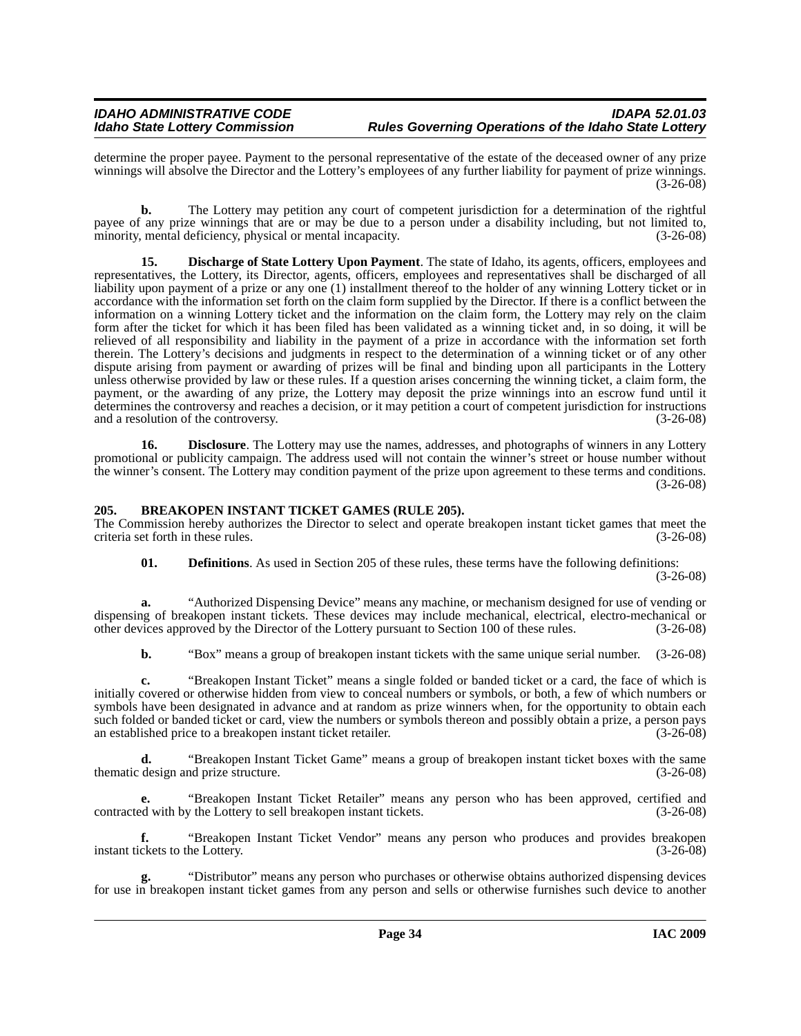determine the proper payee. Payment to the personal representative of the estate of the deceased owner of any prize winnings will absolve the Director and the Lottery's employees of any further liability for payment of prize winnings. (3-26-08)

**b.** The Lottery may petition any court of competent jurisdiction for a determination of the rightful payee of any prize winnings that are or may be due to a person under a disability including, but not limited to, minority, mental deficiency, physical or mental incapacity. (3-26-08) minority, mental deficiency, physical or mental incapacity.

**15. Discharge of State Lottery Upon Payment**. The state of Idaho, its agents, officers, employees and representatives, the Lottery, its Director, agents, officers, employees and representatives shall be discharged of all liability upon payment of a prize or any one (1) installment thereof to the holder of any winning Lottery ticket or in accordance with the information set forth on the claim form supplied by the Director. If there is a conflict between the information on a winning Lottery ticket and the information on the claim form, the Lottery may rely on the claim form after the ticket for which it has been filed has been validated as a winning ticket and, in so doing, it will be relieved of all responsibility and liability in the payment of a prize in accordance with the information set forth therein. The Lottery's decisions and judgments in respect to the determination of a winning ticket or of any other dispute arising from payment or awarding of prizes will be final and binding upon all participants in the Lottery unless otherwise provided by law or these rules. If a question arises concerning the winning ticket, a claim form, the payment, or the awarding of any prize, the Lottery may deposit the prize winnings into an escrow fund until it determines the controversy and reaches a decision, or it may petition a court of competent jurisdiction for instructions and a resolution of the controversy. (3-26-08)

**16. Disclosure**. The Lottery may use the names, addresses, and photographs of winners in any Lottery promotional or publicity campaign. The address used will not contain the winner's street or house number without the winner's consent. The Lottery may condition payment of the prize upon agreement to these terms and conditions. (3-26-08)

#### <span id="page-33-1"></span><span id="page-33-0"></span>**205. BREAKOPEN INSTANT TICKET GAMES (RULE 205).**

The Commission hereby authorizes the Director to select and operate breakopen instant ticket games that meet the criteria set forth in these rules. (3-26-08)

<span id="page-33-2"></span>**01. Definitions**. As used in Section 205 of these rules, these terms have the following definitions:

(3-26-08)

**a.** "Authorized Dispensing Device" means any machine, or mechanism designed for use of vending or dispensing of breakopen instant tickets. These devices may include mechanical, electrical, electro-mechanical or other devices approved by the Director of the Lottery pursuant to Section 100 of these rules. (3-26-08)

**b.** "Box" means a group of breakopen instant tickets with the same unique serial number.  $(3-26-08)$ 

**c.** "Breakopen Instant Ticket" means a single folded or banded ticket or a card, the face of which is initially covered or otherwise hidden from view to conceal numbers or symbols, or both, a few of which numbers or symbols have been designated in advance and at random as prize winners when, for the opportunity to obtain each such folded or banded ticket or card, view the numbers or symbols thereon and possibly obtain a prize, a person pays an established price to a breakopen instant ticket retailer. (3-26-08)

**d.** "Breakopen Instant Ticket Game" means a group of breakopen instant ticket boxes with the same thematic design and prize structure. (3-26-08)

**e.** "Breakopen Instant Ticket Retailer" means any person who has been approved, certified and contracted with by the Lottery to sell breakopen instant tickets. (3-26-08)

**f.** "Breakopen Instant Ticket Vendor" means any person who produces and provides breakopen instant tickets to the Lottery. (3-26-08)

**g.** "Distributor" means any person who purchases or otherwise obtains authorized dispensing devices for use in breakopen instant ticket games from any person and sells or otherwise furnishes such device to another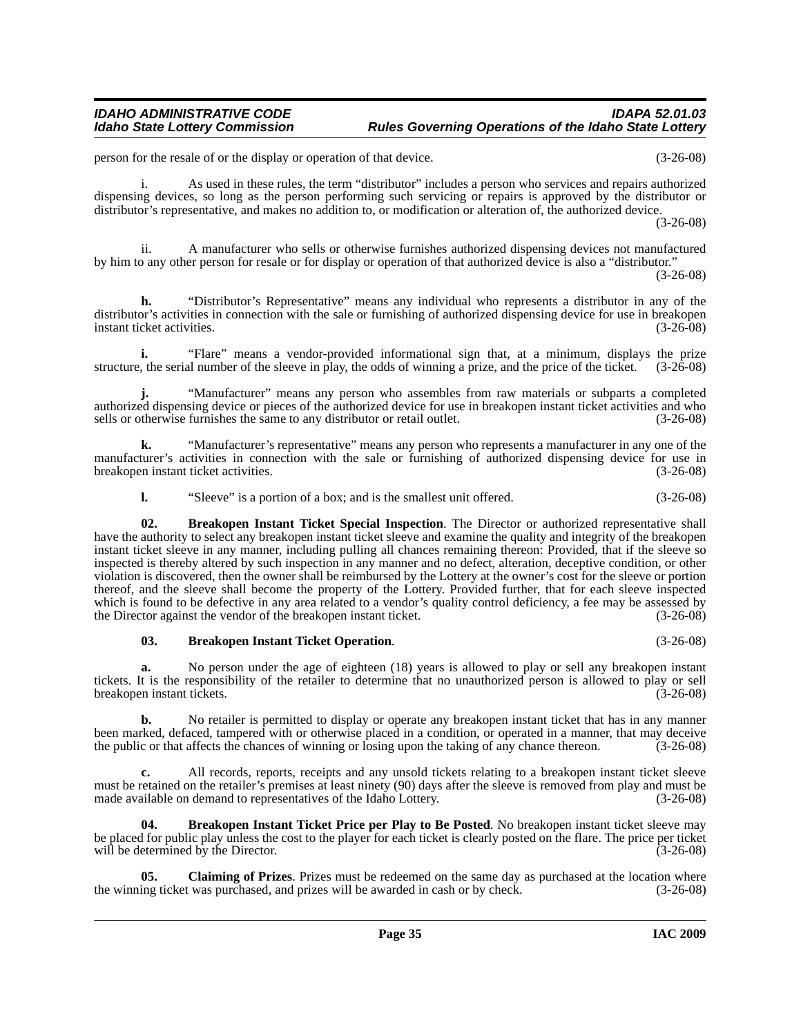person for the resale of or the display or operation of that device. (3-26-08)

i. As used in these rules, the term "distributor" includes a person who services and repairs authorized dispensing devices, so long as the person performing such servicing or repairs is approved by the distributor or distributor's representative, and makes no addition to, or modification or alteration of, the authorized device.

(3-26-08)

ii. A manufacturer who sells or otherwise furnishes authorized dispensing devices not manufactured by him to any other person for resale or for display or operation of that authorized device is also a "distributor."

(3-26-08)

**h.** "Distributor's Representative" means any individual who represents a distributor in any of the distributor's activities in connection with the sale or furnishing of authorized dispensing device for use in breakopen instant ticket activities. (3-26-08)

**i.** "Flare" means a vendor-provided informational sign that, at a minimum, displays the prize  $\alpha$ , the serial number of the sleeve in play, the odds of winning a prize, and the price of the ticket. (3-26-08) structure, the serial number of the sleeve in play, the odds of winning a prize, and the price of the ticket.

**j.** "Manufacturer" means any person who assembles from raw materials or subparts a completed authorized dispensing device or pieces of the authorized device for use in breakopen instant ticket activities and who sells or otherwise furnishes the same to any distributor or retail outlet. (3-26-08)

**k.** "Manufacturer's representative" means any person who represents a manufacturer in any one of the manufacturer's activities in connection with the sale or furnishing of authorized dispensing device for use in breakopen instant ticket activities. (3-26-08)

<span id="page-34-2"></span>**l.** "Sleeve" is a portion of a box; and is the smallest unit offered. (3-26-08)

**02. Breakopen Instant Ticket Special Inspection**. The Director or authorized representative shall have the authority to select any breakopen instant ticket sleeve and examine the quality and integrity of the breakopen instant ticket sleeve in any manner, including pulling all chances remaining thereon: Provided, that if the sleeve so inspected is thereby altered by such inspection in any manner and no defect, alteration, deceptive condition, or other violation is discovered, then the owner shall be reimbursed by the Lottery at the owner's cost for the sleeve or portion thereof, and the sleeve shall become the property of the Lottery. Provided further, that for each sleeve inspected which is found to be defective in any area related to a vendor's quality control deficiency, a fee may be assessed by the Director against the vendor of the breakopen instant ticket. (3-26-08)

#### <span id="page-34-0"></span>**03. Breakopen Instant Ticket Operation**. (3-26-08)

**a.** No person under the age of eighteen (18) years is allowed to play or sell any breakopen instant tickets. It is the responsibility of the retailer to determine that no unauthorized person is allowed to play or sell breakopen instant tickets. (3-26-08)

**b.** No retailer is permitted to display or operate any breakopen instant ticket that has in any manner been marked, defaced, tampered with or otherwise placed in a condition, or operated in a manner, that may deceive<br>the public or that affects the chances of winning or losing upon the taking of any chance thereon. (3-26-08) the public or that affects the chances of winning or losing upon the taking of any chance thereon.

**c.** All records, reports, receipts and any unsold tickets relating to a breakopen instant ticket sleeve must be retained on the retailer's premises at least ninety (90) days after the sleeve is removed from play and must be made available on demand to representatives of the Idaho Lottery. (3-26-08) made available on demand to representatives of the Idaho Lottery.

<span id="page-34-1"></span>**Breakopen Instant Ticket Price per Play to Be Posted**. No breakopen instant ticket sleeve may be placed for public play unless the cost to the player for each ticket is clearly posted on the flare. The price per ticket will be determined by the Director. (3-26-08)

<span id="page-34-3"></span>**05. Claiming of Prizes**. Prizes must be redeemed on the same day as purchased at the location where the winning ticket was purchased, and prizes will be awarded in cash or by check. (3-26-08)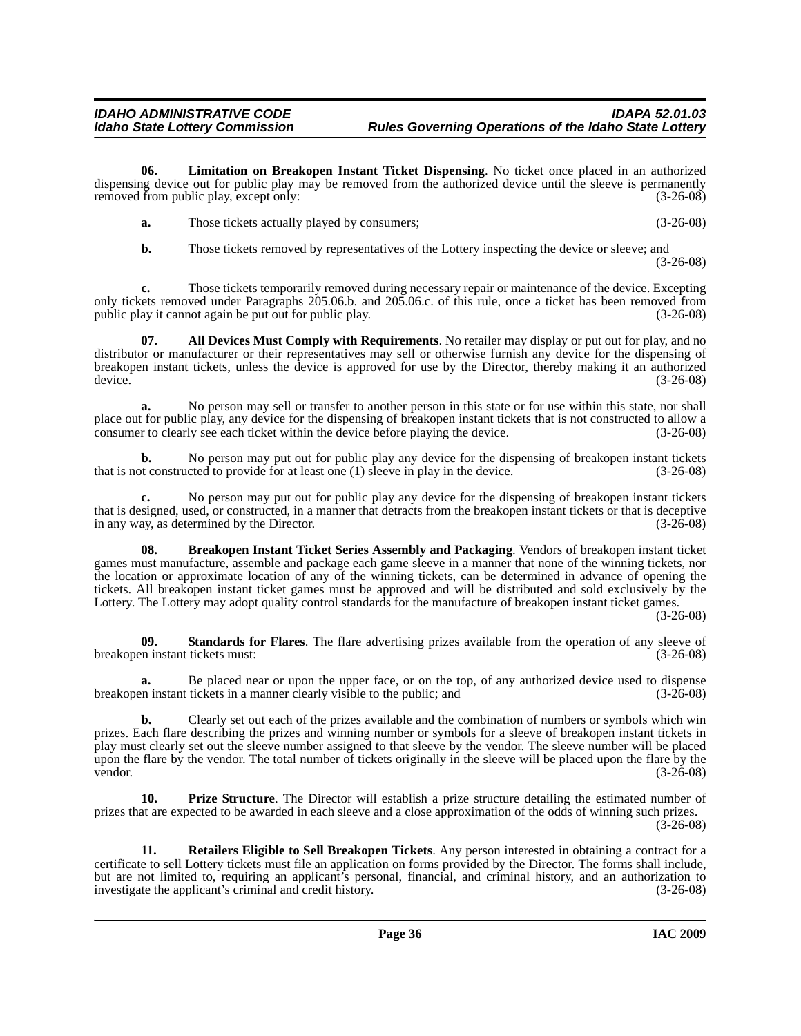**06. Limitation on Breakopen Instant Ticket Dispensing**. No ticket once placed in an authorized dispensing device out for public play may be removed from the authorized device until the sleeve is permanently removed from public play, except only: (3-26-08) removed from public play, except only:

<span id="page-35-2"></span>

| а. | Those tickets actually played by consumers; | $(3-26-08)$ |
|----|---------------------------------------------|-------------|
|    |                                             |             |

<span id="page-35-0"></span>**b.** Those tickets removed by representatives of the Lottery inspecting the device or sleeve; and (3-26-08)

**c.** Those tickets temporarily removed during necessary repair or maintenance of the device. Excepting only tickets removed under Paragraphs 205.06.b. and 205.06.c. of this rule, once a ticket has been removed from public play it cannot again be put out for public play. (3-26-08) public play it cannot again be put out for public play.

**07. All Devices Must Comply with Requirements**. No retailer may display or put out for play, and no distributor or manufacturer or their representatives may sell or otherwise furnish any device for the dispensing of breakopen instant tickets, unless the device is approved for use by the Director, thereby making it an authorized device. (3-26-08)

**a.** No person may sell or transfer to another person in this state or for use within this state, nor shall place out for public play, any device for the dispensing of breakopen instant tickets that is not constructed to allow a consumer to clearly see each ticket within the device before playing the device. (3-26-08) consumer to clearly see each ticket within the device before playing the device.

**b.** No person may put out for public play any device for the dispensing of breakopen instant tickets that is not constructed to provide for at least one (1) sleeve in play in the device. (3-26-08)

**c.** No person may put out for public play any device for the dispensing of breakopen instant tickets that is designed, used, or constructed, in a manner that detracts from the breakopen instant tickets or that is deceptive in any way, as determined by the Director.

<span id="page-35-1"></span>**08. Breakopen Instant Ticket Series Assembly and Packaging**. Vendors of breakopen instant ticket games must manufacture, assemble and package each game sleeve in a manner that none of the winning tickets, nor the location or approximate location of any of the winning tickets, can be determined in advance of opening the tickets. All breakopen instant ticket games must be approved and will be distributed and sold exclusively by the Lottery. The Lottery may adopt quality control standards for the manufacture of breakopen instant ticket games.

(3-26-08)

<span id="page-35-5"></span>**09. Standards for Flares**. The flare advertising prizes available from the operation of any sleeve of breakopen instant tickets must: (3-26-08)

**a.** Be placed near or upon the upper face, or on the top, of any authorized device used to dispense breakopen instant tickets in a manner clearly visible to the public; and (3-26-08)

**b.** Clearly set out each of the prizes available and the combination of numbers or symbols which win prizes. Each flare describing the prizes and winning number or symbols for a sleeve of breakopen instant tickets in play must clearly set out the sleeve number assigned to that sleeve by the vendor. The sleeve number will be placed upon the flare by the vendor. The total number of tickets originally in the sleeve will be placed upon the flare by the vendor. (3-26-08)

<span id="page-35-3"></span>**10. Prize Structure**. The Director will establish a prize structure detailing the estimated number of prizes that are expected to be awarded in each sleeve and a close approximation of the odds of winning such prizes.

(3-26-08)

<span id="page-35-4"></span>**11. Retailers Eligible to Sell Breakopen Tickets**. Any person interested in obtaining a contract for a certificate to sell Lottery tickets must file an application on forms provided by the Director. The forms shall include, but are not limited to, requiring an applicant's personal, financial, and criminal history, and an authorization to investigate the applicant's criminal and credit history. (3-26-08)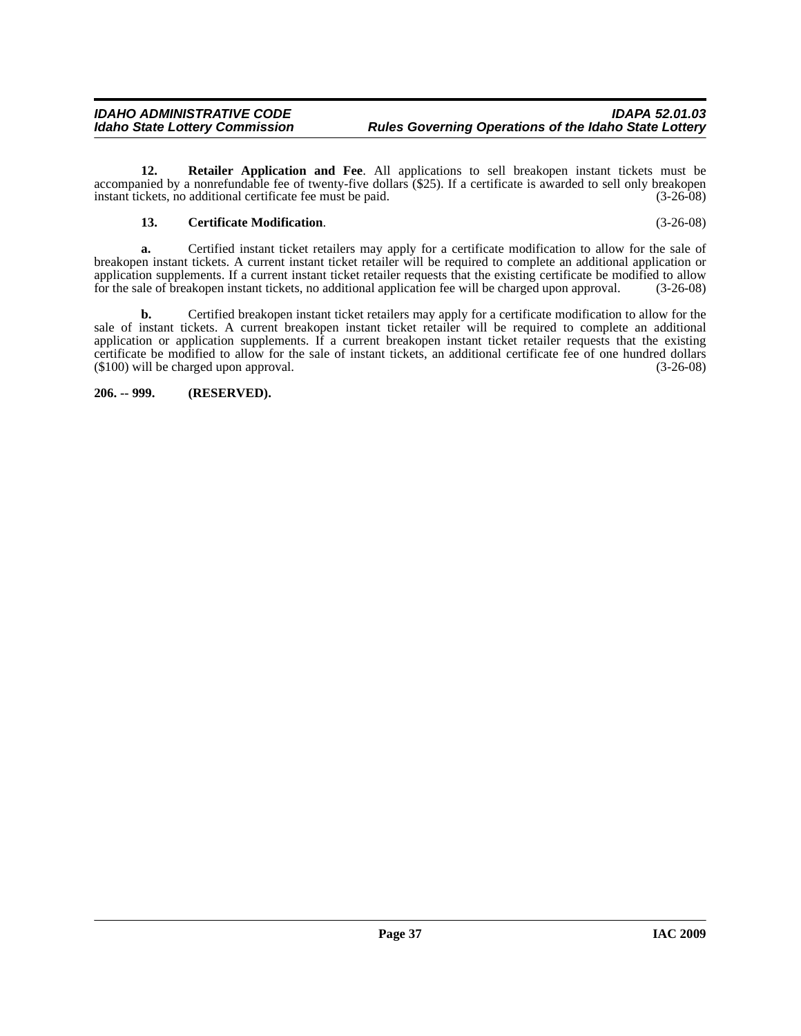**12. Retailer Application and Fee**. All applications to sell breakopen instant tickets must be accompanied by a nonrefundable fee of twenty-five dollars (\$25). If a certificate is awarded to sell only breakopen<br>instant tickets, no additional certificate fee must be paid. (3-26-08) instant tickets, no additional certificate fee must be paid.

#### <span id="page-36-2"></span><span id="page-36-1"></span>**13. Certificate Modification**. (3-26-08)

**a.** Certified instant ticket retailers may apply for a certificate modification to allow for the sale of breakopen instant tickets. A current instant ticket retailer will be required to complete an additional application or application supplements. If a current instant ticket retailer requests that the existing certificate be modified to allow<br>for the sale of breakopen instant tickets, no additional application fee will be charged upon appro for the sale of breakopen instant tickets, no additional application fee will be charged upon approval.

**b.** Certified breakopen instant ticket retailers may apply for a certificate modification to allow for the sale of instant tickets. A current breakopen instant ticket retailer will be required to complete an additional application or application supplements. If a current breakopen instant ticket retailer requests that the existing certificate be modified to allow for the sale of instant tickets, an additional certificate fee of one hundred dollars (\$100) will be charged upon approval. (3-26-08)

<span id="page-36-0"></span>**206. -- 999. (RESERVED).**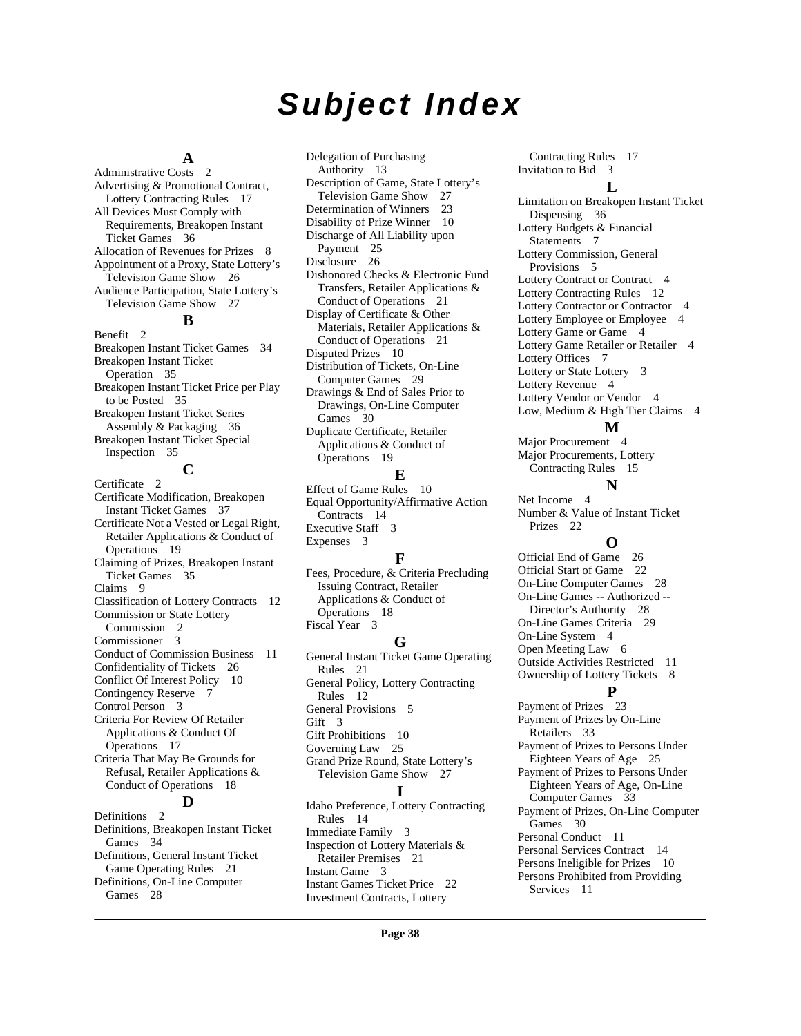# *Subject Index*

#### **A**

[Administrative Costs](#page-1-11) 2 [Advertising & Promotional Contract,](#page-16-1)  Lottery Contracting Rules 17 All Devices Must Comply with [Requirements, Breakopen Instant](#page-35-0)  Ticket Games 36 [Allocation of Revenues for Prizes](#page-7-0) 8 [Appointment of a Proxy, State Lottery's](#page-25-1)  Television Game Show 26 [Audience Participation, State Lottery's](#page-26-0)  Television Game Show 27 **B**

[Benefit](#page-1-12) 2 [Breakopen Instant Ticket Games](#page-33-1) 34 [Breakopen Instant Ticket](#page-34-0)  Operation 35 [Breakopen Instant Ticket Price per Play](#page-34-1)  to be Posted 35 [Breakopen Instant Ticket Series](#page-35-1)  Assembly & Packaging 36 [Breakopen Instant Ticket Special](#page-34-2)  Inspection 35

### **C**

[Certificate](#page-1-13) 2 [Certificate Modification, Breakopen](#page-36-1)  Instant Ticket Games 37 [Certificate Not a Vested or Legal Right,](#page-18-0)  Retailer Applications & Conduct of Operations 19 [Claiming of Prizes, Breakopen Instant](#page-34-3)  Ticket Games 35 [Claims](#page-8-0) 9 [Classification of Lottery Contracts](#page-11-2) 12 [Commission or State Lottery](#page-1-14)  Commission 2 [Commissioner](#page-2-0) 3 [Conduct of Commission Business](#page-10-0) 11 [Confidentiality of Tickets](#page-25-2) 26 [Conflict Of Interest Policy](#page-9-2) 10 [Contingency Reserve](#page-6-0) 7 [Control Person](#page-2-1) 3 [Criteria For Review Of Retailer](#page-16-2)  Applications & Conduct Of Operations 17 [Criteria That May Be Grounds for](#page-17-0)  Refusal, Retailer Applications & Conduct of Operations 18 **D**

[Definitions](#page-1-15) 2 [Definitions, Breakopen Instant Ticket](#page-33-2)  Games 34 [Definitions, General Instant Ticket](#page-20-1)  Game Operating Rules 21 [Definitions, On-Line Computer](#page-27-1)  Games 28

[Delegation of Purchasing](#page-12-0)  Authority 13 [Description of Game, State Lottery's](#page-26-1)  Television Game Show 27 [Determination of Winners](#page-22-0) 23 [Disability of Prize Winner](#page-9-3) 10 [Discharge of All Liability upon](#page-24-0)  Payment 25 [Disclosure](#page-25-3) 26 [Dishonored Checks & Electronic Fund](#page-20-2)  Transfers, Retailer Applications & Conduct of Operations 21 Display of Certificate & Other [Materials, Retailer Applications &](#page-20-3)  Conduct of Operations 21 [Disputed Prizes](#page-9-4) 10 [Distribution of Tickets, On-Line](#page-28-0)  Computer Games 29 [Drawings & End of Sales Prior to](#page-29-0)  Drawings, On-Line Computer Games 30 [Duplicate Certificate, Retailer](#page-18-1)  Applications & Conduct of Operations 19 **E** [Effect of Game Rules](#page-9-5) 10 [Equal Opportunity/Affirmative Action](#page-13-0)  Contracts 14

[Executive Staff](#page-2-2) 3

[Expenses](#page-2-3) 3

### **F**

[Fees, Procedure, & Criteria Precluding](#page-17-1)  Issuing Contract, Retailer Applications & Conduct of Operations 18 [Fiscal Year](#page-2-4) 3

#### **G**

[General Instant Ticket Game Operating](#page-20-4)  Rules 21 [General Policy, Lottery Contracting](#page-11-3)  Rules 12 [General Provisions](#page-4-2) 5 [Gift](#page-2-5) 3 [Gift Prohibitions](#page-9-6) 10 [Governing Law](#page-24-1) 25 [Grand Prize Round, State Lottery's](#page-26-2)  Television Game Show 27 **I** [Idaho Preference, Lottery Contracting](#page-13-1)  Rules 14 [Immediate Family](#page-2-6) 3 [Inspection of Lottery Materials &](#page-20-5)  Retailer Premises 21 [Instant Game](#page-2-7) 3 [Instant Games Ticket Price](#page-21-0) 22 [Investment Contracts, Lottery](#page-16-3) 

[Contracting Rules](#page-16-3) 17 [Invitation to Bid](#page-2-8) 3 **L** [Limitation on Breakopen Instant Ticket](#page-35-2)  Dispensing 36 [Lottery Budgets & Financial](#page-6-1)  Statements 7 [Lottery Commission, General](#page-4-3)  Provisions 5 [Lottery Contract or Contract](#page-3-0) 4 [Lottery Contracting Rules](#page-11-4) 12 [Lottery Contractor or Contractor](#page-3-1) 4 [Lottery Employee or Employee](#page-3-2) 4 [Lottery Game or Game](#page-3-3) 4 [Lottery Game Retailer or Retailer](#page-3-4) 4 [Lottery Offices](#page-6-2) 7 [Lottery or State Lottery](#page-2-9) 3 [Lottery Revenue](#page-3-5) 4 [Lottery Vendor or Vendor](#page-3-6) 4 [Low, Medium & High Tier Claims](#page-3-7) 4

#### **M**

[Major Procurement](#page-3-8) 4 [Major Procurements, Lottery](#page-14-0)  Contracting Rules 15

#### **N**

[Net Income](#page-3-9) 4 [Number & Value of Instant Ticket](#page-21-1)  Prizes 22

#### **O**

[Official End of Game](#page-25-4) 26 [Official Start of Game](#page-21-2) 22 [On-Line Computer Games](#page-27-2) 28 [On-Line Games -- Authorized --](#page-27-3)  Director's Authority 28 [On-Line Games Criteria](#page-28-1) 29 [On-Line System](#page-3-10) 4 [Open Meeting Law](#page-5-0) 6 [Outside Activities Restricted](#page-10-1) 11 [Ownership of Lottery Tickets](#page-7-1) 8 **P** [Payment of Prizes](#page-22-1) 23 [Payment of Prizes by On-Line](#page-32-0)  Retailers 33 [Payment of Prizes to Persons Under](#page-24-2)  Eighteen Years of Age 25 [Payment of Prizes to Persons Under](#page-32-1)  Eighteen Years of Age, On-Line Computer Games 33 [Payment of Prizes, On-Line Computer](#page-29-1)  Games 30 [Personal Conduct](#page-10-2) 11 [Personal Services Contract](#page-13-2) 14 [Persons Ineligible for Prizes](#page-9-7) 10 [Persons Prohibited from Providing](#page-10-3)  [Services](#page-10-3) 11